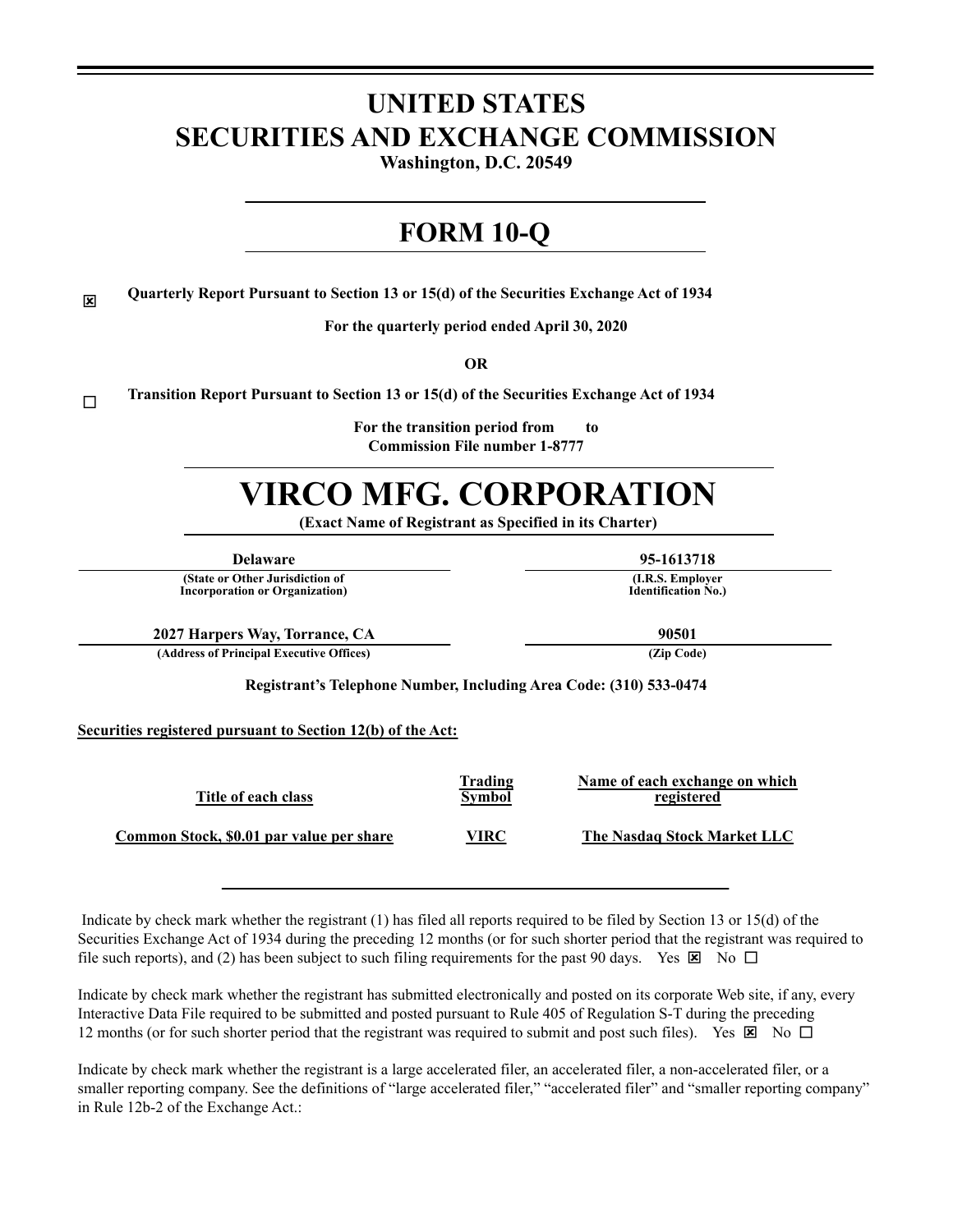# **UNITED STATES SECURITIES AND EXCHANGE COMMISSION**

**Washington, D.C. 20549**

## **FORM 10-Q**

**Quarterly Report Pursuant to Section 13 or 15(d) of the Securities Exchange Act of 1934** 冈

**For the quarterly period ended April 30, 2020**

**OR**

**Transition Report Pursuant to Section 13 or 15(d) of the Securities Exchange Act of 1934**  $\Box$ 

> **For the transition period from to Commission File number 1-8777**

# **VIRCO MFG. CORPORATION**

**(Exact Name of Registrant as Specified in its Charter)**

**Delaware 95-1613718**

**(State or Other Jurisdiction of Incorporation or Organization)**

**2027 Harpers Way, Torrance, CA 90501**

**(I.R.S. Employer Identification No.)**

**(Address of Principal Executive Offices) (Zip Code)**

**Registrant's Telephone Number, Including Area Code: (310) 533-0474**

**Securities registered pursuant to Section 12(b) of the Act:**

| Title of each class                      | Trading<br><b>Symbol</b> | Name of each exchange on which<br>registered |
|------------------------------------------|--------------------------|----------------------------------------------|
| Common Stock, \$0.01 par value per share | VIRC                     | The Nasdaq Stock Market LLC                  |

 Indicate by check mark whether the registrant (1) has filed all reports required to be filed by Section 13 or 15(d) of the Securities Exchange Act of 1934 during the preceding 12 months (or for such shorter period that the registrant was required to file such reports), and (2) has been subject to such filing requirements for the past 90 days. Yes  $\boxtimes$  No  $\square$ 

Indicate by check mark whether the registrant has submitted electronically and posted on its corporate Web site, if any, every Interactive Data File required to be submitted and posted pursuant to Rule 405 of Regulation S-T during the preceding 12 months (or for such shorter period that the registrant was required to submit and post such files). Yes  $\boxtimes$  No  $\square$ 

Indicate by check mark whether the registrant is a large accelerated filer, an accelerated filer, a non-accelerated filer, or a smaller reporting company. See the definitions of "large accelerated filer," "accelerated filer" and "smaller reporting company" in Rule 12b-2 of the Exchange Act.: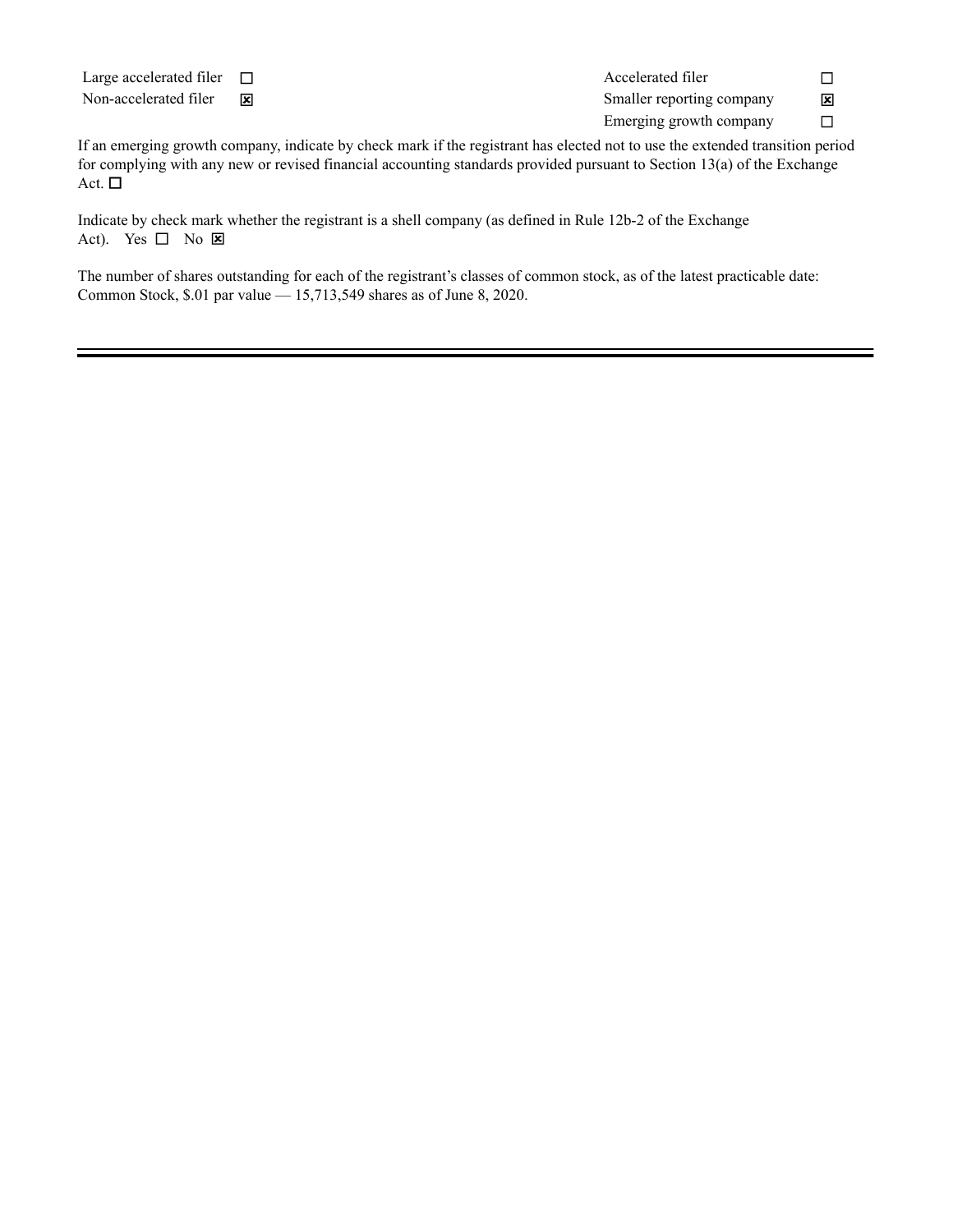Large accelerated filer  $\Box$ 

 $\Box$ Non-accelerated filer  $\boxtimes$  $\overline{\mathbf{x}}$ Emerging growth company  $\Box$ 

If an emerging growth company, indicate by check mark if the registrant has elected not to use the extended transition period for complying with any new or revised financial accounting standards provided pursuant to Section 13(a) of the Exchange Act.  $\square$ 

Indicate by check mark whether the registrant is a shell company (as defined in Rule 12b-2 of the Exchange Act). Yes  $\square$  No  $\square$ 

The number of shares outstanding for each of the registrant's classes of common stock, as of the latest practicable date: Common Stock, \$.01 par value — 15,713,549 shares as of June 8, 2020.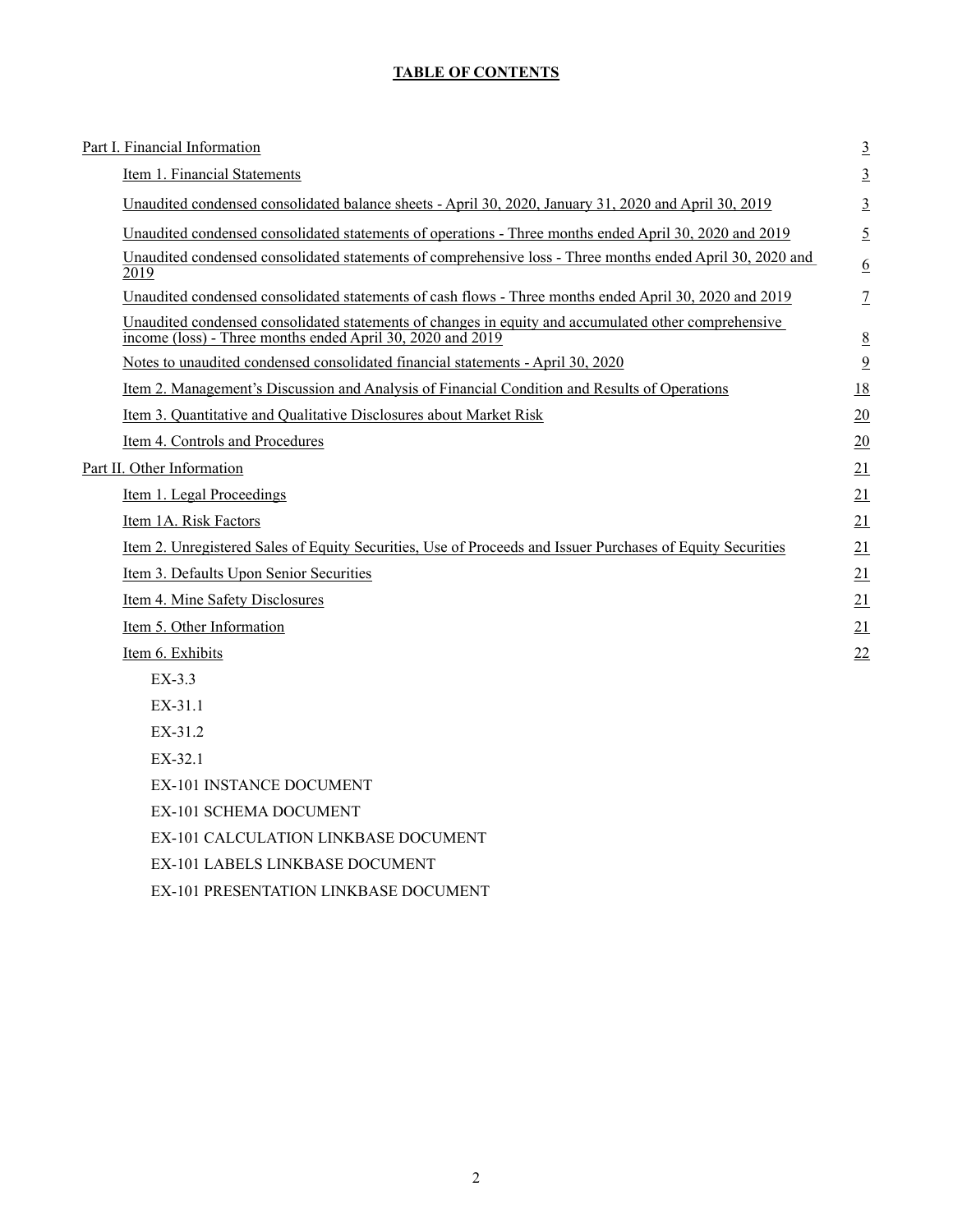## **TABLE OF CONTENTS**

| Part I. Financial Information                                                                                                                                      | $\overline{3}$  |
|--------------------------------------------------------------------------------------------------------------------------------------------------------------------|-----------------|
| Item 1. Financial Statements                                                                                                                                       | $\overline{3}$  |
| Unaudited condensed consolidated balance sheets - April 30, 2020, January 31, 2020 and April 30, 2019                                                              | $\overline{3}$  |
| Unaudited condensed consolidated statements of operations - Three months ended April 30, 2020 and 2019                                                             | $\overline{5}$  |
| Unaudited condensed consolidated statements of comprehensive loss - Three months ended April 30, 2020 and<br>2019                                                  | $\underline{6}$ |
| Unaudited condensed consolidated statements of cash flows - Three months ended April 30, 2020 and 2019                                                             | $\overline{1}$  |
| Unaudited condensed consolidated statements of changes in equity and accumulated other comprehensive<br>income (loss) - Three months ended April 30, 2020 and 2019 | $\underline{8}$ |
| Notes to unaudited condensed consolidated financial statements - April 30, 2020                                                                                    | $\overline{9}$  |
| Item 2. Management's Discussion and Analysis of Financial Condition and Results of Operations                                                                      | 18              |
| Item 3. Quantitative and Qualitative Disclosures about Market Risk                                                                                                 | 20              |
| Item 4. Controls and Procedures                                                                                                                                    | 20              |
| Part II. Other Information                                                                                                                                         | 21              |
| Item 1. Legal Proceedings                                                                                                                                          | 21              |
| Item 1A. Risk Factors                                                                                                                                              | 21              |
| Item 2. Unregistered Sales of Equity Securities, Use of Proceeds and Issuer Purchases of Equity Securities                                                         | 21              |
| Item 3. Defaults Upon Senior Securities                                                                                                                            | 21              |
| Item 4. Mine Safety Disclosures                                                                                                                                    | 21              |
| Item 5. Other Information                                                                                                                                          | 21              |
| Item 6. Exhibits                                                                                                                                                   | 22              |
| $EX-3.3$                                                                                                                                                           |                 |
| EX-31.1                                                                                                                                                            |                 |
| EX-31.2                                                                                                                                                            |                 |
| $EX-32.1$                                                                                                                                                          |                 |
| <b>EX-101 INSTANCE DOCUMENT</b>                                                                                                                                    |                 |
| <b>EX-101 SCHEMA DOCUMENT</b>                                                                                                                                      |                 |
| <b>EX-101 CALCULATION LINKBASE DOCUMENT</b>                                                                                                                        |                 |
| <b>EX-101 LABELS LINKBASE DOCUMENT</b>                                                                                                                             |                 |
| EX-101 PRESENTATION LINKBASE DOCUMENT                                                                                                                              |                 |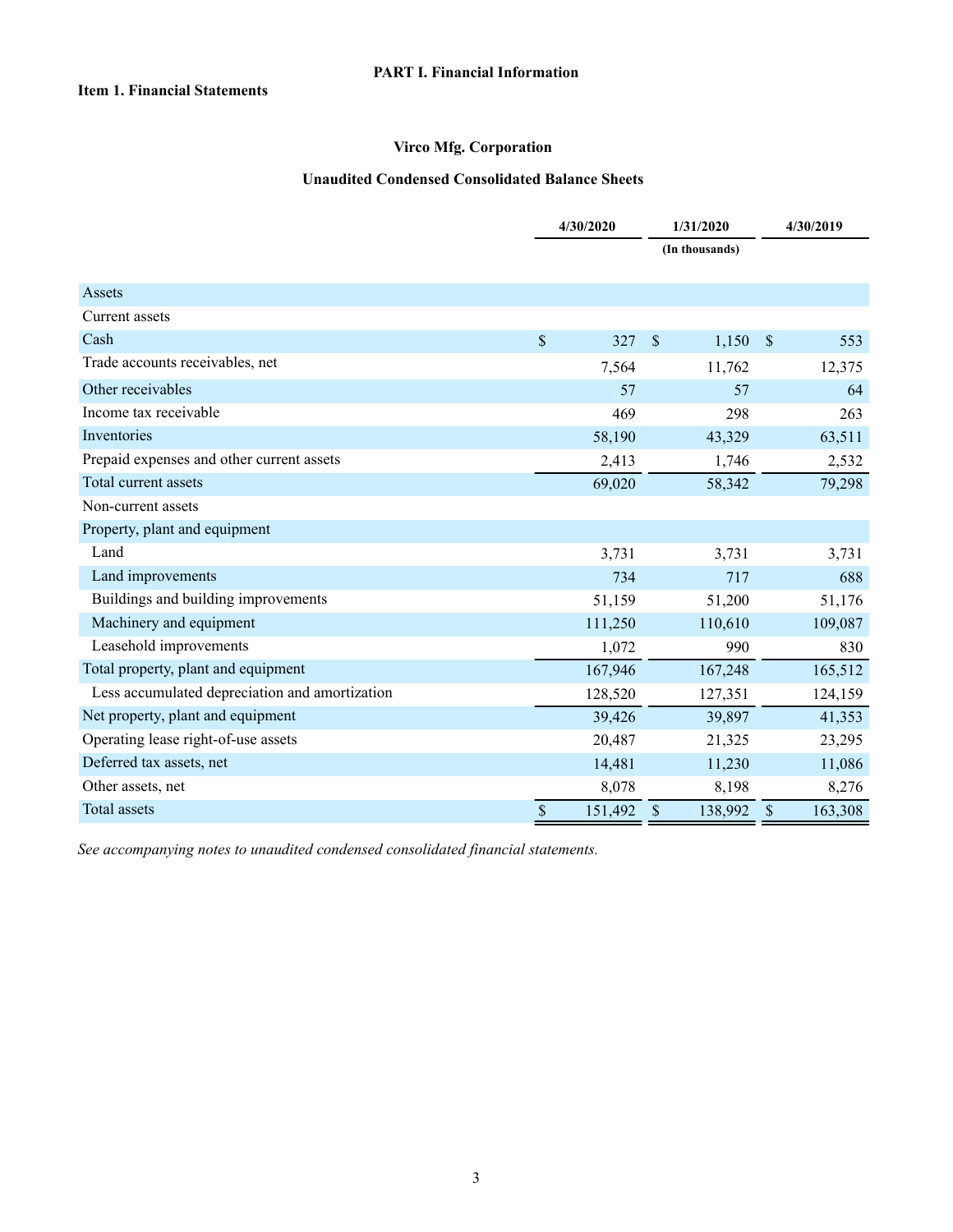#### **Unaudited Condensed Consolidated Balance Sheets**

<span id="page-3-2"></span><span id="page-3-1"></span><span id="page-3-0"></span>

|                                                | 4/30/2020   |         | 1/31/2020     |                | 4/30/2019     |         |
|------------------------------------------------|-------------|---------|---------------|----------------|---------------|---------|
|                                                |             |         |               | (In thousands) |               |         |
|                                                |             |         |               |                |               |         |
| Assets                                         |             |         |               |                |               |         |
| Current assets                                 |             |         |               |                |               |         |
| Cash                                           | $\mathbb S$ | 327     | $\mathcal{S}$ | 1,150          | $\mathcal{S}$ | 553     |
| Trade accounts receivables, net                |             | 7,564   |               | 11,762         |               | 12,375  |
| Other receivables                              |             | 57      |               | 57             |               | 64      |
| Income tax receivable                          |             | 469     |               | 298            |               | 263     |
| Inventories                                    |             | 58,190  |               | 43,329         |               | 63,511  |
| Prepaid expenses and other current assets      |             | 2,413   |               | 1,746          |               | 2,532   |
| Total current assets                           |             | 69,020  |               | 58,342         |               | 79,298  |
| Non-current assets                             |             |         |               |                |               |         |
| Property, plant and equipment                  |             |         |               |                |               |         |
| Land                                           |             | 3,731   |               | 3,731          |               | 3,731   |
| Land improvements                              |             | 734     |               | 717            |               | 688     |
| Buildings and building improvements            |             | 51,159  |               | 51,200         |               | 51,176  |
| Machinery and equipment                        |             | 111,250 |               | 110,610        |               | 109,087 |
| Leasehold improvements                         |             | 1,072   |               | 990            |               | 830     |
| Total property, plant and equipment            |             | 167,946 |               | 167,248        |               | 165,512 |
| Less accumulated depreciation and amortization |             | 128,520 |               | 127,351        |               | 124,159 |
| Net property, plant and equipment              |             | 39,426  |               | 39,897         |               | 41,353  |
| Operating lease right-of-use assets            |             | 20,487  |               | 21,325         |               | 23,295  |
| Deferred tax assets, net                       |             | 14,481  |               | 11,230         |               | 11,086  |
| Other assets, net                              |             | 8,078   |               | 8,198          |               | 8,276   |
| Total assets                                   | $\$$        | 151,492 | $\mathcal{S}$ | 138,992        | $\mathcal{S}$ | 163,308 |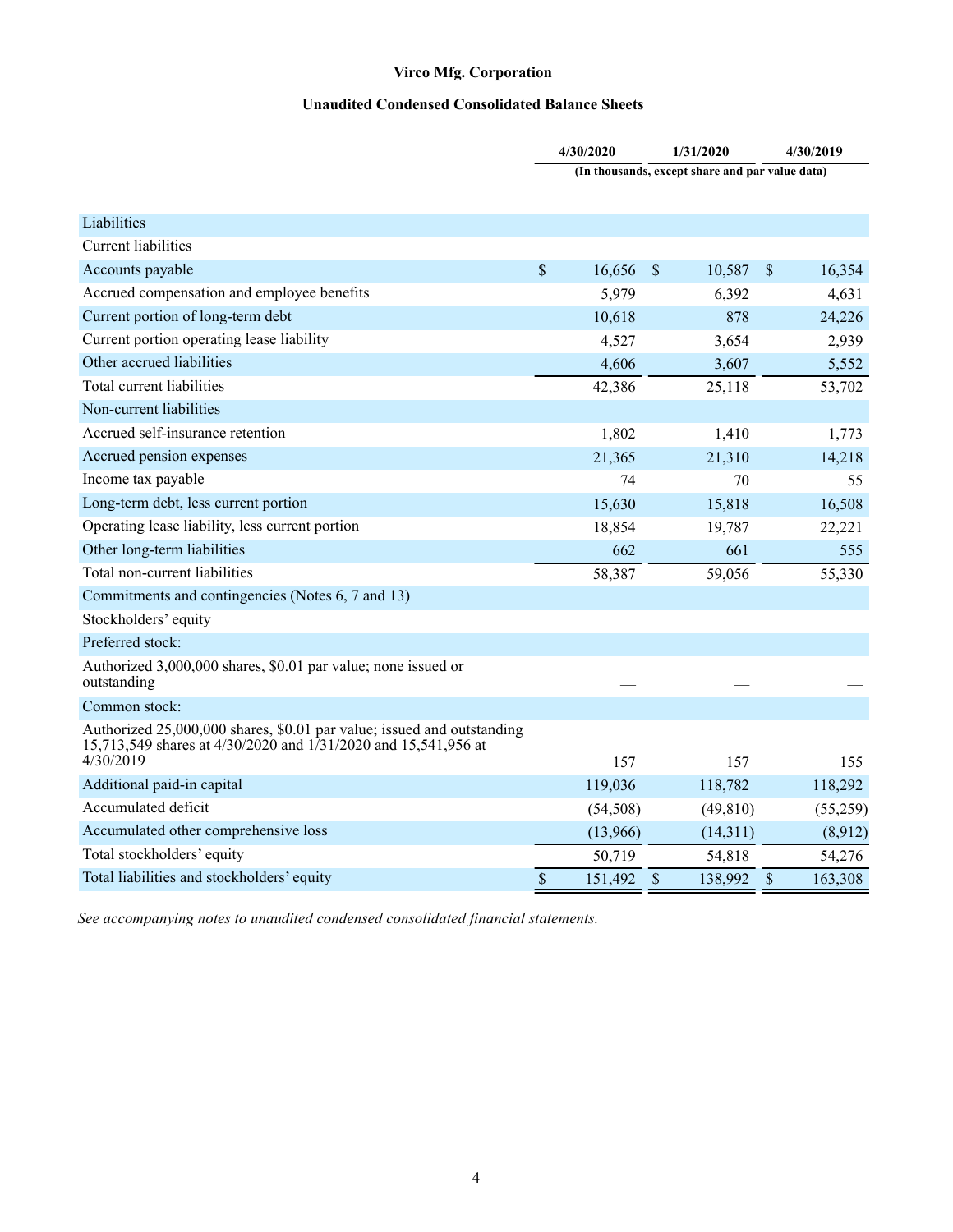## **Unaudited Condensed Consolidated Balance Sheets**

|                                                                                                                                          | 4/30/2020                                       |                           | 1/31/2020 |               | 4/30/2019 |  |
|------------------------------------------------------------------------------------------------------------------------------------------|-------------------------------------------------|---------------------------|-----------|---------------|-----------|--|
|                                                                                                                                          | (In thousands, except share and par value data) |                           |           |               |           |  |
| Liabilities                                                                                                                              |                                                 |                           |           |               |           |  |
| <b>Current liabilities</b>                                                                                                               |                                                 |                           |           |               |           |  |
| Accounts payable                                                                                                                         | \$<br>16,656                                    | $\mathcal{S}$             | 10,587    | $\mathcal{S}$ | 16,354    |  |
| Accrued compensation and employee benefits                                                                                               | 5,979                                           |                           | 6,392     |               | 4,631     |  |
| Current portion of long-term debt                                                                                                        | 10,618                                          |                           | 878       |               | 24,226    |  |
| Current portion operating lease liability                                                                                                | 4,527                                           |                           | 3,654     |               | 2,939     |  |
| Other accrued liabilities                                                                                                                | 4,606                                           |                           | 3,607     |               | 5,552     |  |
| Total current liabilities                                                                                                                | 42,386                                          |                           | 25,118    |               | 53,702    |  |
| Non-current liabilities                                                                                                                  |                                                 |                           |           |               |           |  |
| Accrued self-insurance retention                                                                                                         | 1,802                                           |                           | 1,410     |               | 1,773     |  |
| Accrued pension expenses                                                                                                                 | 21,365                                          |                           | 21,310    |               | 14,218    |  |
| Income tax payable                                                                                                                       | 74                                              |                           | 70        |               | 55        |  |
| Long-term debt, less current portion                                                                                                     | 15,630                                          |                           | 15,818    |               | 16,508    |  |
| Operating lease liability, less current portion                                                                                          | 18,854                                          |                           | 19,787    |               | 22,221    |  |
| Other long-term liabilities                                                                                                              | 662                                             |                           | 661       |               | 555       |  |
| Total non-current liabilities                                                                                                            | 58,387                                          |                           | 59,056    |               | 55,330    |  |
| Commitments and contingencies (Notes 6, 7 and 13)                                                                                        |                                                 |                           |           |               |           |  |
| Stockholders' equity                                                                                                                     |                                                 |                           |           |               |           |  |
| Preferred stock:                                                                                                                         |                                                 |                           |           |               |           |  |
| Authorized 3,000,000 shares, \$0.01 par value; none issued or<br>outstanding                                                             |                                                 |                           |           |               |           |  |
| Common stock:                                                                                                                            |                                                 |                           |           |               |           |  |
| Authorized 25,000,000 shares, \$0.01 par value; issued and outstanding<br>15,713,549 shares at 4/30/2020 and 1/31/2020 and 15,541,956 at |                                                 |                           |           |               |           |  |
| 4/30/2019                                                                                                                                | 157                                             |                           | 157       |               | 155       |  |
| Additional paid-in capital                                                                                                               | 119,036                                         |                           | 118,782   |               | 118,292   |  |
| Accumulated deficit                                                                                                                      | (54, 508)                                       |                           | (49, 810) |               | (55,259)  |  |
| Accumulated other comprehensive loss                                                                                                     | (13,966)                                        |                           | (14,311)  |               | (8,912)   |  |
| Total stockholders' equity                                                                                                               | 50,719                                          |                           | 54,818    |               | 54,276    |  |
| Total liabilities and stockholders' equity                                                                                               | \$<br>151,492                                   | $\boldsymbol{\mathsf{S}}$ | 138,992   | $\mathcal{S}$ | 163,308   |  |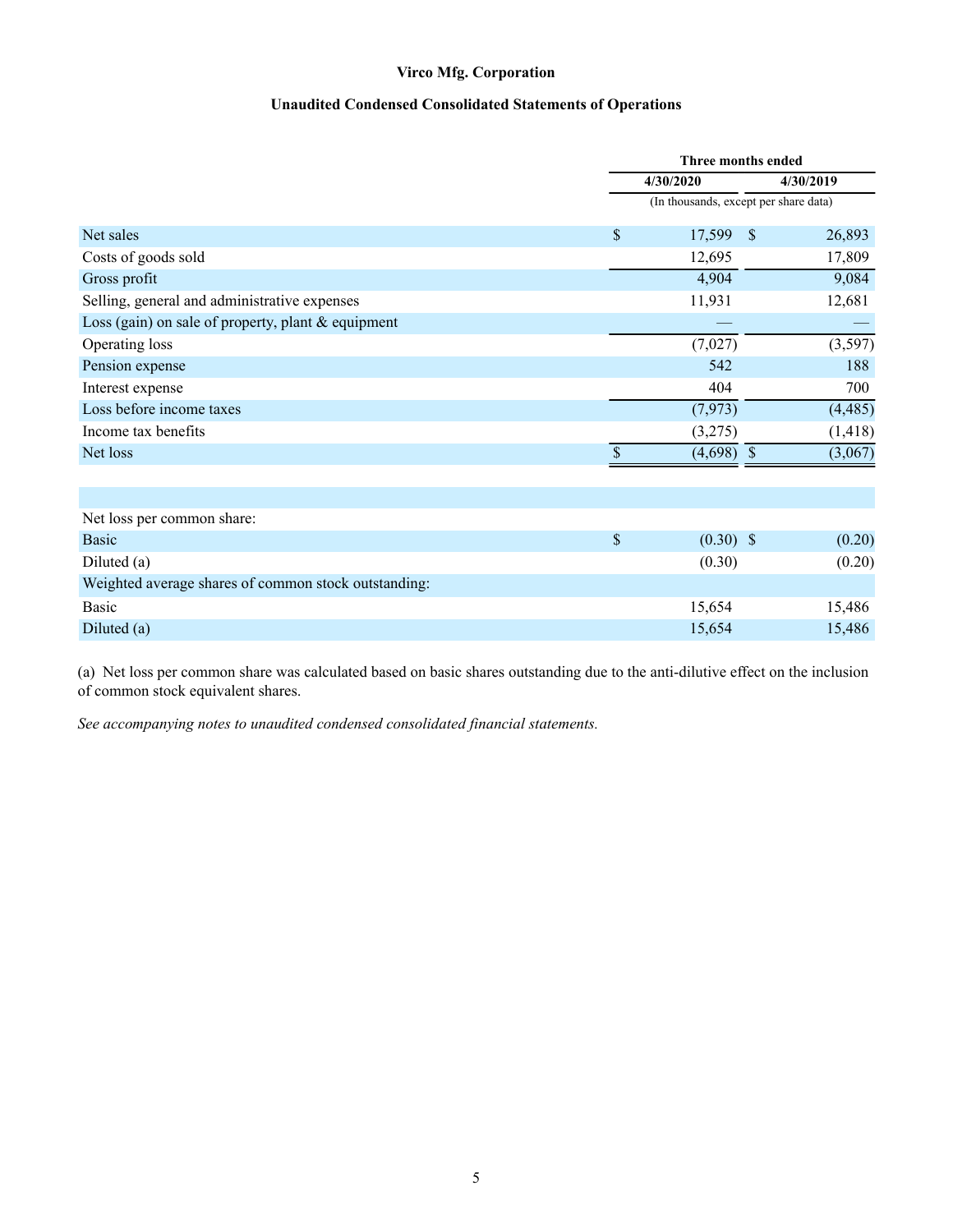#### **Unaudited Condensed Consolidated Statements of Operations**

<span id="page-5-0"></span>

|                                                      |             | Three months ended                    |               |          |  |  |
|------------------------------------------------------|-------------|---------------------------------------|---------------|----------|--|--|
|                                                      |             | 4/30/2020                             |               |          |  |  |
|                                                      |             | (In thousands, except per share data) |               |          |  |  |
| Net sales                                            | \$          | 17,599                                | $\mathcal{S}$ | 26,893   |  |  |
| Costs of goods sold                                  |             | 12,695                                |               | 17,809   |  |  |
| Gross profit                                         |             | 4,904                                 |               | 9,084    |  |  |
| Selling, general and administrative expenses         |             | 11,931                                |               | 12,681   |  |  |
| Loss (gain) on sale of property, plant $&$ equipment |             |                                       |               |          |  |  |
| Operating loss                                       |             | (7,027)                               |               | (3,597)  |  |  |
| Pension expense                                      |             | 542                                   |               | 188      |  |  |
| Interest expense                                     |             | 404                                   |               | 700      |  |  |
| Loss before income taxes                             |             | (7, 973)                              |               | (4, 485) |  |  |
| Income tax benefits                                  |             | (3,275)                               |               | (1, 418) |  |  |
| Net loss                                             | $\mathbb S$ | (4,698)                               | $\mathbb{S}$  | (3,067)  |  |  |
|                                                      |             |                                       |               |          |  |  |
| Net loss per common share:                           |             |                                       |               |          |  |  |
| <b>Basic</b>                                         | \$          | $(0.30)$ \$                           |               | (0.20)   |  |  |
| Diluted (a)                                          |             | (0.30)                                |               | (0.20)   |  |  |
| Weighted average shares of common stock outstanding: |             |                                       |               |          |  |  |
| <b>Basic</b>                                         |             | 15,654                                |               | 15,486   |  |  |
| Diluted (a)                                          |             | 15,654                                |               | 15,486   |  |  |

(a) Net loss per common share was calculated based on basic shares outstanding due to the anti-dilutive effect on the inclusion of common stock equivalent shares.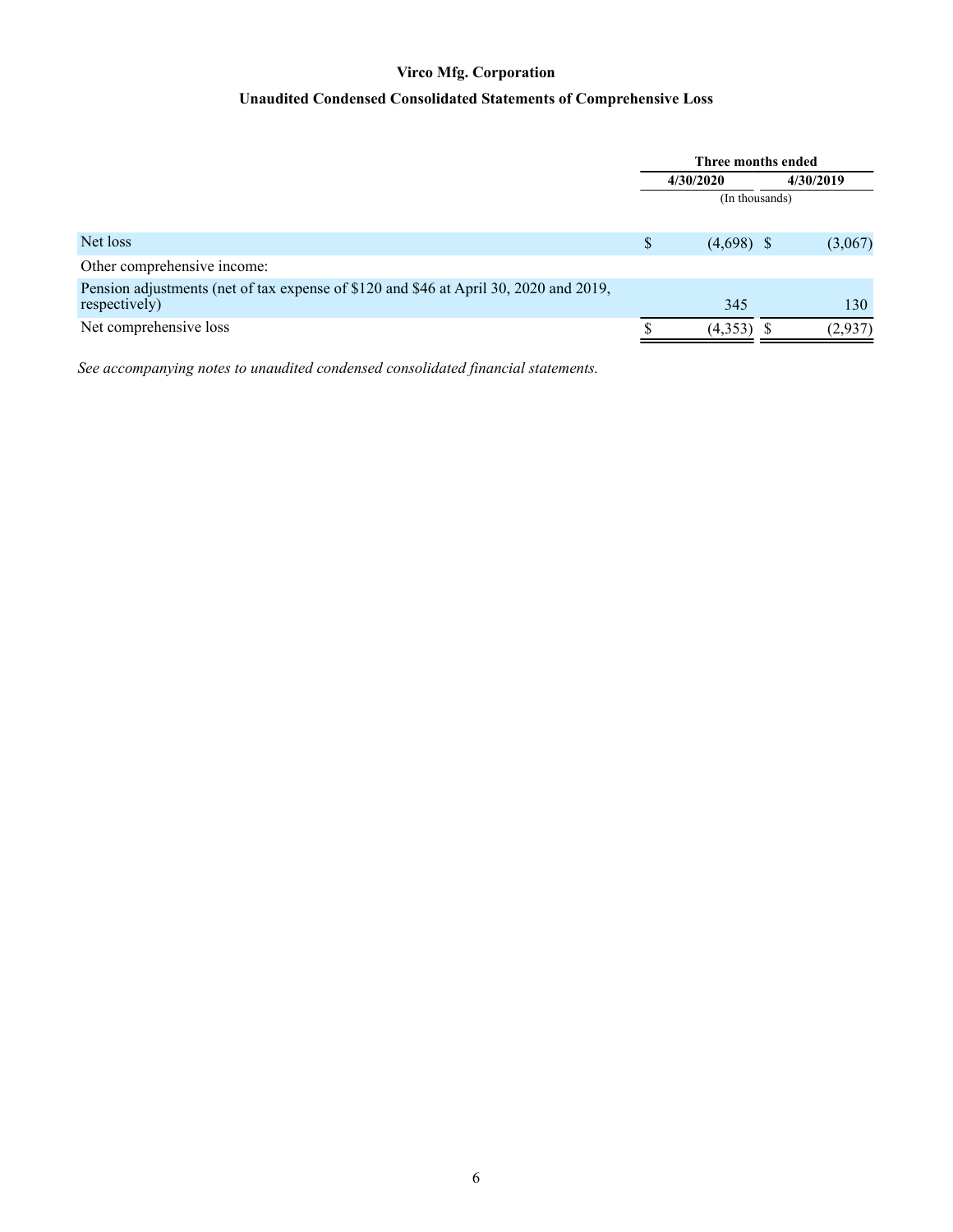## **Unaudited Condensed Consolidated Statements of Comprehensive Loss**

<span id="page-6-0"></span>

|                                                                                       | Three months ended |              |  |           |
|---------------------------------------------------------------------------------------|--------------------|--------------|--|-----------|
|                                                                                       |                    | 4/30/2020    |  | 4/30/2019 |
|                                                                                       | (In thousands)     |              |  |           |
|                                                                                       |                    |              |  |           |
| Net loss                                                                              | \$                 | $(4,698)$ \$ |  | (3,067)   |
| Other comprehensive income:                                                           |                    |              |  |           |
| Pension adjustments (net of tax expense of \$120 and \$46 at April 30, 2020 and 2019, |                    |              |  |           |
| respectively)                                                                         |                    | 345          |  | 130       |
| Net comprehensive loss                                                                |                    | (4,353)      |  | (2,937)   |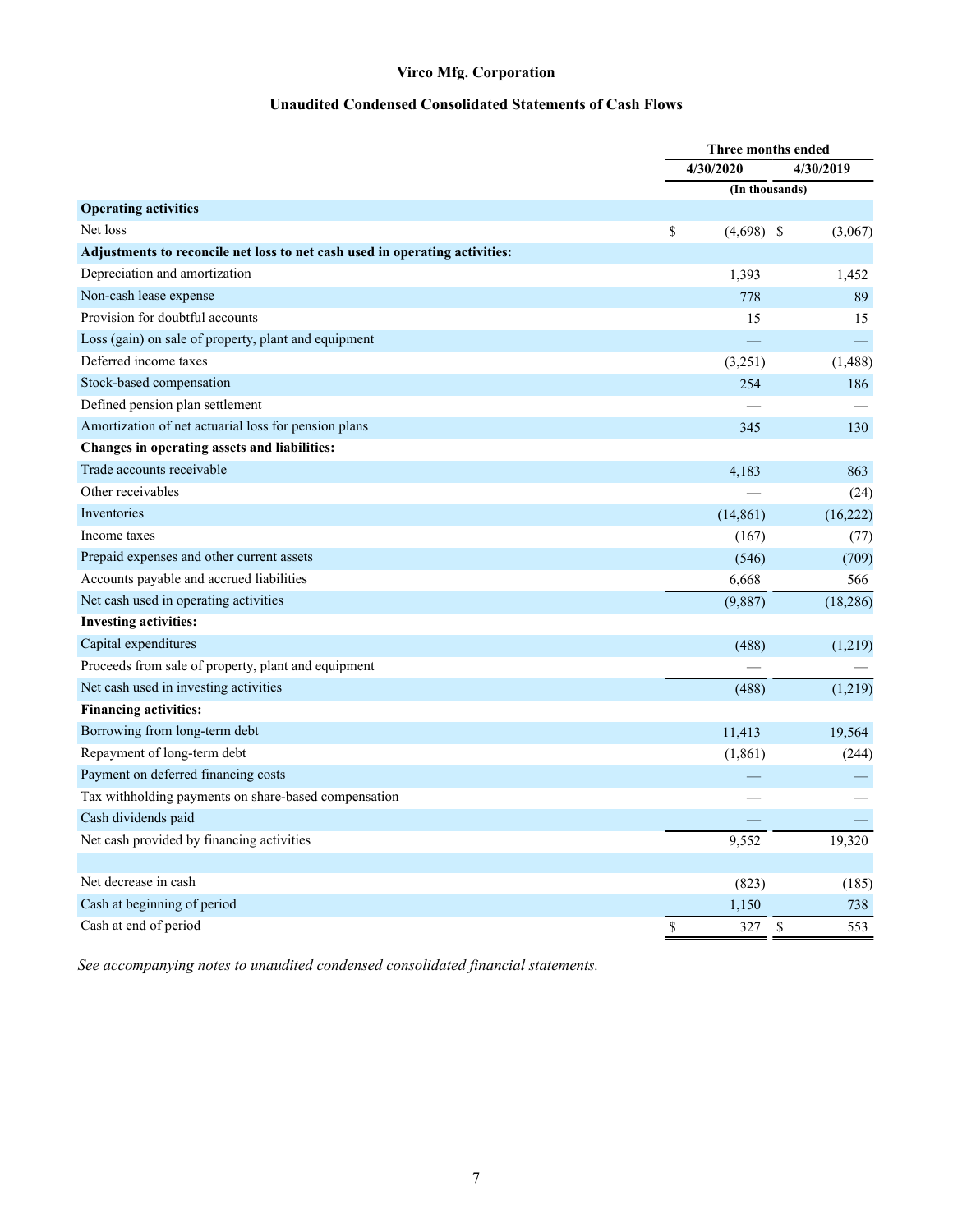## **Unaudited Condensed Consolidated Statements of Cash Flows**

<span id="page-7-0"></span>

|                                                                             | Three months ended |           |  |
|-----------------------------------------------------------------------------|--------------------|-----------|--|
|                                                                             | 4/30/2020          | 4/30/2019 |  |
|                                                                             | (In thousands)     |           |  |
| <b>Operating activities</b>                                                 |                    |           |  |
| Net loss                                                                    | \$<br>$(4,698)$ \$ | (3,067)   |  |
| Adjustments to reconcile net loss to net cash used in operating activities: |                    |           |  |
| Depreciation and amortization                                               | 1,393              | 1,452     |  |
| Non-cash lease expense                                                      | 778                | 89        |  |
| Provision for doubtful accounts                                             | 15                 | 15        |  |
| Loss (gain) on sale of property, plant and equipment                        |                    |           |  |
| Deferred income taxes                                                       | (3,251)            | (1, 488)  |  |
| Stock-based compensation                                                    | 254                | 186       |  |
| Defined pension plan settlement                                             |                    |           |  |
| Amortization of net actuarial loss for pension plans                        | 345                | 130       |  |
| Changes in operating assets and liabilities:                                |                    |           |  |
| Trade accounts receivable                                                   | 4,183              | 863       |  |
| Other receivables                                                           |                    | (24)      |  |
| Inventories                                                                 | (14, 861)          | (16,222)  |  |
| Income taxes                                                                | (167)              | (77)      |  |
| Prepaid expenses and other current assets                                   | (546)              | (709)     |  |
| Accounts payable and accrued liabilities                                    | 6,668              | 566       |  |
| Net cash used in operating activities                                       | (9,887)            | (18, 286) |  |
| <b>Investing activities:</b>                                                |                    |           |  |
| Capital expenditures                                                        | (488)              | (1,219)   |  |
| Proceeds from sale of property, plant and equipment                         |                    |           |  |
| Net cash used in investing activities                                       | (488)              | (1,219)   |  |
| <b>Financing activities:</b>                                                |                    |           |  |
| Borrowing from long-term debt                                               | 11,413             | 19,564    |  |
| Repayment of long-term debt                                                 | (1, 861)           | (244)     |  |
| Payment on deferred financing costs                                         |                    |           |  |
| Tax withholding payments on share-based compensation                        |                    |           |  |
| Cash dividends paid                                                         |                    |           |  |
| Net cash provided by financing activities                                   | 9,552              | 19,320    |  |
|                                                                             |                    |           |  |
| Net decrease in cash                                                        | (823)              | (185)     |  |
| Cash at beginning of period                                                 | 1,150              | 738       |  |
| Cash at end of period                                                       | \$<br>327          | \$<br>553 |  |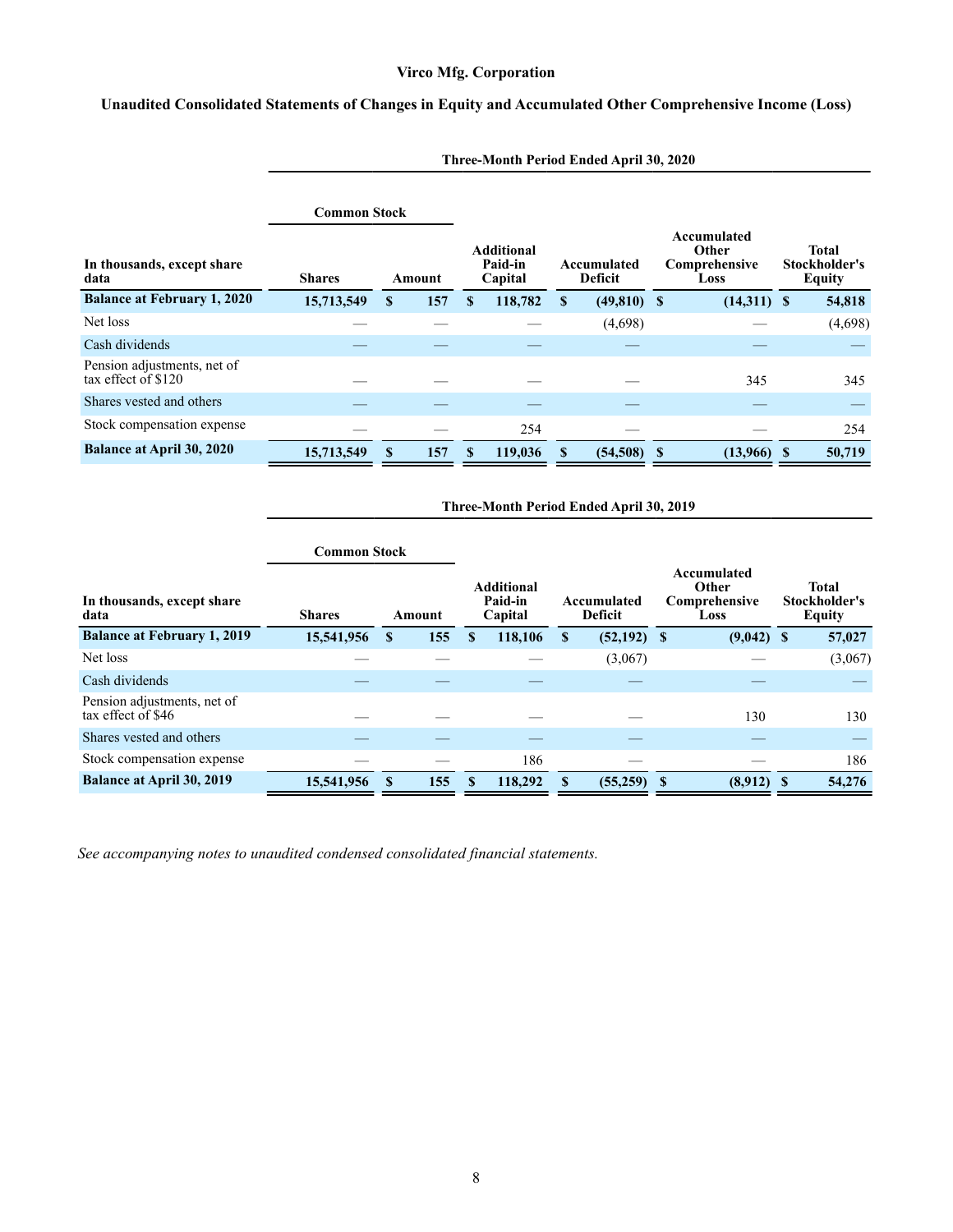#### <span id="page-8-0"></span>**Unaudited Consolidated Statements of Changes in Equity and Accumulated Other Comprehensive Income (Loss)**

|                                                    | THree-Month Period Ended April 50, 2020 |          |                                                                                                                                     |     |         |   |               |  |                                         |  |         |
|----------------------------------------------------|-----------------------------------------|----------|-------------------------------------------------------------------------------------------------------------------------------------|-----|---------|---|---------------|--|-----------------------------------------|--|---------|
|                                                    | <b>Common Stock</b>                     |          |                                                                                                                                     |     |         |   |               |  |                                         |  |         |
| In thousands, except share<br>data                 | <b>Shares</b>                           |          | Accumulated<br><b>Additional</b><br>Other<br>Paid-in<br>Comprehensive<br>Accumulated<br><b>Deficit</b><br>Capital<br>Amount<br>Loss |     |         |   |               |  | <b>Total</b><br>Stockholder's<br>Equity |  |         |
| <b>Balance at February 1, 2020</b>                 | 15,713,549                              | <b>S</b> | 157                                                                                                                                 | \$. | 118,782 | S | $(49,810)$ \$ |  | $(14,311)$ \$                           |  | 54,818  |
| Net loss                                           |                                         |          |                                                                                                                                     |     |         |   | (4,698)       |  |                                         |  | (4,698) |
| Cash dividends                                     |                                         |          |                                                                                                                                     |     |         |   |               |  |                                         |  |         |
| Pension adjustments, net of<br>tax effect of \$120 |                                         |          |                                                                                                                                     |     |         |   |               |  | 345                                     |  | 345     |
| Shares vested and others                           |                                         |          |                                                                                                                                     |     |         |   |               |  |                                         |  |         |
| Stock compensation expense                         |                                         |          |                                                                                                                                     |     | 254     |   |               |  |                                         |  | 254     |
| <b>Balance at April 30, 2020</b>                   | 15,713,549                              |          | 157                                                                                                                                 | S   | 119,036 |   | (54, 508)     |  | $(13,966)$ \$                           |  | 50,719  |
|                                                    |                                         |          |                                                                                                                                     |     |         |   |               |  |                                         |  |         |

#### **Three-Month Period Ended April 30, 2020**

#### **Three-Month Period Ended April 30, 2019**

|                                                   | <b>Common Stock</b> |           |                                         |                                |                                               |                                         |
|---------------------------------------------------|---------------------|-----------|-----------------------------------------|--------------------------------|-----------------------------------------------|-----------------------------------------|
| In thousands, except share<br>data                | <b>Shares</b>       | Amount    | <b>Additional</b><br>Paid-in<br>Capital | Accumulated<br><b>Deficit</b>  | Accumulated<br>Other<br>Comprehensive<br>Loss | <b>Total</b><br>Stockholder's<br>Equity |
| <b>Balance at February 1, 2019</b>                | 15,541,956          | 155<br>S  | 118,106<br>\$                           | $(52,192)$ \$<br><sup>\$</sup> | $(9,042)$ \$                                  | 57,027                                  |
| Net loss                                          |                     |           |                                         | (3,067)                        |                                               | (3,067)                                 |
| Cash dividends                                    |                     |           |                                         |                                |                                               |                                         |
| Pension adjustments, net of<br>tax effect of \$46 |                     |           |                                         |                                | 130                                           | 130                                     |
| Shares vested and others                          |                     |           |                                         |                                |                                               |                                         |
| Stock compensation expense                        |                     |           | 186                                     |                                |                                               | 186                                     |
| <b>Balance at April 30, 2019</b>                  | 15,541,956          | 155<br>\$ | 118,292<br>S                            | $(55,259)$ \$                  | $(8,912)$ \$                                  | 54,276                                  |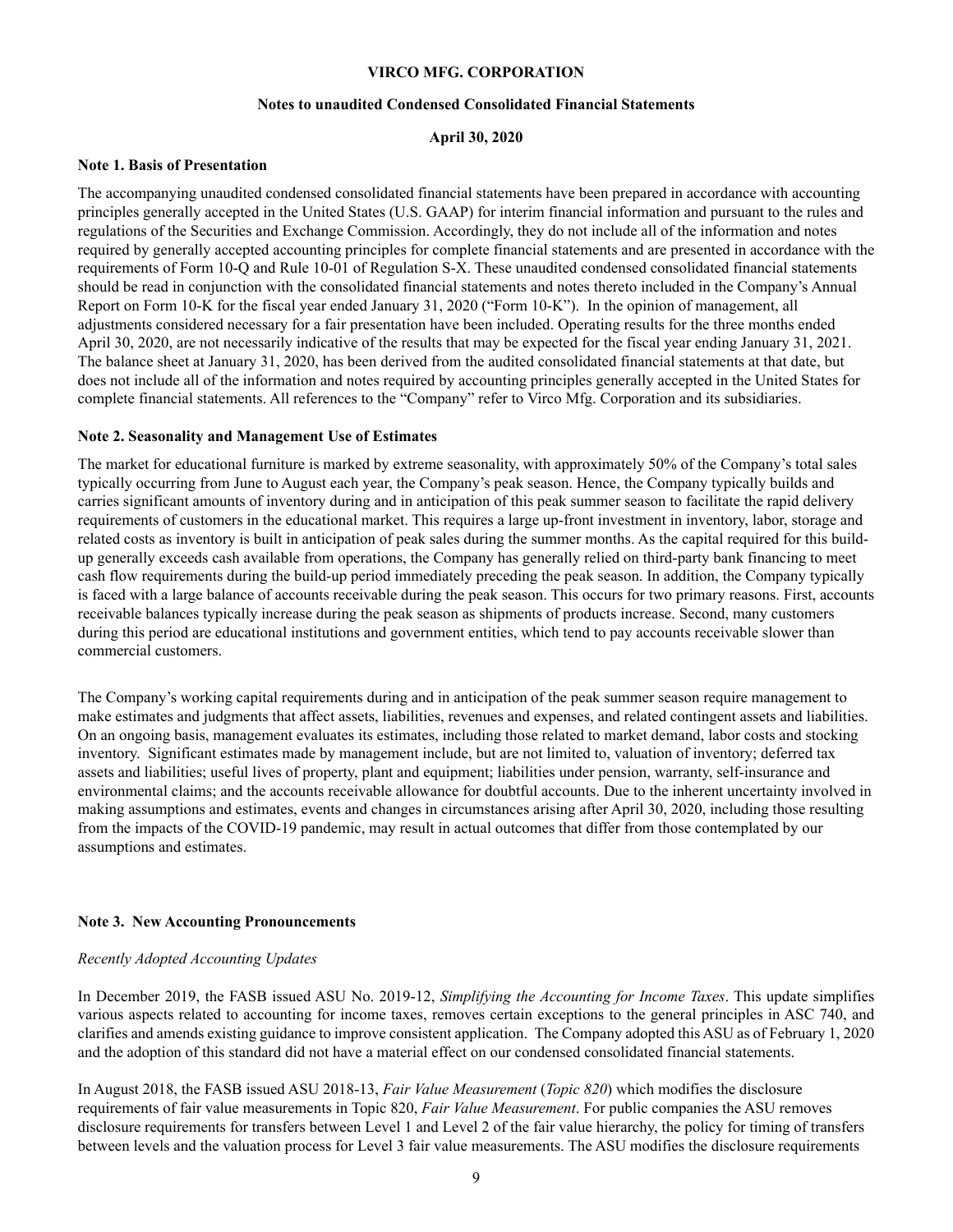#### **VIRCO MFG. CORPORATION**

#### **Notes to unaudited Condensed Consolidated Financial Statements**

#### **April 30, 2020**

#### <span id="page-9-0"></span>**Note 1. Basis of Presentation**

The accompanying unaudited condensed consolidated financial statements have been prepared in accordance with accounting principles generally accepted in the United States (U.S. GAAP) for interim financial information and pursuant to the rules and regulations of the Securities and Exchange Commission. Accordingly, they do not include all of the information and notes required by generally accepted accounting principles for complete financial statements and are presented in accordance with the requirements of Form 10-Q and Rule 10-01 of Regulation S-X. These unaudited condensed consolidated financial statements should be read in conjunction with the consolidated financial statements and notes thereto included in the Company's Annual Report on Form 10-K for the fiscal year ended January 31, 2020 ("Form 10-K"). In the opinion of management, all adjustments considered necessary for a fair presentation have been included. Operating results for the three months ended April 30, 2020, are not necessarily indicative of the results that may be expected for the fiscal year ending January 31, 2021. The balance sheet at January 31, 2020, has been derived from the audited consolidated financial statements at that date, but does not include all of the information and notes required by accounting principles generally accepted in the United States for complete financial statements. All references to the "Company" refer to Virco Mfg. Corporation and its subsidiaries.

#### **Note 2. Seasonality and Management Use of Estimates**

The market for educational furniture is marked by extreme seasonality, with approximately 50% of the Company's total sales typically occurring from June to August each year, the Company's peak season. Hence, the Company typically builds and carries significant amounts of inventory during and in anticipation of this peak summer season to facilitate the rapid delivery requirements of customers in the educational market. This requires a large up-front investment in inventory, labor, storage and related costs as inventory is built in anticipation of peak sales during the summer months. As the capital required for this buildup generally exceeds cash available from operations, the Company has generally relied on third-party bank financing to meet cash flow requirements during the build-up period immediately preceding the peak season. In addition, the Company typically is faced with a large balance of accounts receivable during the peak season. This occurs for two primary reasons. First, accounts receivable balances typically increase during the peak season as shipments of products increase. Second, many customers during this period are educational institutions and government entities, which tend to pay accounts receivable slower than commercial customers.

The Company's working capital requirements during and in anticipation of the peak summer season require management to make estimates and judgments that affect assets, liabilities, revenues and expenses, and related contingent assets and liabilities. On an ongoing basis, management evaluates its estimates, including those related to market demand, labor costs and stocking inventory. Significant estimates made by management include, but are not limited to, valuation of inventory; deferred tax assets and liabilities; useful lives of property, plant and equipment; liabilities under pension, warranty, self-insurance and environmental claims; and the accounts receivable allowance for doubtful accounts. Due to the inherent uncertainty involved in making assumptions and estimates, events and changes in circumstances arising after April 30, 2020, including those resulting from the impacts of the COVID-19 pandemic, may result in actual outcomes that differ from those contemplated by our assumptions and estimates.

#### **Note 3. New Accounting Pronouncements**

#### *Recently Adopted Accounting Updates*

In December 2019, the FASB issued ASU No. 2019-12, *Simplifying the Accounting for Income Taxes*. This update simplifies various aspects related to accounting for income taxes, removes certain exceptions to the general principles in ASC 740, and clarifies and amends existing guidance to improve consistent application. The Company adopted this ASU as of February 1, 2020 and the adoption of this standard did not have a material effect on our condensed consolidated financial statements.

In August 2018, the FASB issued ASU 2018-13, *Fair Value Measurement* (*Topic 820*) which modifies the disclosure requirements of fair value measurements in Topic 820, *Fair Value Measurement*. For public companies the ASU removes disclosure requirements for transfers between Level 1 and Level 2 of the fair value hierarchy, the policy for timing of transfers between levels and the valuation process for Level 3 fair value measurements. The ASU modifies the disclosure requirements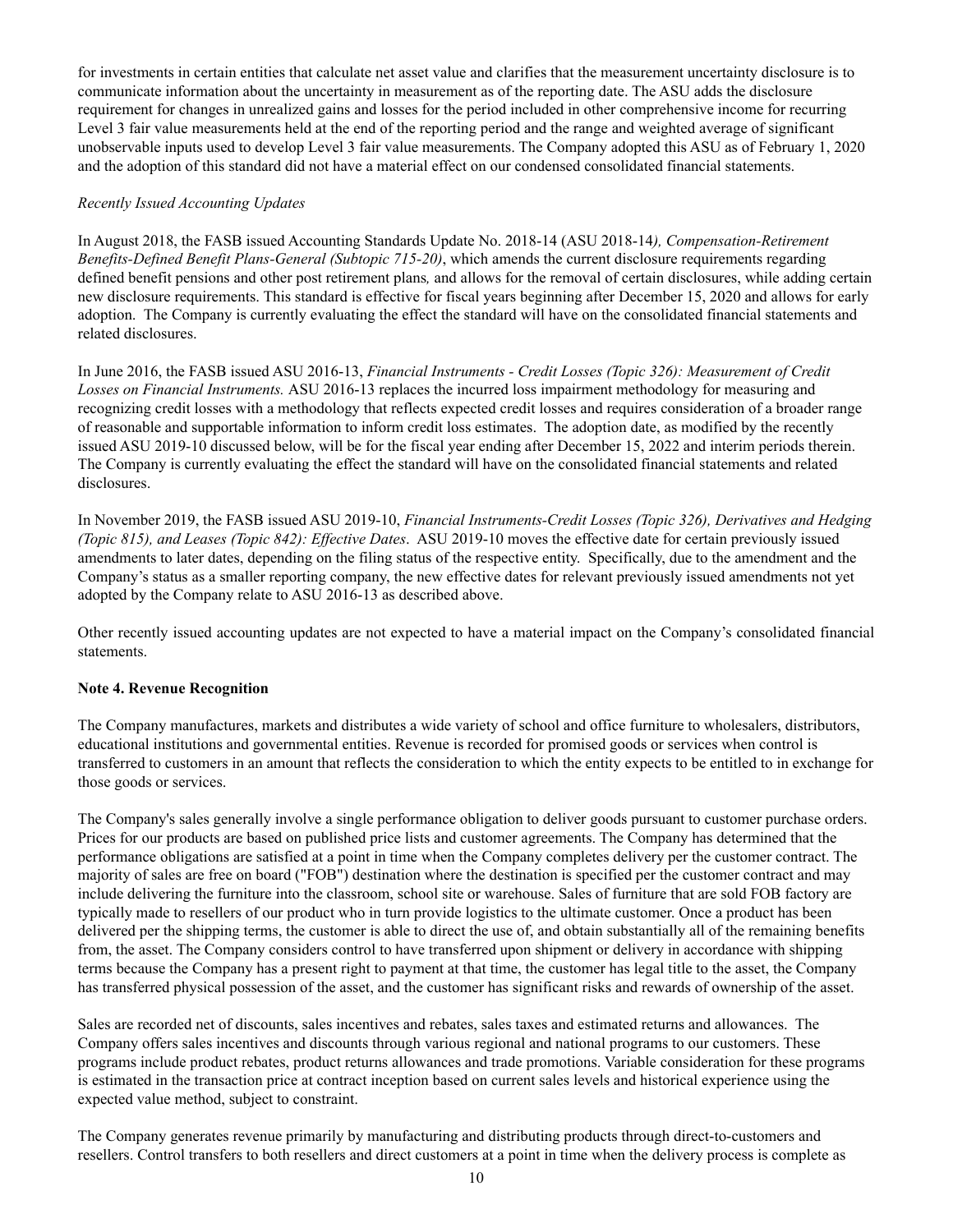for investments in certain entities that calculate net asset value and clarifies that the measurement uncertainty disclosure is to communicate information about the uncertainty in measurement as of the reporting date. The ASU adds the disclosure requirement for changes in unrealized gains and losses for the period included in other comprehensive income for recurring Level 3 fair value measurements held at the end of the reporting period and the range and weighted average of significant unobservable inputs used to develop Level 3 fair value measurements. The Company adopted this ASU as of February 1, 2020 and the adoption of this standard did not have a material effect on our condensed consolidated financial statements.

#### *Recently Issued Accounting Updates*

In August 2018, the FASB issued Accounting Standards Update No. 2018-14 (ASU 2018-14*), Compensation-Retirement Benefits-Defined Benefit Plans-General (Subtopic 715-20)*, which amends the current disclosure requirements regarding defined benefit pensions and other post retirement plans*,* and allows for the removal of certain disclosures, while adding certain new disclosure requirements. This standard is effective for fiscal years beginning after December 15, 2020 and allows for early adoption. The Company is currently evaluating the effect the standard will have on the consolidated financial statements and related disclosures.

In June 2016, the FASB issued ASU 2016-13, *Financial Instruments - Credit Losses (Topic 326): Measurement of Credit Losses on Financial Instruments.* ASU 2016-13 replaces the incurred loss impairment methodology for measuring and recognizing credit losses with a methodology that reflects expected credit losses and requires consideration of a broader range of reasonable and supportable information to inform credit loss estimates. The adoption date, as modified by the recently issued ASU 2019-10 discussed below, will be for the fiscal year ending after December 15, 2022 and interim periods therein. The Company is currently evaluating the effect the standard will have on the consolidated financial statements and related disclosures.

In November 2019, the FASB issued ASU 2019-10, *Financial Instruments-Credit Losses (Topic 326), Derivatives and Hedging (Topic 815), and Leases (Topic 842): Effective Dates*. ASU 2019-10 moves the effective date for certain previously issued amendments to later dates, depending on the filing status of the respective entity. Specifically, due to the amendment and the Company's status as a smaller reporting company, the new effective dates for relevant previously issued amendments not yet adopted by the Company relate to ASU 2016-13 as described above.

Other recently issued accounting updates are not expected to have a material impact on the Company's consolidated financial statements.

#### **Note 4. Revenue Recognition**

The Company manufactures, markets and distributes a wide variety of school and office furniture to wholesalers, distributors, educational institutions and governmental entities. Revenue is recorded for promised goods or services when control is transferred to customers in an amount that reflects the consideration to which the entity expects to be entitled to in exchange for those goods or services.

The Company's sales generally involve a single performance obligation to deliver goods pursuant to customer purchase orders. Prices for our products are based on published price lists and customer agreements. The Company has determined that the performance obligations are satisfied at a point in time when the Company completes delivery per the customer contract. The majority of sales are free on board ("FOB") destination where the destination is specified per the customer contract and may include delivering the furniture into the classroom, school site or warehouse. Sales of furniture that are sold FOB factory are typically made to resellers of our product who in turn provide logistics to the ultimate customer. Once a product has been delivered per the shipping terms, the customer is able to direct the use of, and obtain substantially all of the remaining benefits from, the asset. The Company considers control to have transferred upon shipment or delivery in accordance with shipping terms because the Company has a present right to payment at that time, the customer has legal title to the asset, the Company has transferred physical possession of the asset, and the customer has significant risks and rewards of ownership of the asset.

Sales are recorded net of discounts, sales incentives and rebates, sales taxes and estimated returns and allowances. The Company offers sales incentives and discounts through various regional and national programs to our customers. These programs include product rebates, product returns allowances and trade promotions. Variable consideration for these programs is estimated in the transaction price at contract inception based on current sales levels and historical experience using the expected value method, subject to constraint.

The Company generates revenue primarily by manufacturing and distributing products through direct-to-customers and resellers. Control transfers to both resellers and direct customers at a point in time when the delivery process is complete as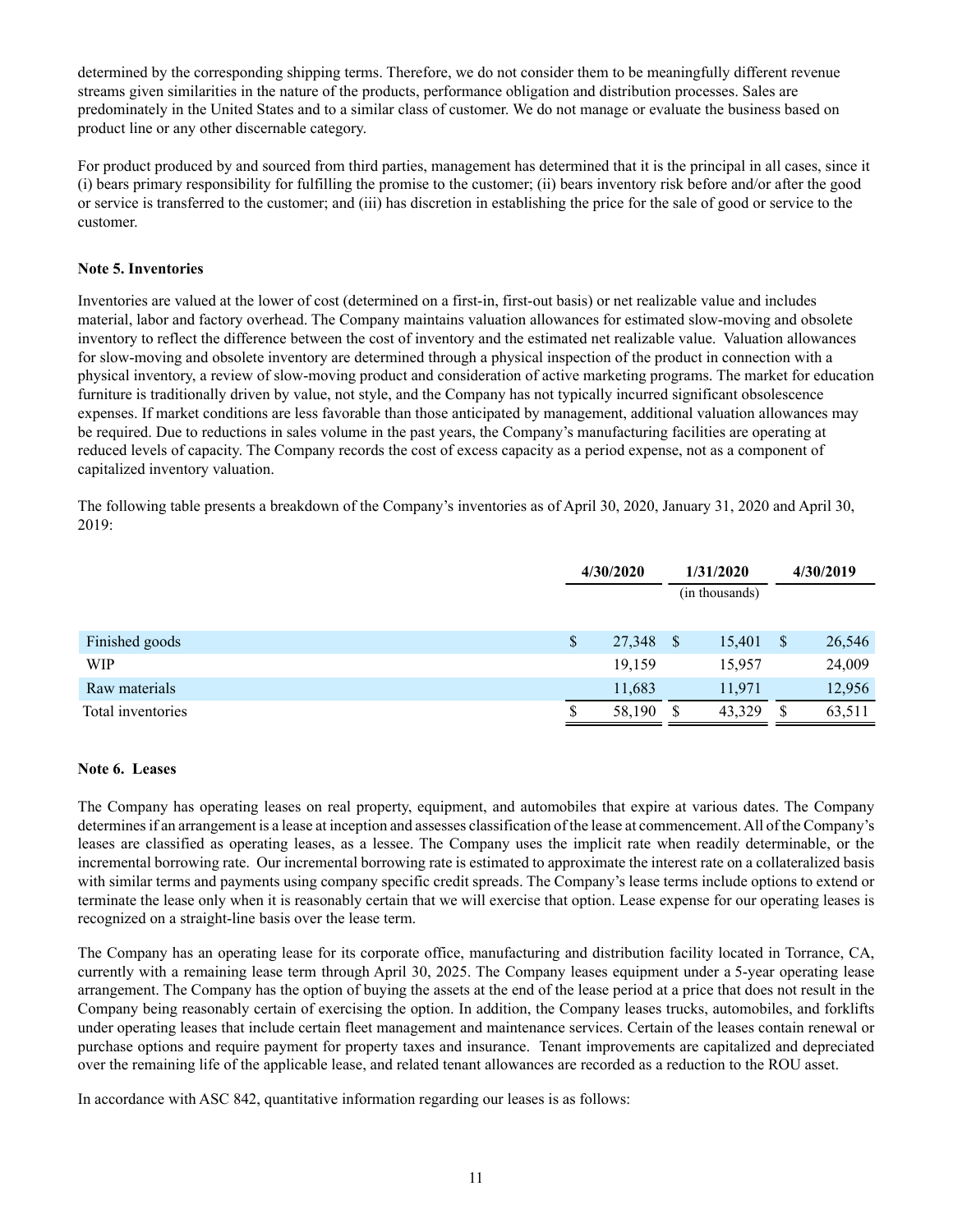determined by the corresponding shipping terms. Therefore, we do not consider them to be meaningfully different revenue streams given similarities in the nature of the products, performance obligation and distribution processes. Sales are predominately in the United States and to a similar class of customer. We do not manage or evaluate the business based on product line or any other discernable category.

For product produced by and sourced from third parties, management has determined that it is the principal in all cases, since it (i) bears primary responsibility for fulfilling the promise to the customer; (ii) bears inventory risk before and/or after the good or service is transferred to the customer; and (iii) has discretion in establishing the price for the sale of good or service to the customer.

#### **Note 5. Inventories**

Inventories are valued at the lower of cost (determined on a first-in, first-out basis) or net realizable value and includes material, labor and factory overhead. The Company maintains valuation allowances for estimated slow-moving and obsolete inventory to reflect the difference between the cost of inventory and the estimated net realizable value. Valuation allowances for slow-moving and obsolete inventory are determined through a physical inspection of the product in connection with a physical inventory, a review of slow-moving product and consideration of active marketing programs. The market for education furniture is traditionally driven by value, not style, and the Company has not typically incurred significant obsolescence expenses. If market conditions are less favorable than those anticipated by management, additional valuation allowances may be required. Due to reductions in sales volume in the past years, the Company's manufacturing facilities are operating at reduced levels of capacity. The Company records the cost of excess capacity as a period expense, not as a component of capitalized inventory valuation.

The following table presents a breakdown of the Company's inventories as of April 30, 2020, January 31, 2020 and April 30, 2019:

|                   | 4/30/2020 |        | 1/31/2020 |                | 4/30/2019    |        |
|-------------------|-----------|--------|-----------|----------------|--------------|--------|
|                   |           |        |           | (in thousands) |              |        |
|                   |           |        |           |                |              |        |
| Finished goods    | \$        | 27,348 | <b>S</b>  | 15,401         | <sup>S</sup> | 26,546 |
| <b>WIP</b>        |           | 19,159 |           | 15,957         |              | 24,009 |
| Raw materials     |           | 11,683 |           | 11,971         |              | 12,956 |
| Total inventories | S         | 58,190 | S         | 43,329         | S            | 63,511 |

#### **Note 6. Leases**

The Company has operating leases on real property, equipment, and automobiles that expire at various dates. The Company determines if an arrangement is a lease at inception and assesses classification of the lease at commencement. All of the Company's leases are classified as operating leases, as a lessee. The Company uses the implicit rate when readily determinable, or the incremental borrowing rate. Our incremental borrowing rate is estimated to approximate the interest rate on a collateralized basis with similar terms and payments using company specific credit spreads. The Company's lease terms include options to extend or terminate the lease only when it is reasonably certain that we will exercise that option. Lease expense for our operating leases is recognized on a straight-line basis over the lease term.

The Company has an operating lease for its corporate office, manufacturing and distribution facility located in Torrance, CA, currently with a remaining lease term through April 30, 2025. The Company leases equipment under a 5-year operating lease arrangement. The Company has the option of buying the assets at the end of the lease period at a price that does not result in the Company being reasonably certain of exercising the option. In addition, the Company leases trucks, automobiles, and forklifts under operating leases that include certain fleet management and maintenance services. Certain of the leases contain renewal or purchase options and require payment for property taxes and insurance. Tenant improvements are capitalized and depreciated over the remaining life of the applicable lease, and related tenant allowances are recorded as a reduction to the ROU asset.

In accordance with ASC 842, quantitative information regarding our leases is as follows: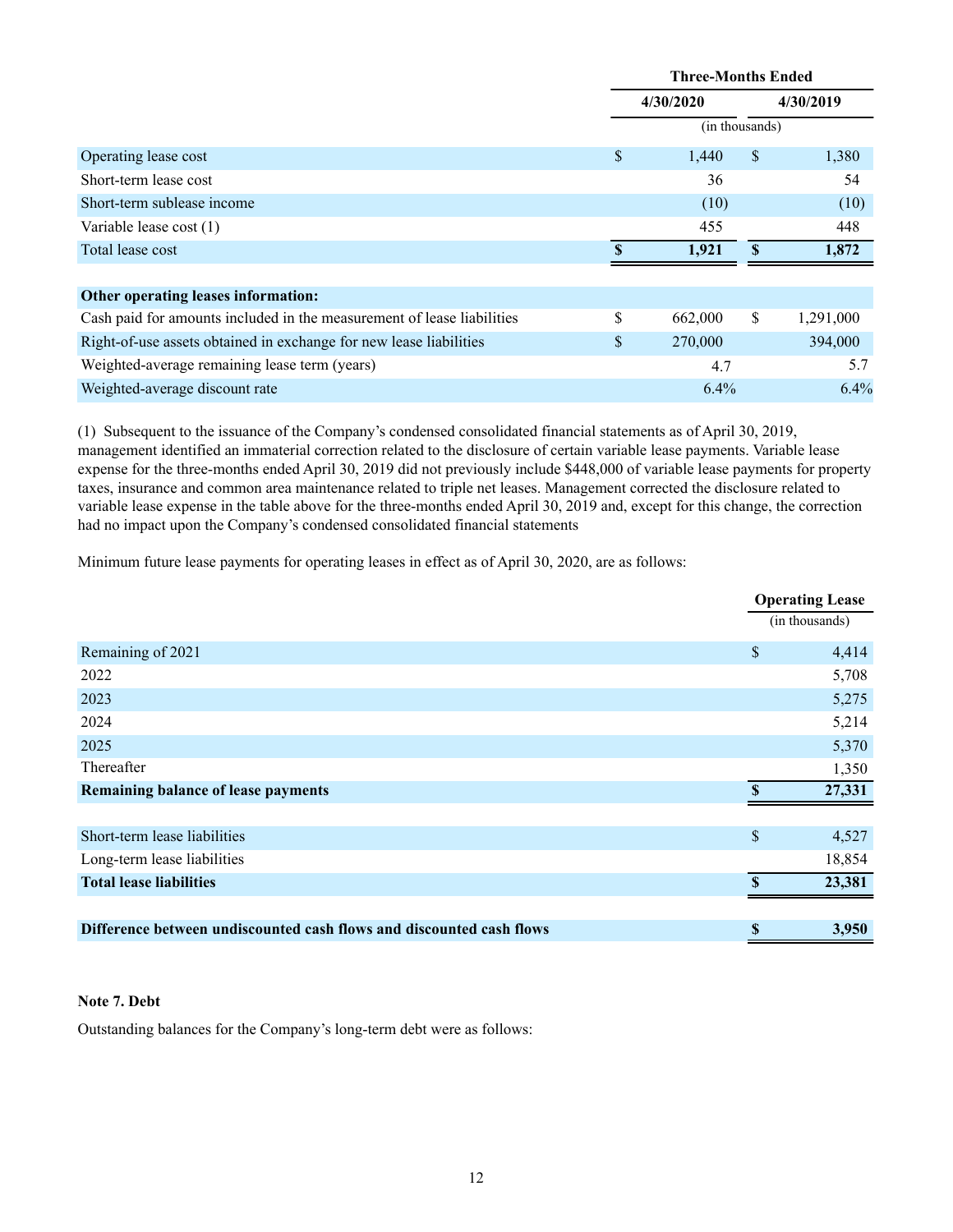|                                                                        |    | <b>Three-Months Ended</b> |              |           |  |  |
|------------------------------------------------------------------------|----|---------------------------|--------------|-----------|--|--|
|                                                                        |    | 4/30/2020                 |              | 4/30/2019 |  |  |
|                                                                        |    | (in thousands)            |              |           |  |  |
| Operating lease cost                                                   | \$ | 1,440                     | $\mathbf{s}$ | 1,380     |  |  |
| Short-term lease cost                                                  |    | 36                        |              | 54        |  |  |
| Short-term sublease income                                             |    | (10)                      |              | (10)      |  |  |
| Variable lease cost (1)                                                |    | 455                       |              | 448       |  |  |
| Total lease cost                                                       | ¢  | 1,921                     | <b>S</b>     | 1,872     |  |  |
|                                                                        |    |                           |              |           |  |  |
| Other operating leases information:                                    |    |                           |              |           |  |  |
| Cash paid for amounts included in the measurement of lease liabilities | \$ | 662,000                   | \$           | 1,291,000 |  |  |
| Right-of-use assets obtained in exchange for new lease liabilities     | \$ | 270,000                   |              | 394,000   |  |  |
| Weighted-average remaining lease term (years)                          |    | 4.7                       |              | 5.7       |  |  |
| Weighted-average discount rate                                         |    | 6.4%                      |              | 6.4%      |  |  |

(1) Subsequent to the issuance of the Company's condensed consolidated financial statements as of April 30, 2019, management identified an immaterial correction related to the disclosure of certain variable lease payments. Variable lease expense for the three-months ended April 30, 2019 did not previously include \$448,000 of variable lease payments for property taxes, insurance and common area maintenance related to triple net leases. Management corrected the disclosure related to variable lease expense in the table above for the three-months ended April 30, 2019 and, except for this change, the correction had no impact upon the Company's condensed consolidated financial statements

Minimum future lease payments for operating leases in effect as of April 30, 2020, are as follows:

|                                                                      |                           | <b>Operating Lease</b> |
|----------------------------------------------------------------------|---------------------------|------------------------|
|                                                                      |                           | (in thousands)         |
| Remaining of 2021                                                    | $\$$                      | 4,414                  |
| 2022                                                                 |                           | 5,708                  |
| 2023                                                                 |                           | 5,275                  |
| 2024                                                                 |                           | 5,214                  |
| 2025                                                                 |                           | 5,370                  |
| Thereafter                                                           |                           | 1,350                  |
| <b>Remaining balance of lease payments</b>                           |                           | 27,331                 |
|                                                                      |                           |                        |
| Short-term lease liabilities                                         | $\boldsymbol{\mathsf{S}}$ | 4,527                  |
| Long-term lease liabilities                                          |                           | 18,854                 |
| <b>Total lease liabilities</b>                                       | $\mathbf{\hat{s}}$        | 23,381                 |
|                                                                      |                           |                        |
| Difference between undiscounted cash flows and discounted cash flows | $\mathbb S$               | 3,950                  |

## **Note 7. Debt**

Outstanding balances for the Company's long-term debt were as follows: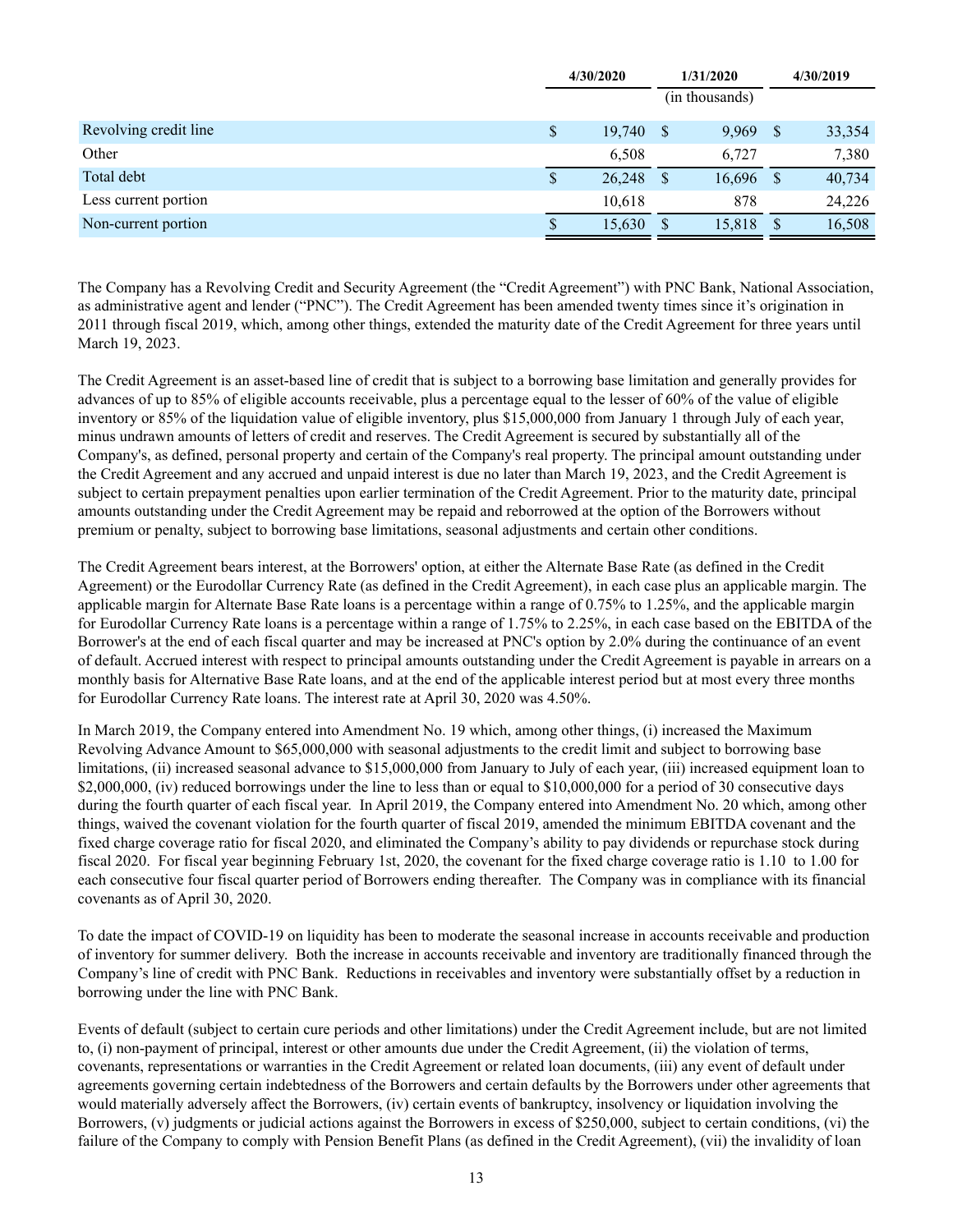|                       | 4/30/2020 |        | 1/31/2020 |                | 4/30/2019    |        |
|-----------------------|-----------|--------|-----------|----------------|--------------|--------|
|                       |           |        |           | (in thousands) |              |        |
| Revolving credit line | \$        | 19,740 | -S        | 9,969          | <sup>S</sup> | 33,354 |
| Other                 |           | 6,508  |           | 6,727          |              | 7,380  |
| Total debt            | \$        | 26,248 |           | 16,696         | <sup>S</sup> | 40,734 |
| Less current portion  |           | 10.618 |           | 878            |              | 24,226 |
| Non-current portion   | S         | 15,630 |           | 15,818         | <sup>S</sup> | 16,508 |

The Company has a Revolving Credit and Security Agreement (the "Credit Agreement") with PNC Bank, National Association, as administrative agent and lender ("PNC"). The Credit Agreement has been amended twenty times since it's origination in 2011 through fiscal 2019, which, among other things, extended the maturity date of the Credit Agreement for three years until March 19, 2023.

The Credit Agreement is an asset-based line of credit that is subject to a borrowing base limitation and generally provides for advances of up to 85% of eligible accounts receivable, plus a percentage equal to the lesser of 60% of the value of eligible inventory or 85% of the liquidation value of eligible inventory, plus \$15,000,000 from January 1 through July of each year, minus undrawn amounts of letters of credit and reserves. The Credit Agreement is secured by substantially all of the Company's, as defined, personal property and certain of the Company's real property. The principal amount outstanding under the Credit Agreement and any accrued and unpaid interest is due no later than March 19, 2023, and the Credit Agreement is subject to certain prepayment penalties upon earlier termination of the Credit Agreement. Prior to the maturity date, principal amounts outstanding under the Credit Agreement may be repaid and reborrowed at the option of the Borrowers without premium or penalty, subject to borrowing base limitations, seasonal adjustments and certain other conditions.

The Credit Agreement bears interest, at the Borrowers' option, at either the Alternate Base Rate (as defined in the Credit Agreement) or the Eurodollar Currency Rate (as defined in the Credit Agreement), in each case plus an applicable margin. The applicable margin for Alternate Base Rate loans is a percentage within a range of 0.75% to 1.25%, and the applicable margin for Eurodollar Currency Rate loans is a percentage within a range of 1.75% to 2.25%, in each case based on the EBITDA of the Borrower's at the end of each fiscal quarter and may be increased at PNC's option by 2.0% during the continuance of an event of default. Accrued interest with respect to principal amounts outstanding under the Credit Agreement is payable in arrears on a monthly basis for Alternative Base Rate loans, and at the end of the applicable interest period but at most every three months for Eurodollar Currency Rate loans. The interest rate at April 30, 2020 was 4.50%.

In March 2019, the Company entered into Amendment No. 19 which, among other things, (i) increased the Maximum Revolving Advance Amount to \$65,000,000 with seasonal adjustments to the credit limit and subject to borrowing base limitations, (ii) increased seasonal advance to \$15,000,000 from January to July of each year, (iii) increased equipment loan to \$2,000,000, (iv) reduced borrowings under the line to less than or equal to \$10,000,000 for a period of 30 consecutive days during the fourth quarter of each fiscal year. In April 2019, the Company entered into Amendment No. 20 which, among other things, waived the covenant violation for the fourth quarter of fiscal 2019, amended the minimum EBITDA covenant and the fixed charge coverage ratio for fiscal 2020, and eliminated the Company's ability to pay dividends or repurchase stock during fiscal 2020. For fiscal year beginning February 1st, 2020, the covenant for the fixed charge coverage ratio is 1.10 to 1.00 for each consecutive four fiscal quarter period of Borrowers ending thereafter. The Company was in compliance with its financial covenants as of April 30, 2020.

To date the impact of COVID-19 on liquidity has been to moderate the seasonal increase in accounts receivable and production of inventory for summer delivery. Both the increase in accounts receivable and inventory are traditionally financed through the Company's line of credit with PNC Bank. Reductions in receivables and inventory were substantially offset by a reduction in borrowing under the line with PNC Bank.

Events of default (subject to certain cure periods and other limitations) under the Credit Agreement include, but are not limited to, (i) non-payment of principal, interest or other amounts due under the Credit Agreement, (ii) the violation of terms, covenants, representations or warranties in the Credit Agreement or related loan documents, (iii) any event of default under agreements governing certain indebtedness of the Borrowers and certain defaults by the Borrowers under other agreements that would materially adversely affect the Borrowers, (iv) certain events of bankruptcy, insolvency or liquidation involving the Borrowers, (v) judgments or judicial actions against the Borrowers in excess of \$250,000, subject to certain conditions, (vi) the failure of the Company to comply with Pension Benefit Plans (as defined in the Credit Agreement), (vii) the invalidity of loan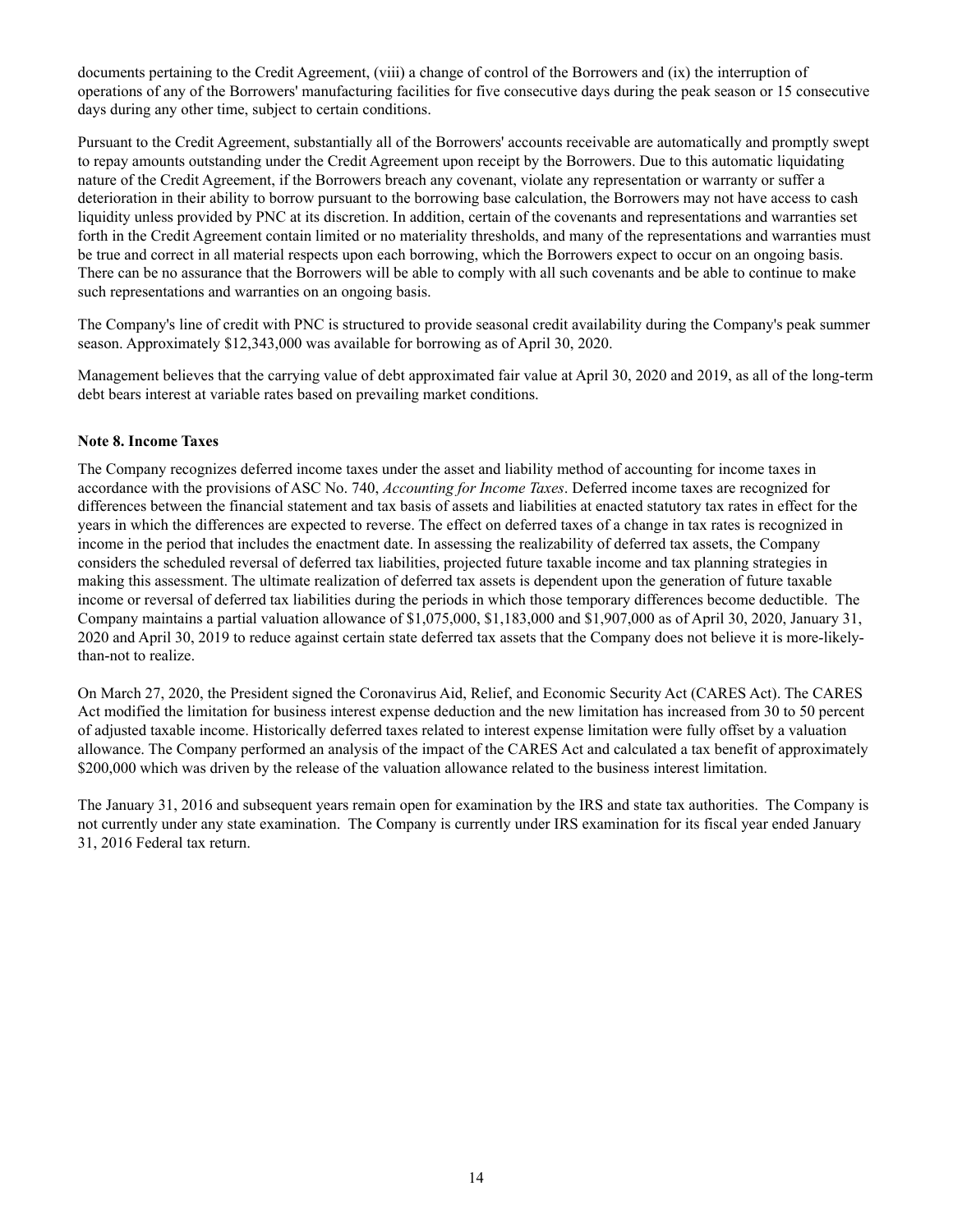documents pertaining to the Credit Agreement, (viii) a change of control of the Borrowers and (ix) the interruption of operations of any of the Borrowers' manufacturing facilities for five consecutive days during the peak season or 15 consecutive days during any other time, subject to certain conditions.

Pursuant to the Credit Agreement, substantially all of the Borrowers' accounts receivable are automatically and promptly swept to repay amounts outstanding under the Credit Agreement upon receipt by the Borrowers. Due to this automatic liquidating nature of the Credit Agreement, if the Borrowers breach any covenant, violate any representation or warranty or suffer a deterioration in their ability to borrow pursuant to the borrowing base calculation, the Borrowers may not have access to cash liquidity unless provided by PNC at its discretion. In addition, certain of the covenants and representations and warranties set forth in the Credit Agreement contain limited or no materiality thresholds, and many of the representations and warranties must be true and correct in all material respects upon each borrowing, which the Borrowers expect to occur on an ongoing basis. There can be no assurance that the Borrowers will be able to comply with all such covenants and be able to continue to make such representations and warranties on an ongoing basis.

The Company's line of credit with PNC is structured to provide seasonal credit availability during the Company's peak summer season. Approximately \$12,343,000 was available for borrowing as of April 30, 2020.

Management believes that the carrying value of debt approximated fair value at April 30, 2020 and 2019, as all of the long-term debt bears interest at variable rates based on prevailing market conditions.

#### **Note 8. Income Taxes**

The Company recognizes deferred income taxes under the asset and liability method of accounting for income taxes in accordance with the provisions of ASC No. 740, *Accounting for Income Taxes*. Deferred income taxes are recognized for differences between the financial statement and tax basis of assets and liabilities at enacted statutory tax rates in effect for the years in which the differences are expected to reverse. The effect on deferred taxes of a change in tax rates is recognized in income in the period that includes the enactment date. In assessing the realizability of deferred tax assets, the Company considers the scheduled reversal of deferred tax liabilities, projected future taxable income and tax planning strategies in making this assessment. The ultimate realization of deferred tax assets is dependent upon the generation of future taxable income or reversal of deferred tax liabilities during the periods in which those temporary differences become deductible. The Company maintains a partial valuation allowance of \$1,075,000, \$1,183,000 and \$1,907,000 as of April 30, 2020, January 31, 2020 and April 30, 2019 to reduce against certain state deferred tax assets that the Company does not believe it is more-likelythan-not to realize.

On March 27, 2020, the President signed the Coronavirus Aid, Relief, and Economic Security Act (CARES Act). The CARES Act modified the limitation for business interest expense deduction and the new limitation has increased from 30 to 50 percent of adjusted taxable income. Historically deferred taxes related to interest expense limitation were fully offset by a valuation allowance. The Company performed an analysis of the impact of the CARES Act and calculated a tax benefit of approximately \$200,000 which was driven by the release of the valuation allowance related to the business interest limitation.

The January 31, 2016 and subsequent years remain open for examination by the IRS and state tax authorities. The Company is not currently under any state examination. The Company is currently under IRS examination for its fiscal year ended January 31, 2016 Federal tax return.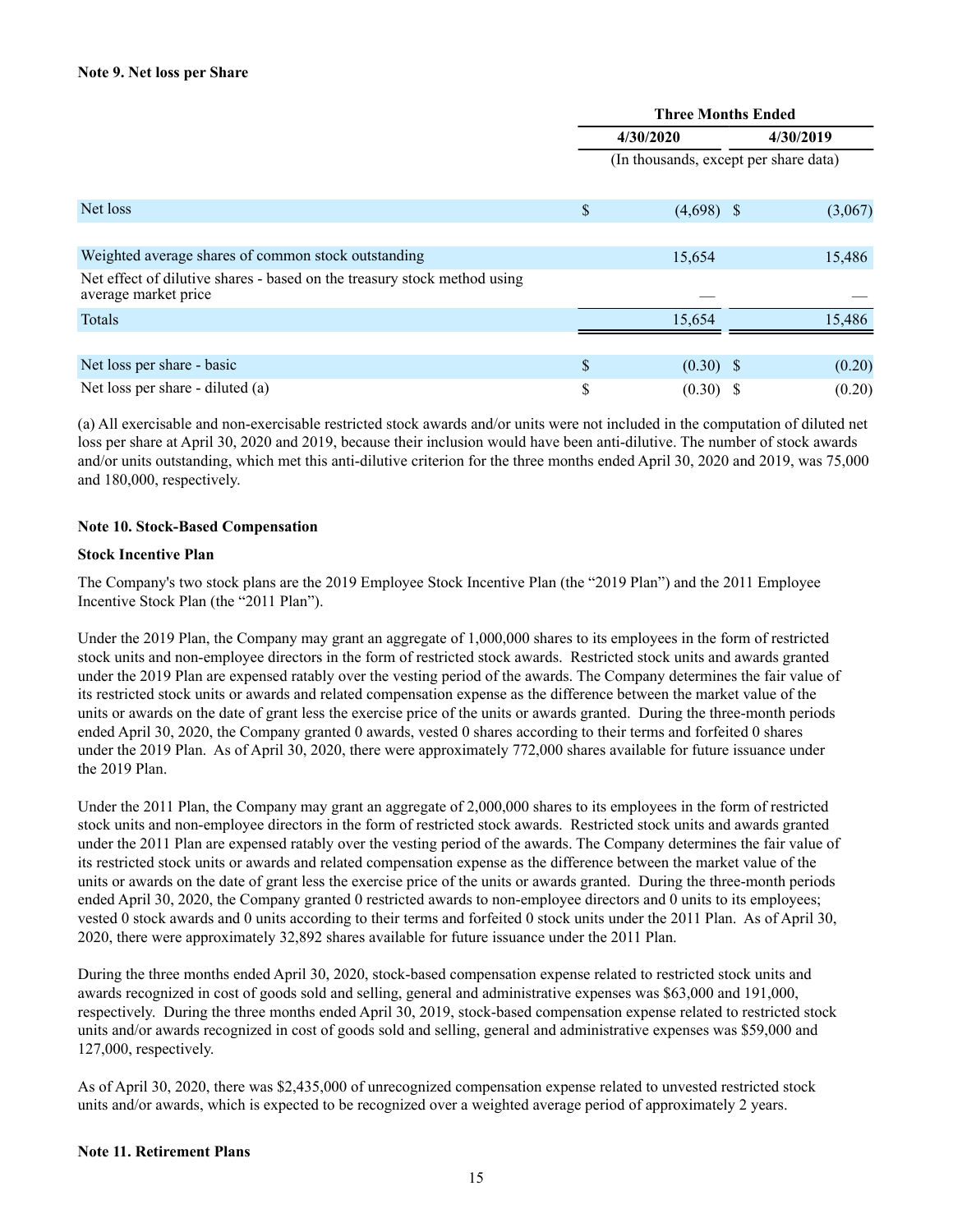|                                                                                                  | <b>Three Months Ended</b>             |  |           |  |
|--------------------------------------------------------------------------------------------------|---------------------------------------|--|-----------|--|
|                                                                                                  | 4/30/2020                             |  | 4/30/2019 |  |
|                                                                                                  | (In thousands, except per share data) |  |           |  |
| Net loss                                                                                         | \$<br>$(4,698)$ \$                    |  | (3,067)   |  |
|                                                                                                  |                                       |  |           |  |
| Weighted average shares of common stock outstanding                                              | 15,654                                |  | 15,486    |  |
| Net effect of dilutive shares - based on the treasury stock method using<br>average market price |                                       |  |           |  |
| Totals                                                                                           | 15.654                                |  | 15,486    |  |
|                                                                                                  |                                       |  |           |  |
| Net loss per share - basic                                                                       | \$<br>$(0.30)$ \$                     |  | (0.20)    |  |
| Net loss per share - diluted (a)                                                                 | \$<br>$(0.30)$ \$                     |  | (0.20)    |  |

(a) All exercisable and non-exercisable restricted stock awards and/or units were not included in the computation of diluted net loss per share at April 30, 2020 and 2019, because their inclusion would have been anti-dilutive. The number of stock awards and/or units outstanding, which met this anti-dilutive criterion for the three months ended April 30, 2020 and 2019, was 75,000 and 180,000, respectively.

#### **Note 10. Stock-Based Compensation**

#### **Stock Incentive Plan**

The Company's two stock plans are the 2019 Employee Stock Incentive Plan (the "2019 Plan") and the 2011 Employee Incentive Stock Plan (the "2011 Plan").

Under the 2019 Plan, the Company may grant an aggregate of 1,000,000 shares to its employees in the form of restricted stock units and non-employee directors in the form of restricted stock awards. Restricted stock units and awards granted under the 2019 Plan are expensed ratably over the vesting period of the awards. The Company determines the fair value of its restricted stock units or awards and related compensation expense as the difference between the market value of the units or awards on the date of grant less the exercise price of the units or awards granted. During the three-month periods ended April 30, 2020, the Company granted 0 awards, vested 0 shares according to their terms and forfeited 0 shares under the 2019 Plan. As of April 30, 2020, there were approximately 772,000 shares available for future issuance under the 2019 Plan.

Under the 2011 Plan, the Company may grant an aggregate of 2,000,000 shares to its employees in the form of restricted stock units and non-employee directors in the form of restricted stock awards. Restricted stock units and awards granted under the 2011 Plan are expensed ratably over the vesting period of the awards. The Company determines the fair value of its restricted stock units or awards and related compensation expense as the difference between the market value of the units or awards on the date of grant less the exercise price of the units or awards granted. During the three-month periods ended April 30, 2020, the Company granted 0 restricted awards to non-employee directors and 0 units to its employees; vested 0 stock awards and 0 units according to their terms and forfeited 0 stock units under the 2011 Plan. As of April 30, 2020, there were approximately 32,892 shares available for future issuance under the 2011 Plan.

During the three months ended April 30, 2020, stock-based compensation expense related to restricted stock units and awards recognized in cost of goods sold and selling, general and administrative expenses was \$63,000 and 191,000, respectively. During the three months ended April 30, 2019, stock-based compensation expense related to restricted stock units and/or awards recognized in cost of goods sold and selling, general and administrative expenses was \$59,000 and 127,000, respectively.

As of April 30, 2020, there was \$2,435,000 of unrecognized compensation expense related to unvested restricted stock units and/or awards, which is expected to be recognized over a weighted average period of approximately 2 years.

#### **Note 11. Retirement Plans**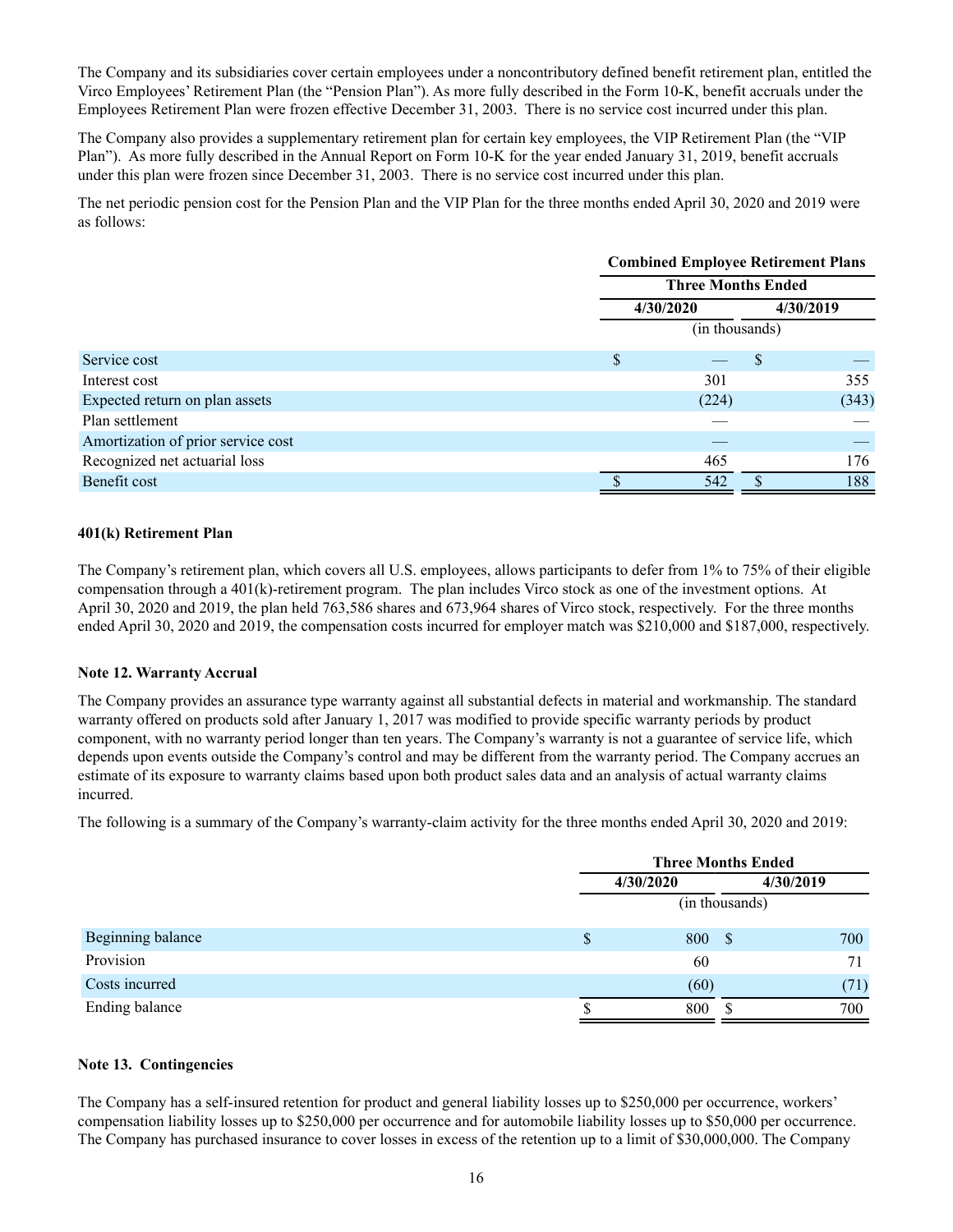The Company and its subsidiaries cover certain employees under a noncontributory defined benefit retirement plan, entitled the Virco Employees' Retirement Plan (the "Pension Plan"). As more fully described in the Form 10-K, benefit accruals under the Employees Retirement Plan were frozen effective December 31, 2003. There is no service cost incurred under this plan.

The Company also provides a supplementary retirement plan for certain key employees, the VIP Retirement Plan (the "VIP Plan"). As more fully described in the Annual Report on Form 10-K for the year ended January 31, 2019, benefit accruals under this plan were frozen since December 31, 2003. There is no service cost incurred under this plan.

The net periodic pension cost for the Pension Plan and the VIP Plan for the three months ended April 30, 2020 and 2019 were as follows:

|                                    | <b>Combined Employee Retirement Plans</b> |                |           |  |
|------------------------------------|-------------------------------------------|----------------|-----------|--|
|                                    | <b>Three Months Ended</b>                 |                |           |  |
|                                    | 4/30/2020                                 |                | 4/30/2019 |  |
|                                    |                                           | (in thousands) |           |  |
| Service cost                       | \$                                        | <sup>\$</sup>  |           |  |
| Interest cost                      | 301                                       |                | 355       |  |
| Expected return on plan assets     | (224)                                     |                | (343)     |  |
| Plan settlement                    |                                           |                |           |  |
| Amortization of prior service cost |                                           |                |           |  |
| Recognized net actuarial loss      | 465                                       |                | 176       |  |
| Benefit cost                       | 542                                       |                | 188       |  |

#### **401(k) Retirement Plan**

The Company's retirement plan, which covers all U.S. employees, allows participants to defer from 1% to 75% of their eligible compensation through a 401(k)-retirement program. The plan includes Virco stock as one of the investment options. At April 30, 2020 and 2019, the plan held 763,586 shares and 673,964 shares of Virco stock, respectively. For the three months ended April 30, 2020 and 2019, the compensation costs incurred for employer match was \$210,000 and \$187,000, respectively.

#### **Note 12. Warranty Accrual**

The Company provides an assurance type warranty against all substantial defects in material and workmanship. The standard warranty offered on products sold after January 1, 2017 was modified to provide specific warranty periods by product component, with no warranty period longer than ten years. The Company's warranty is not a guarantee of service life, which depends upon events outside the Company's control and may be different from the warranty period. The Company accrues an estimate of its exposure to warranty claims based upon both product sales data and an analysis of actual warranty claims incurred.

The following is a summary of the Company's warranty-claim activity for the three months ended April 30, 2020 and 2019:

|                   |   | <b>Three Months Ended</b> |    |           |  |
|-------------------|---|---------------------------|----|-----------|--|
|                   |   | 4/30/2020                 |    | 4/30/2019 |  |
|                   |   | (in thousands)            |    |           |  |
| Beginning balance | S | 800                       | -S | 700       |  |
| Provision         |   | 60                        |    | 71        |  |
| Costs incurred    |   | (60)                      |    | (71)      |  |
| Ending balance    |   | 800                       | S  | 700       |  |

#### **Note 13. Contingencies**

The Company has a self-insured retention for product and general liability losses up to \$250,000 per occurrence, workers' compensation liability losses up to \$250,000 per occurrence and for automobile liability losses up to \$50,000 per occurrence. The Company has purchased insurance to cover losses in excess of the retention up to a limit of \$30,000,000. The Company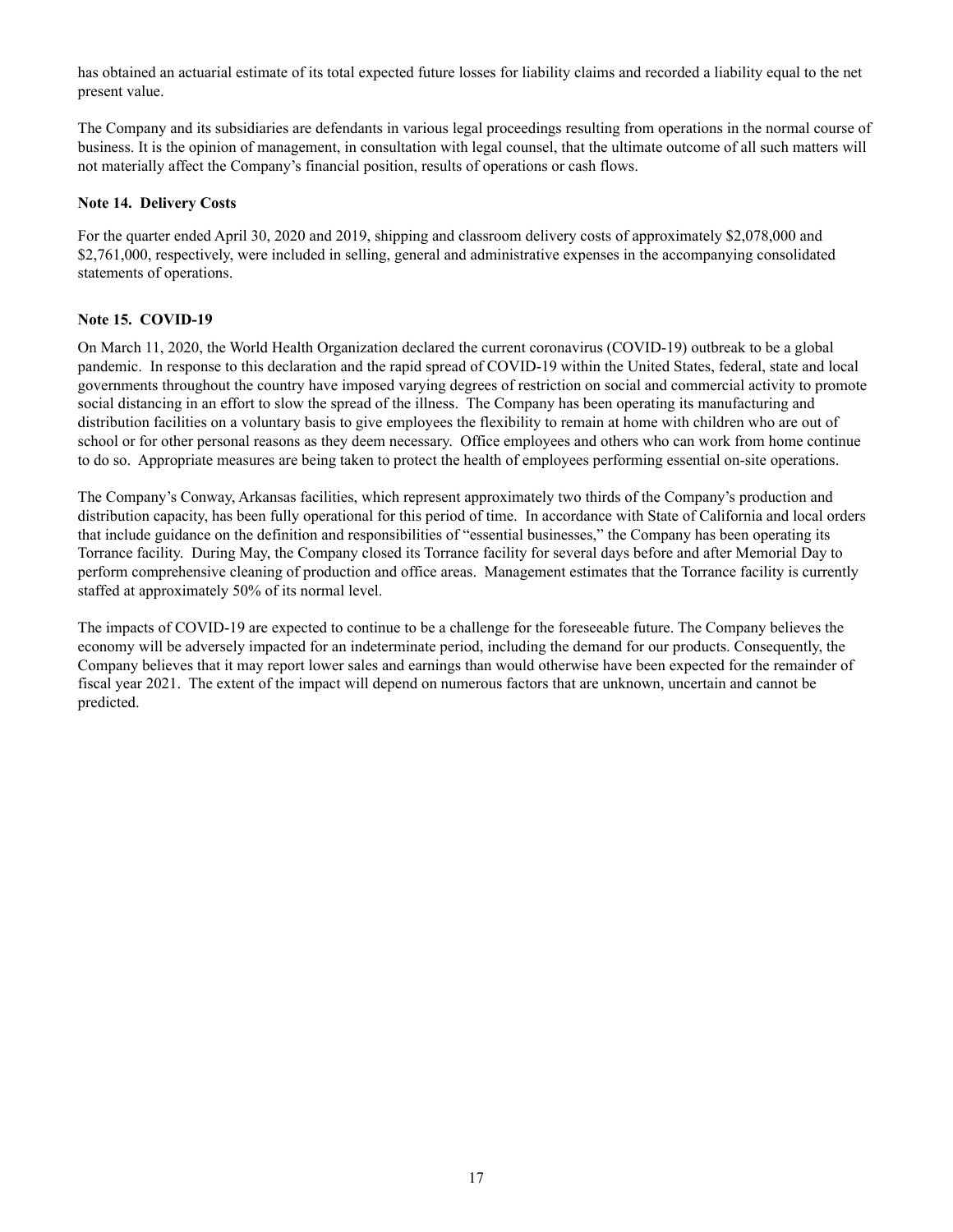has obtained an actuarial estimate of its total expected future losses for liability claims and recorded a liability equal to the net present value.

The Company and its subsidiaries are defendants in various legal proceedings resulting from operations in the normal course of business. It is the opinion of management, in consultation with legal counsel, that the ultimate outcome of all such matters will not materially affect the Company's financial position, results of operations or cash flows.

#### **Note 14. Delivery Costs**

For the quarter ended April 30, 2020 and 2019, shipping and classroom delivery costs of approximately \$2,078,000 and \$2,761,000, respectively, were included in selling, general and administrative expenses in the accompanying consolidated statements of operations.

#### **Note 15. COVID-19**

On March 11, 2020, the World Health Organization declared the current coronavirus (COVID-19) outbreak to be a global pandemic. In response to this declaration and the rapid spread of COVID-19 within the United States, federal, state and local governments throughout the country have imposed varying degrees of restriction on social and commercial activity to promote social distancing in an effort to slow the spread of the illness. The Company has been operating its manufacturing and distribution facilities on a voluntary basis to give employees the flexibility to remain at home with children who are out of school or for other personal reasons as they deem necessary. Office employees and others who can work from home continue to do so. Appropriate measures are being taken to protect the health of employees performing essential on-site operations.

The Company's Conway, Arkansas facilities, which represent approximately two thirds of the Company's production and distribution capacity, has been fully operational for this period of time. In accordance with State of California and local orders that include guidance on the definition and responsibilities of "essential businesses," the Company has been operating its Torrance facility. During May, the Company closed its Torrance facility for several days before and after Memorial Day to perform comprehensive cleaning of production and office areas. Management estimates that the Torrance facility is currently staffed at approximately 50% of its normal level.

The impacts of COVID-19 are expected to continue to be a challenge for the foreseeable future. The Company believes the economy will be adversely impacted for an indeterminate period, including the demand for our products. Consequently, the Company believes that it may report lower sales and earnings than would otherwise have been expected for the remainder of fiscal year 2021. The extent of the impact will depend on numerous factors that are unknown, uncertain and cannot be predicted.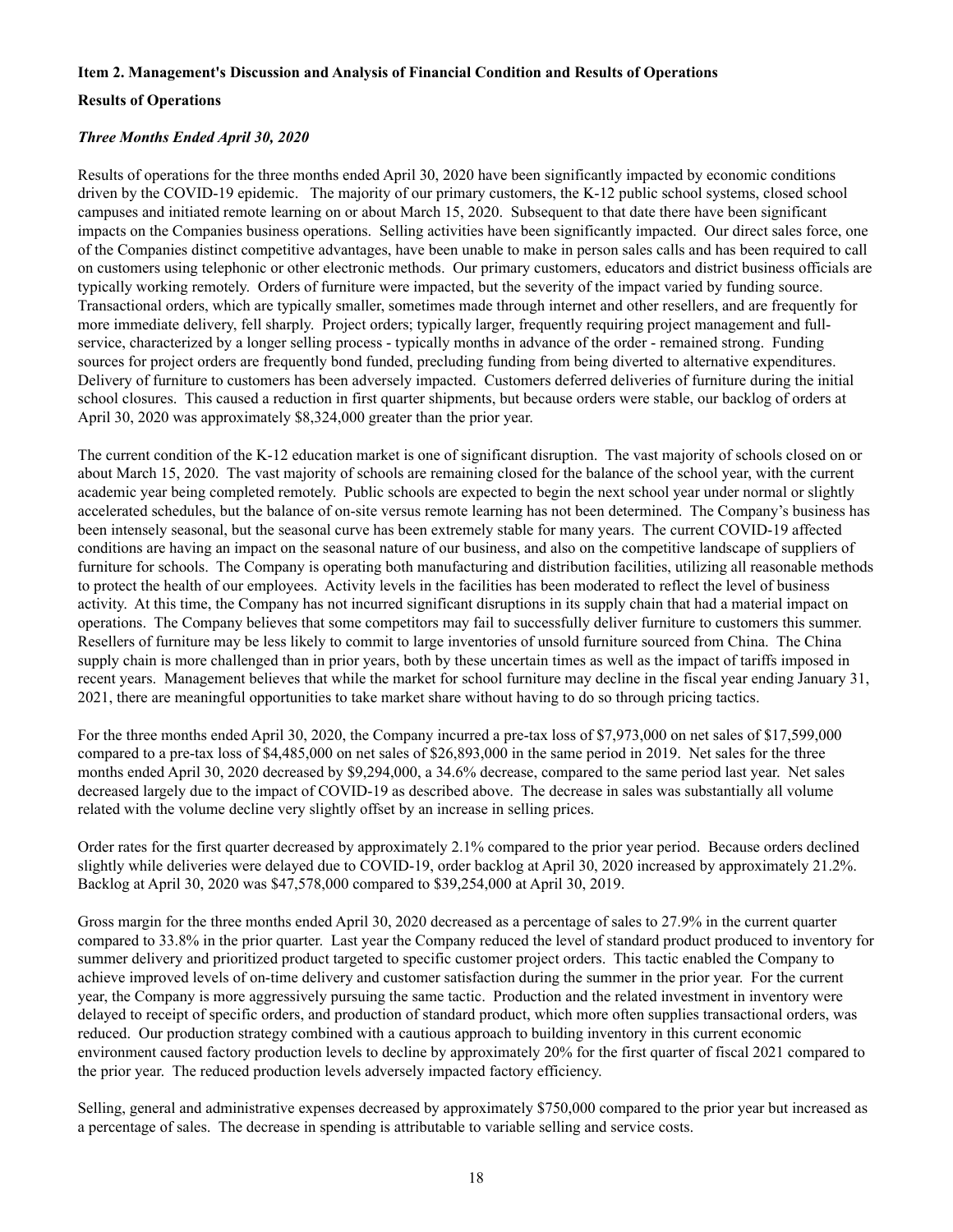#### <span id="page-18-0"></span>**Item 2. Management's Discussion and Analysis of Financial Condition and Results of Operations**

#### **Results of Operations**

#### *Three Months Ended April 30, 2020*

Results of operations for the three months ended April 30, 2020 have been significantly impacted by economic conditions driven by the COVID-19 epidemic. The majority of our primary customers, the K-12 public school systems, closed school campuses and initiated remote learning on or about March 15, 2020. Subsequent to that date there have been significant impacts on the Companies business operations. Selling activities have been significantly impacted. Our direct sales force, one of the Companies distinct competitive advantages, have been unable to make in person sales calls and has been required to call on customers using telephonic or other electronic methods. Our primary customers, educators and district business officials are typically working remotely. Orders of furniture were impacted, but the severity of the impact varied by funding source. Transactional orders, which are typically smaller, sometimes made through internet and other resellers, and are frequently for more immediate delivery, fell sharply. Project orders; typically larger, frequently requiring project management and fullservice, characterized by a longer selling process - typically months in advance of the order - remained strong. Funding sources for project orders are frequently bond funded, precluding funding from being diverted to alternative expenditures. Delivery of furniture to customers has been adversely impacted. Customers deferred deliveries of furniture during the initial school closures. This caused a reduction in first quarter shipments, but because orders were stable, our backlog of orders at April 30, 2020 was approximately \$8,324,000 greater than the prior year.

The current condition of the K-12 education market is one of significant disruption. The vast majority of schools closed on or about March 15, 2020. The vast majority of schools are remaining closed for the balance of the school year, with the current academic year being completed remotely. Public schools are expected to begin the next school year under normal or slightly accelerated schedules, but the balance of on-site versus remote learning has not been determined. The Company's business has been intensely seasonal, but the seasonal curve has been extremely stable for many years. The current COVID-19 affected conditions are having an impact on the seasonal nature of our business, and also on the competitive landscape of suppliers of furniture for schools. The Company is operating both manufacturing and distribution facilities, utilizing all reasonable methods to protect the health of our employees. Activity levels in the facilities has been moderated to reflect the level of business activity. At this time, the Company has not incurred significant disruptions in its supply chain that had a material impact on operations. The Company believes that some competitors may fail to successfully deliver furniture to customers this summer. Resellers of furniture may be less likely to commit to large inventories of unsold furniture sourced from China. The China supply chain is more challenged than in prior years, both by these uncertain times as well as the impact of tariffs imposed in recent years. Management believes that while the market for school furniture may decline in the fiscal year ending January 31, 2021, there are meaningful opportunities to take market share without having to do so through pricing tactics.

For the three months ended April 30, 2020, the Company incurred a pre-tax loss of \$7,973,000 on net sales of \$17,599,000 compared to a pre-tax loss of \$4,485,000 on net sales of \$26,893,000 in the same period in 2019. Net sales for the three months ended April 30, 2020 decreased by \$9,294,000, a 34.6% decrease, compared to the same period last year. Net sales decreased largely due to the impact of COVID-19 as described above. The decrease in sales was substantially all volume related with the volume decline very slightly offset by an increase in selling prices.

Order rates for the first quarter decreased by approximately 2.1% compared to the prior year period. Because orders declined slightly while deliveries were delayed due to COVID-19, order backlog at April 30, 2020 increased by approximately 21.2%. Backlog at April 30, 2020 was \$47,578,000 compared to \$39,254,000 at April 30, 2019.

Gross margin for the three months ended April 30, 2020 decreased as a percentage of sales to 27.9% in the current quarter compared to 33.8% in the prior quarter. Last year the Company reduced the level of standard product produced to inventory for summer delivery and prioritized product targeted to specific customer project orders. This tactic enabled the Company to achieve improved levels of on-time delivery and customer satisfaction during the summer in the prior year. For the current year, the Company is more aggressively pursuing the same tactic. Production and the related investment in inventory were delayed to receipt of specific orders, and production of standard product, which more often supplies transactional orders, was reduced. Our production strategy combined with a cautious approach to building inventory in this current economic environment caused factory production levels to decline by approximately 20% for the first quarter of fiscal 2021 compared to the prior year. The reduced production levels adversely impacted factory efficiency.

Selling, general and administrative expenses decreased by approximately \$750,000 compared to the prior year but increased as a percentage of sales. The decrease in spending is attributable to variable selling and service costs.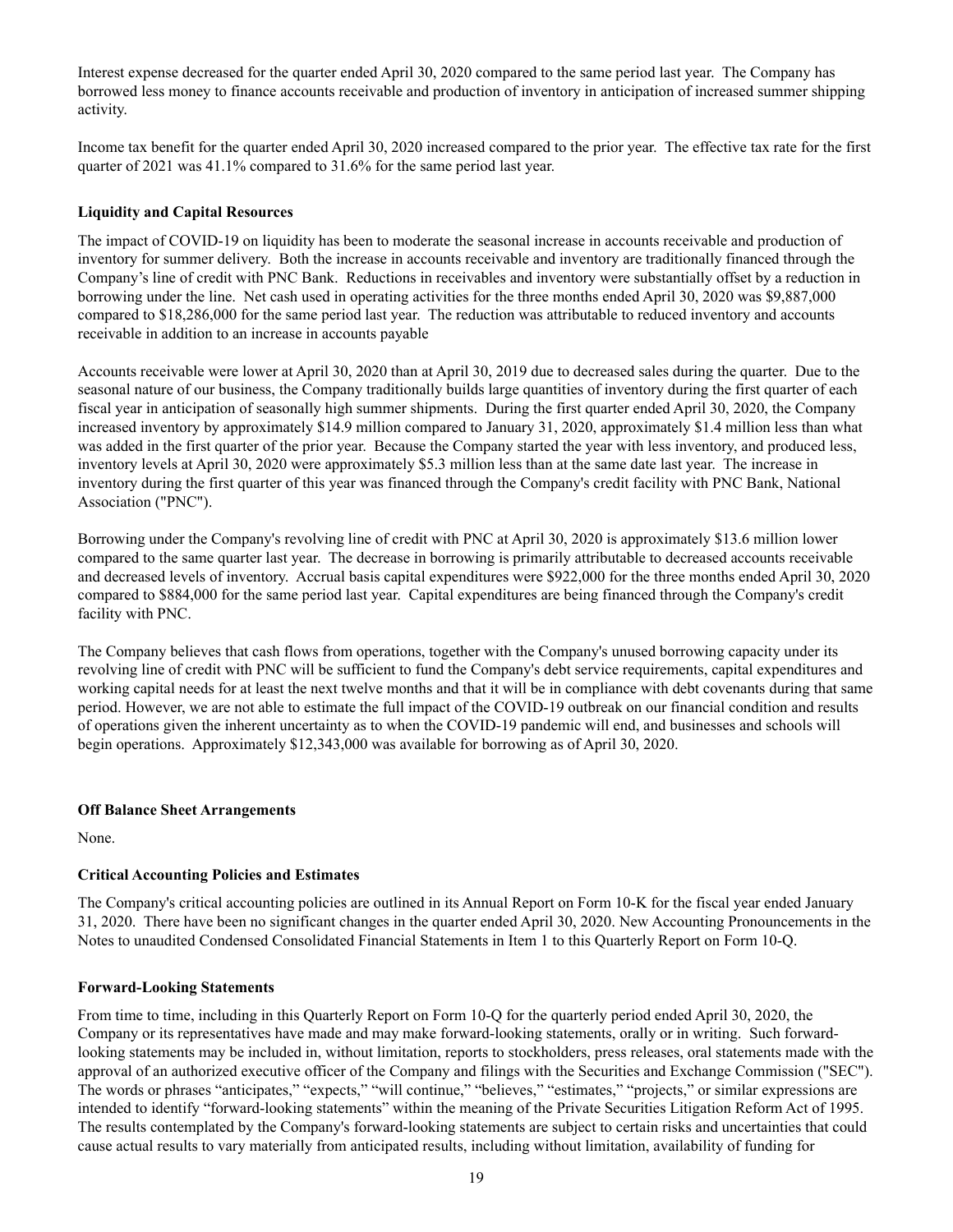Interest expense decreased for the quarter ended April 30, 2020 compared to the same period last year. The Company has borrowed less money to finance accounts receivable and production of inventory in anticipation of increased summer shipping activity.

Income tax benefit for the quarter ended April 30, 2020 increased compared to the prior year. The effective tax rate for the first quarter of 2021 was 41.1% compared to 31.6% for the same period last year.

#### **Liquidity and Capital Resources**

The impact of COVID-19 on liquidity has been to moderate the seasonal increase in accounts receivable and production of inventory for summer delivery. Both the increase in accounts receivable and inventory are traditionally financed through the Company's line of credit with PNC Bank. Reductions in receivables and inventory were substantially offset by a reduction in borrowing under the line. Net cash used in operating activities for the three months ended April 30, 2020 was \$9,887,000 compared to \$18,286,000 for the same period last year. The reduction was attributable to reduced inventory and accounts receivable in addition to an increase in accounts payable

Accounts receivable were lower at April 30, 2020 than at April 30, 2019 due to decreased sales during the quarter. Due to the seasonal nature of our business, the Company traditionally builds large quantities of inventory during the first quarter of each fiscal year in anticipation of seasonally high summer shipments. During the first quarter ended April 30, 2020, the Company increased inventory by approximately \$14.9 million compared to January 31, 2020, approximately \$1.4 million less than what was added in the first quarter of the prior year. Because the Company started the year with less inventory, and produced less, inventory levels at April 30, 2020 were approximately \$5.3 million less than at the same date last year. The increase in inventory during the first quarter of this year was financed through the Company's credit facility with PNC Bank, National Association ("PNC").

Borrowing under the Company's revolving line of credit with PNC at April 30, 2020 is approximately \$13.6 million lower compared to the same quarter last year. The decrease in borrowing is primarily attributable to decreased accounts receivable and decreased levels of inventory. Accrual basis capital expenditures were \$922,000 for the three months ended April 30, 2020 compared to \$884,000 for the same period last year. Capital expenditures are being financed through the Company's credit facility with PNC.

The Company believes that cash flows from operations, together with the Company's unused borrowing capacity under its revolving line of credit with PNC will be sufficient to fund the Company's debt service requirements, capital expenditures and working capital needs for at least the next twelve months and that it will be in compliance with debt covenants during that same period. However, we are not able to estimate the full impact of the COVID-19 outbreak on our financial condition and results of operations given the inherent uncertainty as to when the COVID-19 pandemic will end, and businesses and schools will begin operations. Approximately \$12,343,000 was available for borrowing as of April 30, 2020.

#### **Off Balance Sheet Arrangements**

None.

#### **Critical Accounting Policies and Estimates**

The Company's critical accounting policies are outlined in its Annual Report on Form 10-K for the fiscal year ended January 31, 2020. There have been no significant changes in the quarter ended April 30, 2020. New Accounting Pronouncements in the Notes to unaudited Condensed Consolidated Financial Statements in Item 1 to this Quarterly Report on Form 10-Q.

#### **Forward-Looking Statements**

From time to time, including in this Quarterly Report on Form 10-Q for the quarterly period ended April 30, 2020, the Company or its representatives have made and may make forward-looking statements, orally or in writing. Such forwardlooking statements may be included in, without limitation, reports to stockholders, press releases, oral statements made with the approval of an authorized executive officer of the Company and filings with the Securities and Exchange Commission ("SEC"). The words or phrases "anticipates," "expects," "will continue," "believes," "estimates," "projects," or similar expressions are intended to identify "forward-looking statements" within the meaning of the Private Securities Litigation Reform Act of 1995. The results contemplated by the Company's forward-looking statements are subject to certain risks and uncertainties that could cause actual results to vary materially from anticipated results, including without limitation, availability of funding for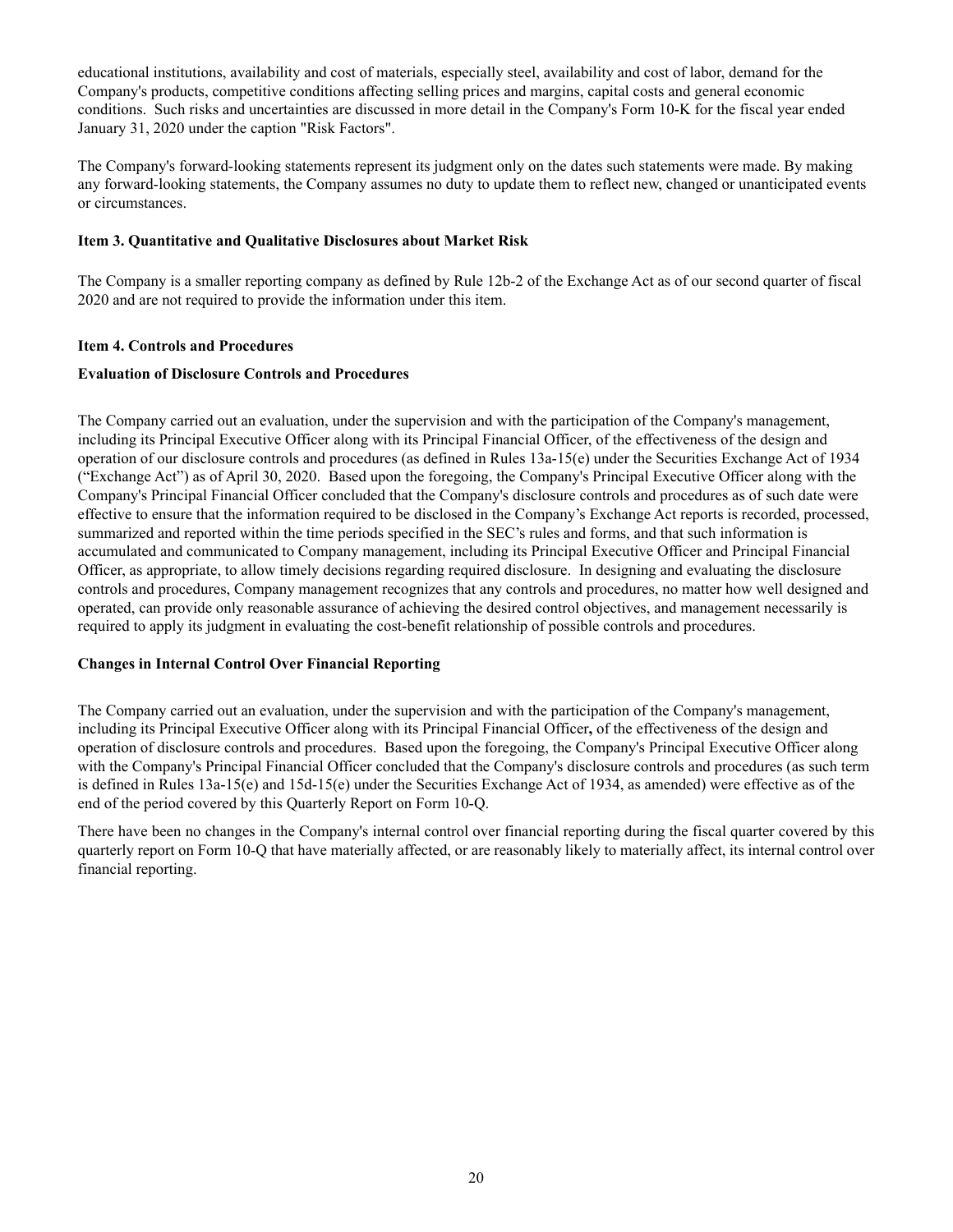educational institutions, availability and cost of materials, especially steel, availability and cost of labor, demand for the Company's products, competitive conditions affecting selling prices and margins, capital costs and general economic conditions. Such risks and uncertainties are discussed in more detail in the Company's Form 10-K for the fiscal year ended January 31, 2020 under the caption "Risk Factors".

The Company's forward-looking statements represent its judgment only on the dates such statements were made. By making any forward-looking statements, the Company assumes no duty to update them to reflect new, changed or unanticipated events or circumstances.

#### <span id="page-20-0"></span>**Item 3. Quantitative and Qualitative Disclosures about Market Risk**

The Company is a smaller reporting company as defined by Rule 12b-2 of the Exchange Act as of our second quarter of fiscal 2020 and are not required to provide the information under this item.

#### <span id="page-20-1"></span>**Item 4. Controls and Procedures**

#### **Evaluation of Disclosure Controls and Procedures**

The Company carried out an evaluation, under the supervision and with the participation of the Company's management, including its Principal Executive Officer along with its Principal Financial Officer, of the effectiveness of the design and operation of our disclosure controls and procedures (as defined in Rules 13a-15(e) under the Securities Exchange Act of 1934 ("Exchange Act") as of April 30, 2020. Based upon the foregoing, the Company's Principal Executive Officer along with the Company's Principal Financial Officer concluded that the Company's disclosure controls and procedures as of such date were effective to ensure that the information required to be disclosed in the Company's Exchange Act reports is recorded, processed, summarized and reported within the time periods specified in the SEC's rules and forms, and that such information is accumulated and communicated to Company management, including its Principal Executive Officer and Principal Financial Officer, as appropriate, to allow timely decisions regarding required disclosure. In designing and evaluating the disclosure controls and procedures, Company management recognizes that any controls and procedures, no matter how well designed and operated, can provide only reasonable assurance of achieving the desired control objectives, and management necessarily is required to apply its judgment in evaluating the cost-benefit relationship of possible controls and procedures.

#### **Changes in Internal Control Over Financial Reporting**

The Company carried out an evaluation, under the supervision and with the participation of the Company's management, including its Principal Executive Officer along with its Principal Financial Officer**,** of the effectiveness of the design and operation of disclosure controls and procedures. Based upon the foregoing, the Company's Principal Executive Officer along with the Company's Principal Financial Officer concluded that the Company's disclosure controls and procedures (as such term is defined in Rules 13a-15(e) and 15d-15(e) under the Securities Exchange Act of 1934, as amended) were effective as of the end of the period covered by this Quarterly Report on Form 10-Q.

There have been no changes in the Company's internal control over financial reporting during the fiscal quarter covered by this quarterly report on Form 10-Q that have materially affected, or are reasonably likely to materially affect, its internal control over financial reporting.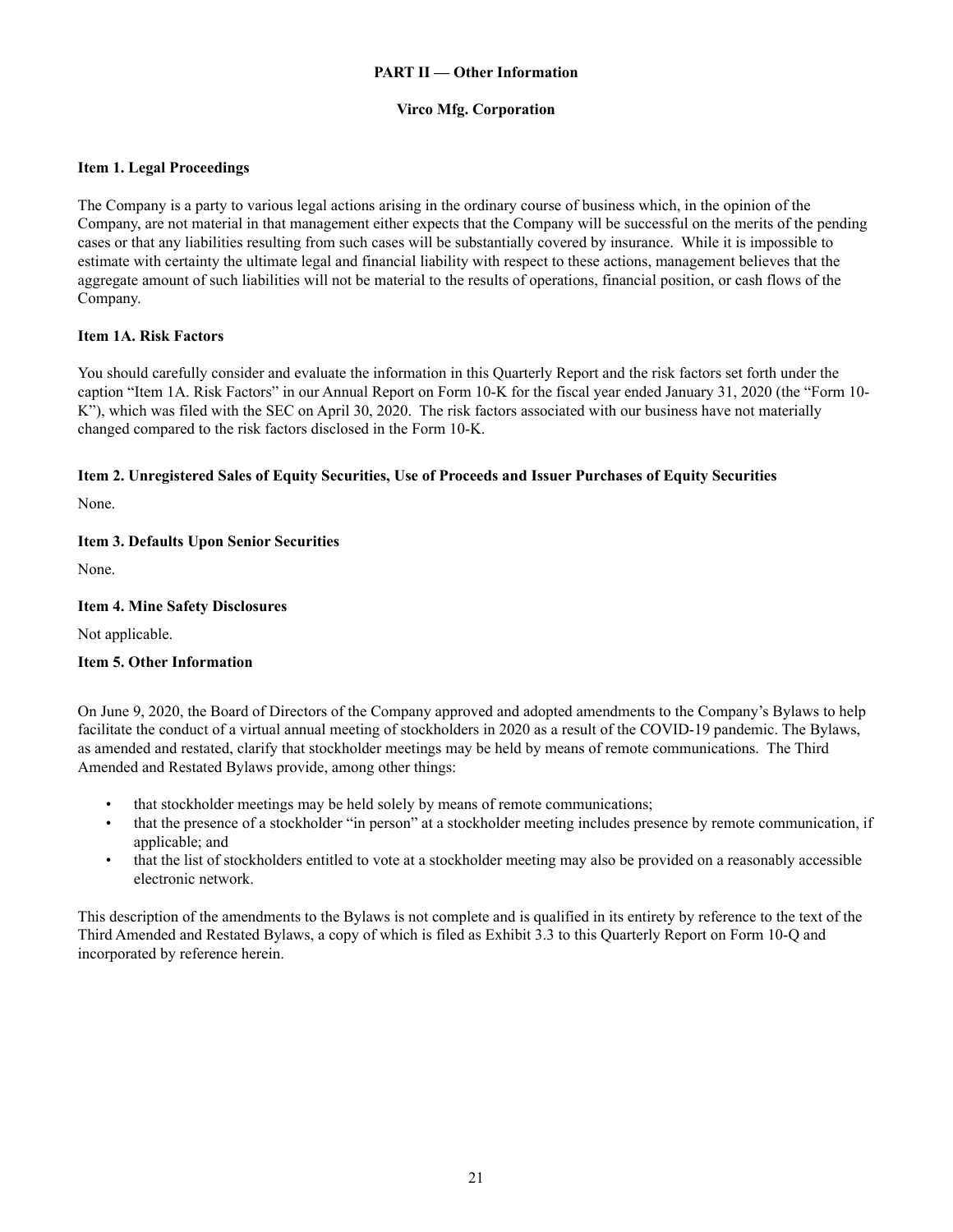#### **PART II — Other Information**

#### **Virco Mfg. Corporation**

#### <span id="page-21-1"></span><span id="page-21-0"></span>**Item 1. Legal Proceedings**

The Company is a party to various legal actions arising in the ordinary course of business which, in the opinion of the Company, are not material in that management either expects that the Company will be successful on the merits of the pending cases or that any liabilities resulting from such cases will be substantially covered by insurance. While it is impossible to estimate with certainty the ultimate legal and financial liability with respect to these actions, management believes that the aggregate amount of such liabilities will not be material to the results of operations, financial position, or cash flows of the Company.

#### <span id="page-21-2"></span>**Item 1A. Risk Factors**

You should carefully consider and evaluate the information in this Quarterly Report and the risk factors set forth under the caption "Item 1A. Risk Factors" in our Annual Report on Form 10-K for the fiscal year ended January 31, 2020 (the "Form 10- K"), which was filed with the SEC on April 30, 2020. The risk factors associated with our business have not materially changed compared to the risk factors disclosed in the Form 10-K.

#### <span id="page-21-3"></span>**Item 2. [Unregistered Sales of Equity Securities, Use of Proceeds and Issuer Purchases of Equity Securities](#page-21-3)**

None.

#### <span id="page-21-4"></span>**Item 3. Defaults Upon Senior Securities**

None.

#### <span id="page-21-5"></span>**Item 4. Mine Safety Disclosures**

Not applicable.

#### <span id="page-21-6"></span>**Item 5. Other Information**

On June 9, 2020, the Board of Directors of the Company approved and adopted amendments to the Company's Bylaws to help facilitate the conduct of a virtual annual meeting of stockholders in 2020 as a result of the COVID-19 pandemic. The Bylaws, as amended and restated, clarify that stockholder meetings may be held by means of remote communications. The Third Amended and Restated Bylaws provide, among other things:

- that stockholder meetings may be held solely by means of remote communications;
- that the presence of a stockholder "in person" at a stockholder meeting includes presence by remote communication, if applicable; and
- that the list of stockholders entitled to vote at a stockholder meeting may also be provided on a reasonably accessible electronic network.

This description of the amendments to the Bylaws is not complete and is qualified in its entirety by reference to the text of the Third Amended and Restated Bylaws, a copy of which is filed as Exhibit 3.3 to this Quarterly Report on Form 10-Q and incorporated by reference herein.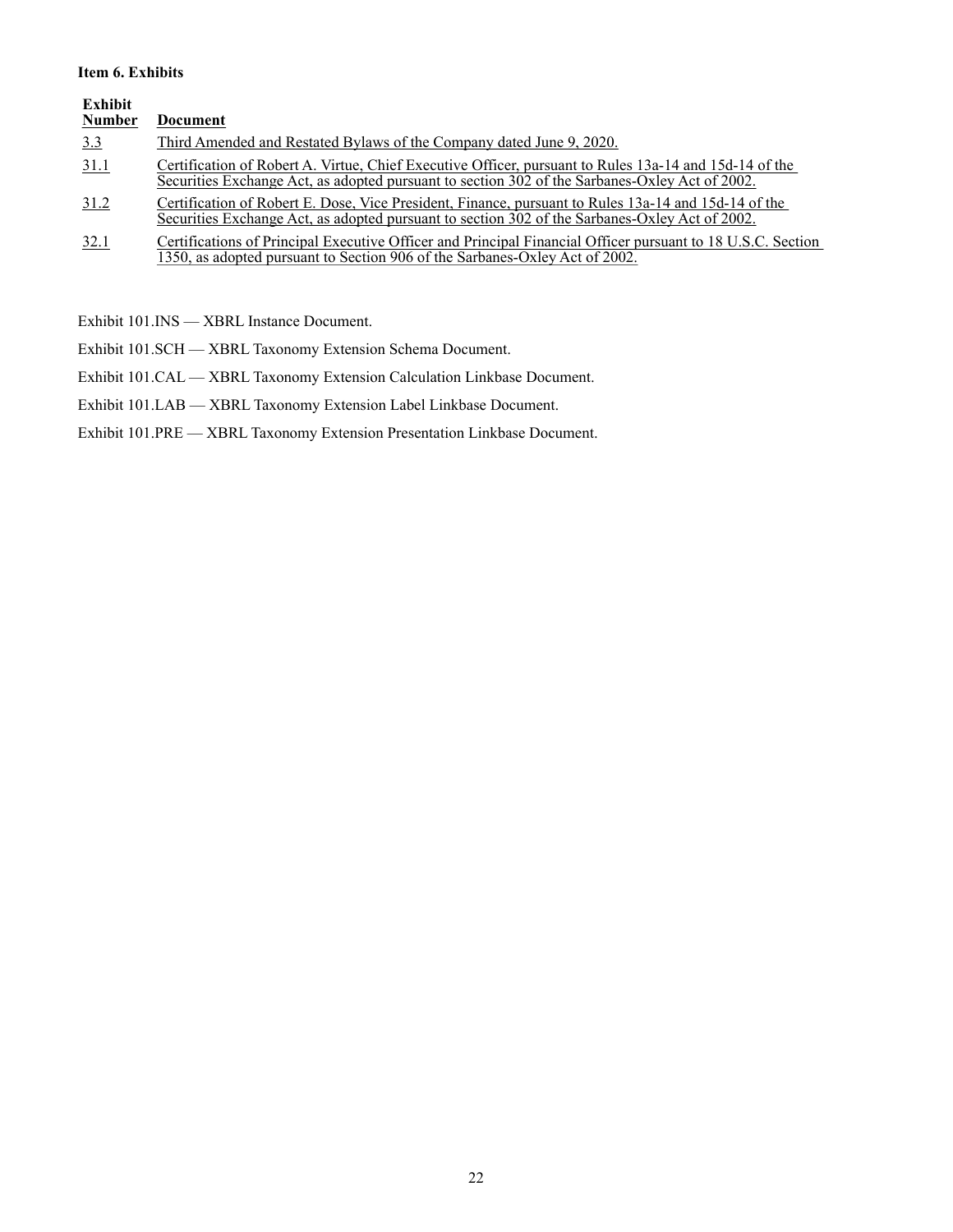#### <span id="page-22-0"></span>**Item 6. Exhibits**

## **Exhibit**

| <b>Number</b> | <b>Document</b>                                                                                                                                                                                          |
|---------------|----------------------------------------------------------------------------------------------------------------------------------------------------------------------------------------------------------|
| 3.3           | Third Amended and Restated Bylaws of the Company dated June 9, 2020.                                                                                                                                     |
| 31.1          | Certification of Robert A. Virtue, Chief Executive Officer, pursuant to Rules 13a-14 and 15d-14 of the<br>Securities Exchange Act, as adopted pursuant to section 302 of the Sarbanes-Oxley Act of 2002. |
| 31.2          | Certification of Robert E. Dose, Vice President, Finance, pursuant to Rules 13a-14 and 15d-14 of the<br>Securities Exchange Act, as adopted pursuant to section 302 of the Sarbanes-Oxley Act of 2002.   |
| 32.1          | Certifications of Principal Executive Officer and Principal Financial Officer pursuant to 18 U.S.C. Section<br>1350, as adopted pursuant to Section 906 of the Sarbanes-Oxley Act of 2002.               |

Exhibit 101.INS — XBRL Instance Document.

- Exhibit 101.SCH XBRL Taxonomy Extension Schema Document.
- Exhibit 101.CAL XBRL Taxonomy Extension Calculation Linkbase Document.
- Exhibit 101.LAB XBRL Taxonomy Extension Label Linkbase Document.
- Exhibit 101.PRE XBRL Taxonomy Extension Presentation Linkbase Document.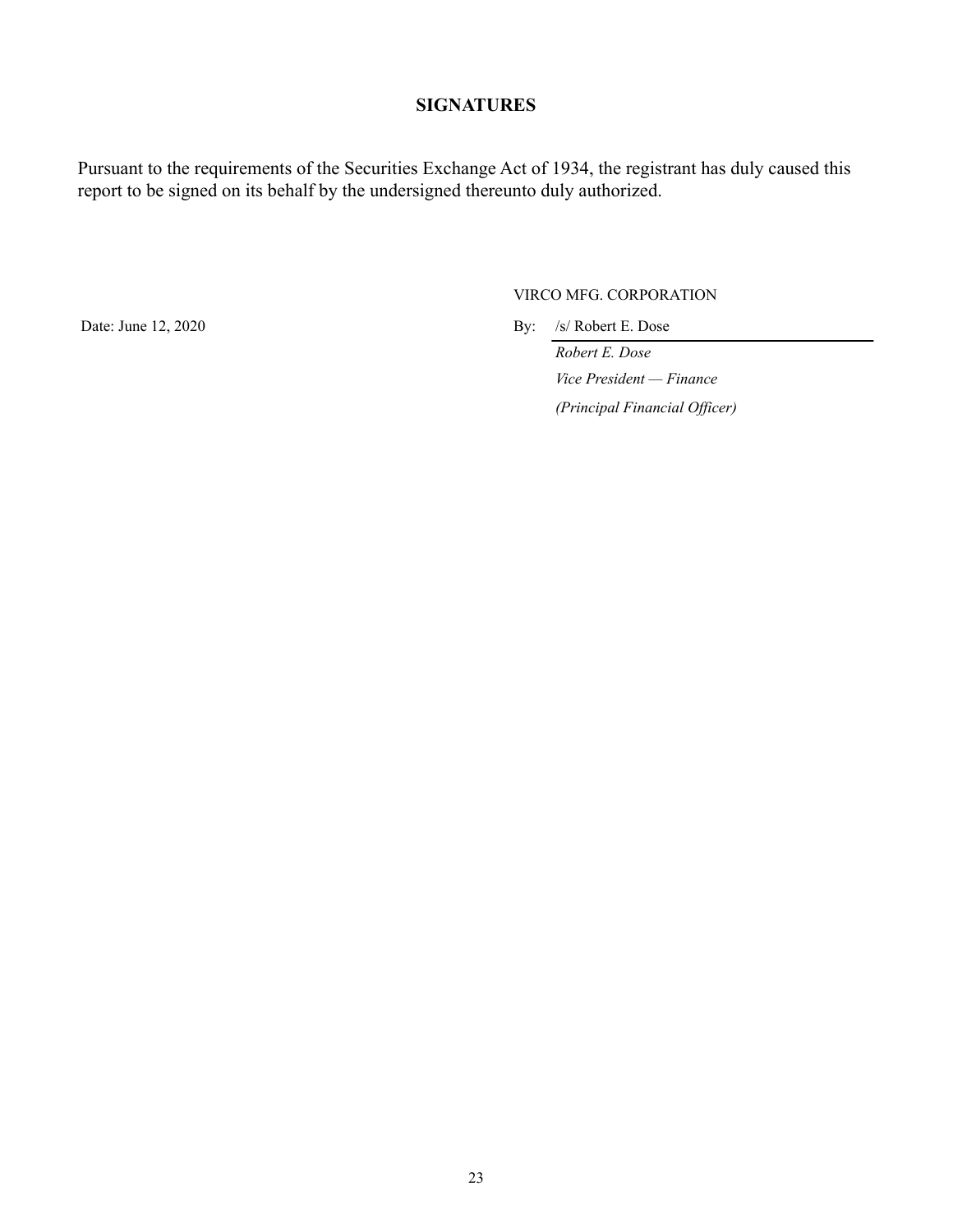## **SIGNATURES**

Pursuant to the requirements of the Securities Exchange Act of 1934, the registrant has duly caused this report to be signed on its behalf by the undersigned thereunto duly authorized.

VIRCO MFG. CORPORATION

Date: June 12, 2020 By: /s/ Robert E. Dose

*Robert E. Dose Vice President — Finance (Principal Financial Officer)*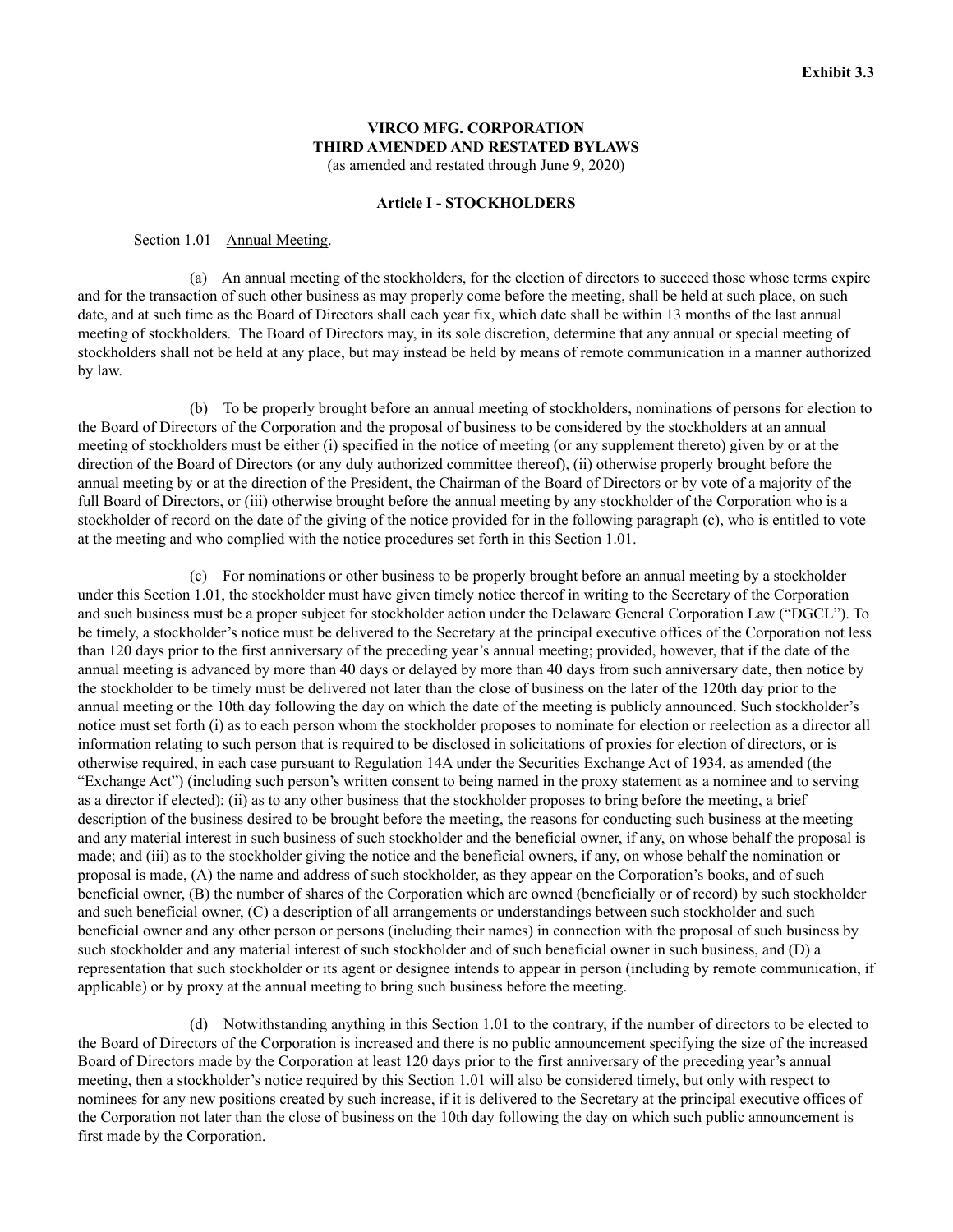## **VIRCO MFG. CORPORATION THIRD AMENDED AND RESTATED BYLAWS**

(as amended and restated through June 9, 2020)

#### **Article I - STOCKHOLDERS**

#### Section 1.01 Annual Meeting.

(a) An annual meeting of the stockholders, for the election of directors to succeed those whose terms expire and for the transaction of such other business as may properly come before the meeting, shall be held at such place, on such date, and at such time as the Board of Directors shall each year fix, which date shall be within 13 months of the last annual meeting of stockholders. The Board of Directors may, in its sole discretion, determine that any annual or special meeting of stockholders shall not be held at any place, but may instead be held by means of remote communication in a manner authorized by law.

(b) To be properly brought before an annual meeting of stockholders, nominations of persons for election to the Board of Directors of the Corporation and the proposal of business to be considered by the stockholders at an annual meeting of stockholders must be either (i) specified in the notice of meeting (or any supplement thereto) given by or at the direction of the Board of Directors (or any duly authorized committee thereof), (ii) otherwise properly brought before the annual meeting by or at the direction of the President, the Chairman of the Board of Directors or by vote of a majority of the full Board of Directors, or (iii) otherwise brought before the annual meeting by any stockholder of the Corporation who is a stockholder of record on the date of the giving of the notice provided for in the following paragraph (c), who is entitled to vote at the meeting and who complied with the notice procedures set forth in this Section 1.01.

(c) For nominations or other business to be properly brought before an annual meeting by a stockholder under this Section 1.01, the stockholder must have given timely notice thereof in writing to the Secretary of the Corporation and such business must be a proper subject for stockholder action under the Delaware General Corporation Law ("DGCL"). To be timely, a stockholder's notice must be delivered to the Secretary at the principal executive offices of the Corporation not less than 120 days prior to the first anniversary of the preceding year's annual meeting; provided, however, that if the date of the annual meeting is advanced by more than 40 days or delayed by more than 40 days from such anniversary date, then notice by the stockholder to be timely must be delivered not later than the close of business on the later of the 120th day prior to the annual meeting or the 10th day following the day on which the date of the meeting is publicly announced. Such stockholder's notice must set forth (i) as to each person whom the stockholder proposes to nominate for election or reelection as a director all information relating to such person that is required to be disclosed in solicitations of proxies for election of directors, or is otherwise required, in each case pursuant to Regulation 14A under the Securities Exchange Act of 1934, as amended (the "Exchange Act") (including such person's written consent to being named in the proxy statement as a nominee and to serving as a director if elected); (ii) as to any other business that the stockholder proposes to bring before the meeting, a brief description of the business desired to be brought before the meeting, the reasons for conducting such business at the meeting and any material interest in such business of such stockholder and the beneficial owner, if any, on whose behalf the proposal is made; and (iii) as to the stockholder giving the notice and the beneficial owners, if any, on whose behalf the nomination or proposal is made, (A) the name and address of such stockholder, as they appear on the Corporation's books, and of such beneficial owner, (B) the number of shares of the Corporation which are owned (beneficially or of record) by such stockholder and such beneficial owner, (C) a description of all arrangements or understandings between such stockholder and such beneficial owner and any other person or persons (including their names) in connection with the proposal of such business by such stockholder and any material interest of such stockholder and of such beneficial owner in such business, and (D) a representation that such stockholder or its agent or designee intends to appear in person (including by remote communication, if applicable) or by proxy at the annual meeting to bring such business before the meeting.

(d) Notwithstanding anything in this Section 1.01 to the contrary, if the number of directors to be elected to the Board of Directors of the Corporation is increased and there is no public announcement specifying the size of the increased Board of Directors made by the Corporation at least 120 days prior to the first anniversary of the preceding year's annual meeting, then a stockholder's notice required by this Section 1.01 will also be considered timely, but only with respect to nominees for any new positions created by such increase, if it is delivered to the Secretary at the principal executive offices of the Corporation not later than the close of business on the 10th day following the day on which such public announcement is first made by the Corporation.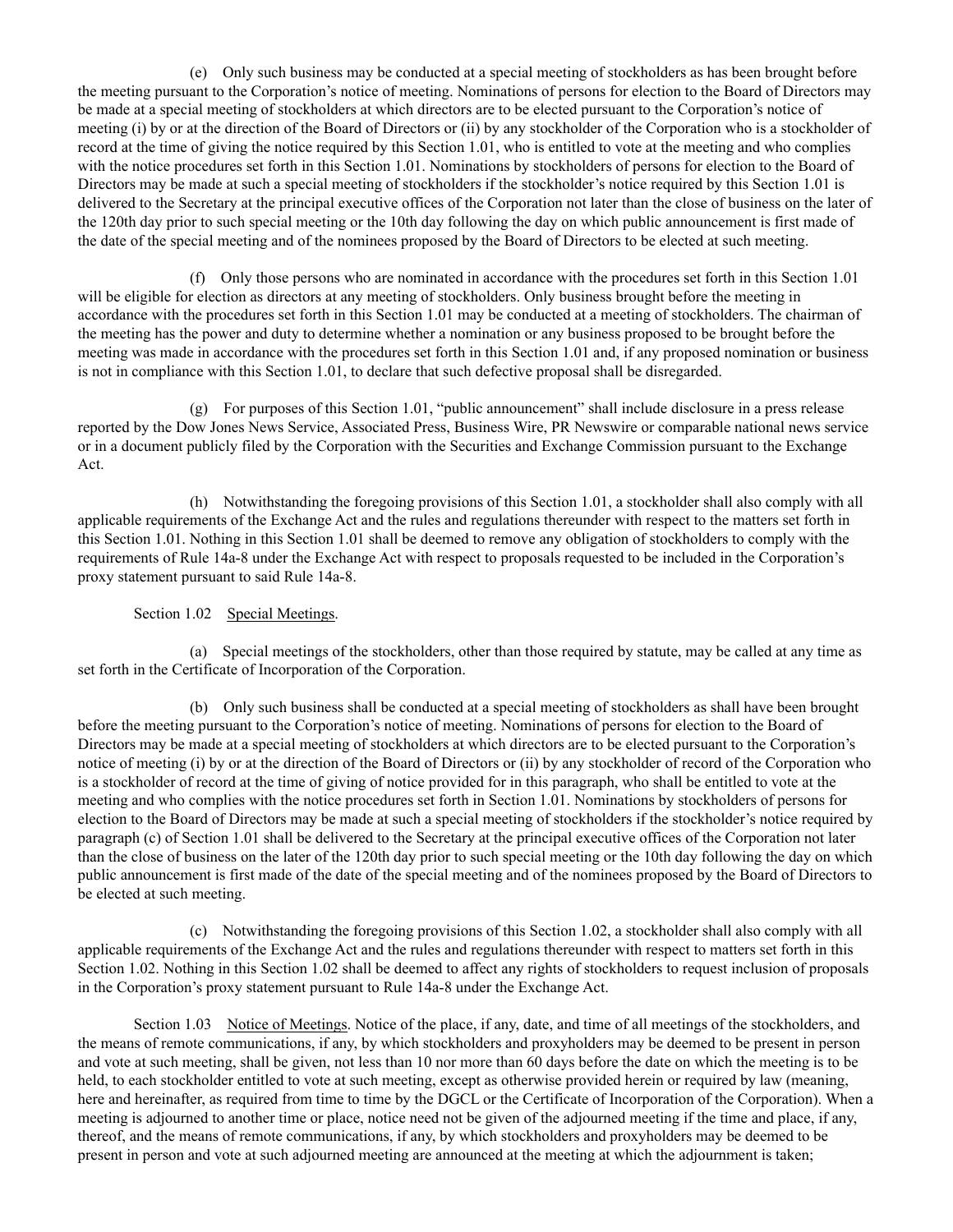(e) Only such business may be conducted at a special meeting of stockholders as has been brought before the meeting pursuant to the Corporation's notice of meeting. Nominations of persons for election to the Board of Directors may be made at a special meeting of stockholders at which directors are to be elected pursuant to the Corporation's notice of meeting (i) by or at the direction of the Board of Directors or (ii) by any stockholder of the Corporation who is a stockholder of record at the time of giving the notice required by this Section 1.01, who is entitled to vote at the meeting and who complies with the notice procedures set forth in this Section 1.01. Nominations by stockholders of persons for election to the Board of Directors may be made at such a special meeting of stockholders if the stockholder's notice required by this Section 1.01 is delivered to the Secretary at the principal executive offices of the Corporation not later than the close of business on the later of the 120th day prior to such special meeting or the 10th day following the day on which public announcement is first made of the date of the special meeting and of the nominees proposed by the Board of Directors to be elected at such meeting.

(f) Only those persons who are nominated in accordance with the procedures set forth in this Section 1.01 will be eligible for election as directors at any meeting of stockholders. Only business brought before the meeting in accordance with the procedures set forth in this Section 1.01 may be conducted at a meeting of stockholders. The chairman of the meeting has the power and duty to determine whether a nomination or any business proposed to be brought before the meeting was made in accordance with the procedures set forth in this Section 1.01 and, if any proposed nomination or business is not in compliance with this Section 1.01, to declare that such defective proposal shall be disregarded.

(g) For purposes of this Section 1.01, "public announcement" shall include disclosure in a press release reported by the Dow Jones News Service, Associated Press, Business Wire, PR Newswire or comparable national news service or in a document publicly filed by the Corporation with the Securities and Exchange Commission pursuant to the Exchange Act.

(h) Notwithstanding the foregoing provisions of this Section 1.01, a stockholder shall also comply with all applicable requirements of the Exchange Act and the rules and regulations thereunder with respect to the matters set forth in this Section 1.01. Nothing in this Section 1.01 shall be deemed to remove any obligation of stockholders to comply with the requirements of Rule 14a-8 under the Exchange Act with respect to proposals requested to be included in the Corporation's proxy statement pursuant to said Rule 14a-8.

#### Section 1.02 Special Meetings.

(a) Special meetings of the stockholders, other than those required by statute, may be called at any time as set forth in the Certificate of Incorporation of the Corporation.

(b) Only such business shall be conducted at a special meeting of stockholders as shall have been brought before the meeting pursuant to the Corporation's notice of meeting. Nominations of persons for election to the Board of Directors may be made at a special meeting of stockholders at which directors are to be elected pursuant to the Corporation's notice of meeting (i) by or at the direction of the Board of Directors or (ii) by any stockholder of record of the Corporation who is a stockholder of record at the time of giving of notice provided for in this paragraph, who shall be entitled to vote at the meeting and who complies with the notice procedures set forth in Section 1.01. Nominations by stockholders of persons for election to the Board of Directors may be made at such a special meeting of stockholders if the stockholder's notice required by paragraph (c) of Section 1.01 shall be delivered to the Secretary at the principal executive offices of the Corporation not later than the close of business on the later of the 120th day prior to such special meeting or the 10th day following the day on which public announcement is first made of the date of the special meeting and of the nominees proposed by the Board of Directors to be elected at such meeting.

(c) Notwithstanding the foregoing provisions of this Section 1.02, a stockholder shall also comply with all applicable requirements of the Exchange Act and the rules and regulations thereunder with respect to matters set forth in this Section 1.02. Nothing in this Section 1.02 shall be deemed to affect any rights of stockholders to request inclusion of proposals in the Corporation's proxy statement pursuant to Rule 14a-8 under the Exchange Act.

Section 1.03 Notice of Meetings. Notice of the place, if any, date, and time of all meetings of the stockholders, and the means of remote communications, if any, by which stockholders and proxyholders may be deemed to be present in person and vote at such meeting, shall be given, not less than 10 nor more than 60 days before the date on which the meeting is to be held, to each stockholder entitled to vote at such meeting, except as otherwise provided herein or required by law (meaning, here and hereinafter, as required from time to time by the DGCL or the Certificate of Incorporation of the Corporation). When a meeting is adjourned to another time or place, notice need not be given of the adjourned meeting if the time and place, if any, thereof, and the means of remote communications, if any, by which stockholders and proxyholders may be deemed to be present in person and vote at such adjourned meeting are announced at the meeting at which the adjournment is taken;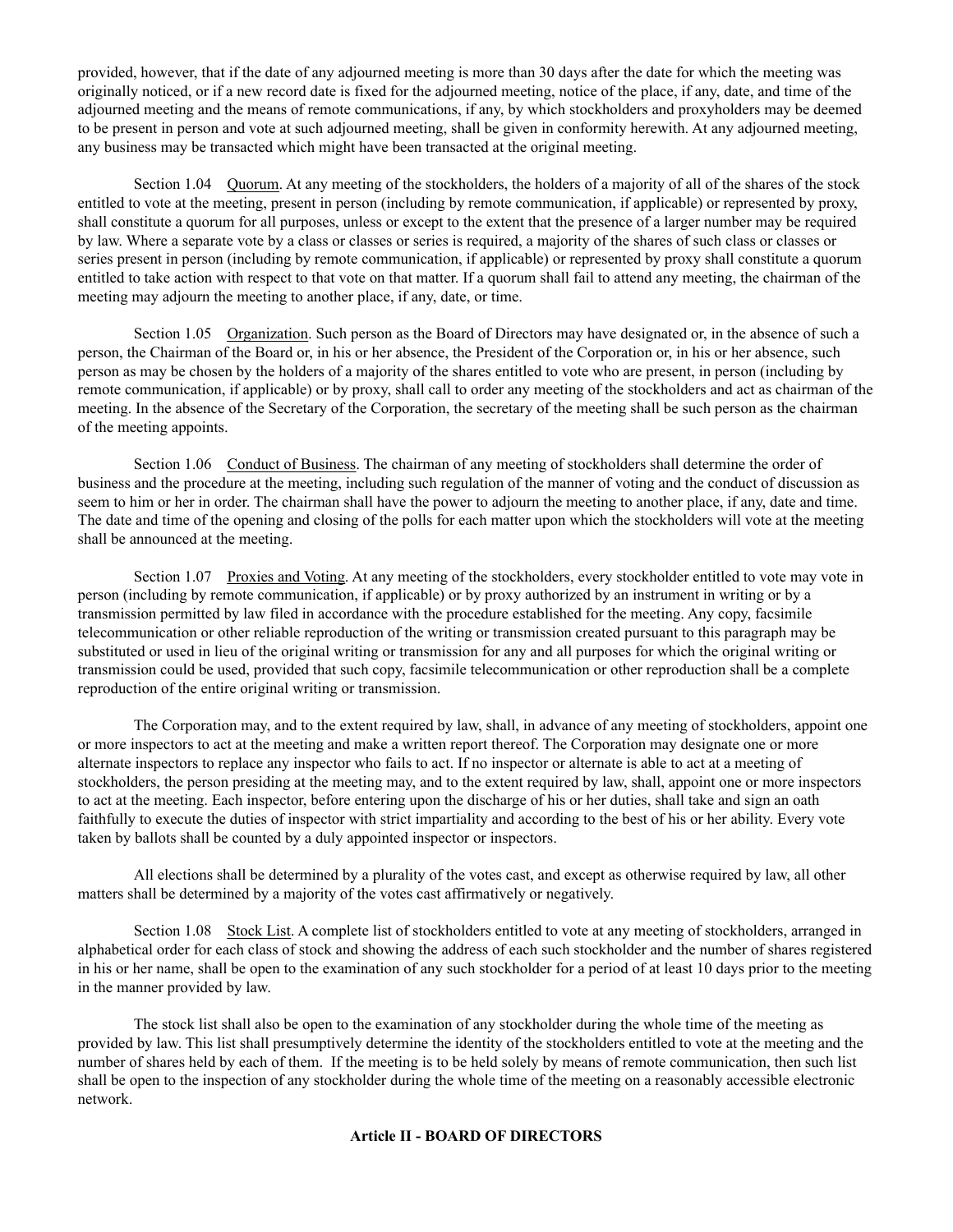provided, however, that if the date of any adjourned meeting is more than 30 days after the date for which the meeting was originally noticed, or if a new record date is fixed for the adjourned meeting, notice of the place, if any, date, and time of the adjourned meeting and the means of remote communications, if any, by which stockholders and proxyholders may be deemed to be present in person and vote at such adjourned meeting, shall be given in conformity herewith. At any adjourned meeting, any business may be transacted which might have been transacted at the original meeting.

Section 1.04 Quorum. At any meeting of the stockholders, the holders of a majority of all of the shares of the stock entitled to vote at the meeting, present in person (including by remote communication, if applicable) or represented by proxy, shall constitute a quorum for all purposes, unless or except to the extent that the presence of a larger number may be required by law. Where a separate vote by a class or classes or series is required, a majority of the shares of such class or classes or series present in person (including by remote communication, if applicable) or represented by proxy shall constitute a quorum entitled to take action with respect to that vote on that matter. If a quorum shall fail to attend any meeting, the chairman of the meeting may adjourn the meeting to another place, if any, date, or time.

Section 1.05 Organization. Such person as the Board of Directors may have designated or, in the absence of such a person, the Chairman of the Board or, in his or her absence, the President of the Corporation or, in his or her absence, such person as may be chosen by the holders of a majority of the shares entitled to vote who are present, in person (including by remote communication, if applicable) or by proxy, shall call to order any meeting of the stockholders and act as chairman of the meeting. In the absence of the Secretary of the Corporation, the secretary of the meeting shall be such person as the chairman of the meeting appoints.

Section 1.06 Conduct of Business. The chairman of any meeting of stockholders shall determine the order of business and the procedure at the meeting, including such regulation of the manner of voting and the conduct of discussion as seem to him or her in order. The chairman shall have the power to adjourn the meeting to another place, if any, date and time. The date and time of the opening and closing of the polls for each matter upon which the stockholders will vote at the meeting shall be announced at the meeting.

Section 1.07 Proxies and Voting. At any meeting of the stockholders, every stockholder entitled to vote may vote in person (including by remote communication, if applicable) or by proxy authorized by an instrument in writing or by a transmission permitted by law filed in accordance with the procedure established for the meeting. Any copy, facsimile telecommunication or other reliable reproduction of the writing or transmission created pursuant to this paragraph may be substituted or used in lieu of the original writing or transmission for any and all purposes for which the original writing or transmission could be used, provided that such copy, facsimile telecommunication or other reproduction shall be a complete reproduction of the entire original writing or transmission.

The Corporation may, and to the extent required by law, shall, in advance of any meeting of stockholders, appoint one or more inspectors to act at the meeting and make a written report thereof. The Corporation may designate one or more alternate inspectors to replace any inspector who fails to act. If no inspector or alternate is able to act at a meeting of stockholders, the person presiding at the meeting may, and to the extent required by law, shall, appoint one or more inspectors to act at the meeting. Each inspector, before entering upon the discharge of his or her duties, shall take and sign an oath faithfully to execute the duties of inspector with strict impartiality and according to the best of his or her ability. Every vote taken by ballots shall be counted by a duly appointed inspector or inspectors.

All elections shall be determined by a plurality of the votes cast, and except as otherwise required by law, all other matters shall be determined by a majority of the votes cast affirmatively or negatively.

Section 1.08 Stock List. A complete list of stockholders entitled to vote at any meeting of stockholders, arranged in alphabetical order for each class of stock and showing the address of each such stockholder and the number of shares registered in his or her name, shall be open to the examination of any such stockholder for a period of at least 10 days prior to the meeting in the manner provided by law.

The stock list shall also be open to the examination of any stockholder during the whole time of the meeting as provided by law. This list shall presumptively determine the identity of the stockholders entitled to vote at the meeting and the number of shares held by each of them. If the meeting is to be held solely by means of remote communication, then such list shall be open to the inspection of any stockholder during the whole time of the meeting on a reasonably accessible electronic network.

#### **Article II - BOARD OF DIRECTORS**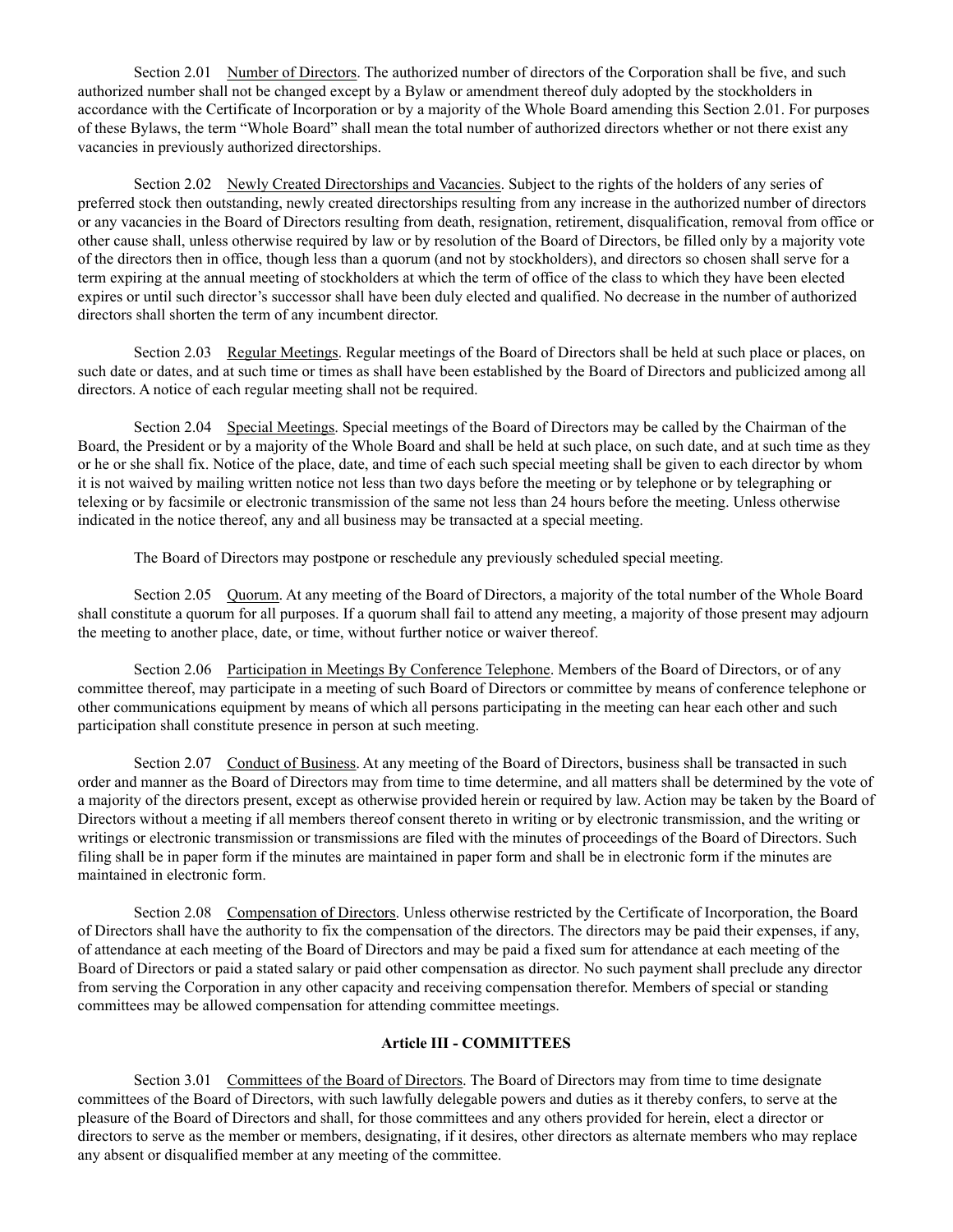Section 2.01 Number of Directors. The authorized number of directors of the Corporation shall be five, and such authorized number shall not be changed except by a Bylaw or amendment thereof duly adopted by the stockholders in accordance with the Certificate of Incorporation or by a majority of the Whole Board amending this Section 2.01. For purposes of these Bylaws, the term "Whole Board" shall mean the total number of authorized directors whether or not there exist any vacancies in previously authorized directorships.

Section 2.02 Newly Created Directorships and Vacancies. Subject to the rights of the holders of any series of preferred stock then outstanding, newly created directorships resulting from any increase in the authorized number of directors or any vacancies in the Board of Directors resulting from death, resignation, retirement, disqualification, removal from office or other cause shall, unless otherwise required by law or by resolution of the Board of Directors, be filled only by a majority vote of the directors then in office, though less than a quorum (and not by stockholders), and directors so chosen shall serve for a term expiring at the annual meeting of stockholders at which the term of office of the class to which they have been elected expires or until such director's successor shall have been duly elected and qualified. No decrease in the number of authorized directors shall shorten the term of any incumbent director.

Section 2.03 Regular Meetings. Regular meetings of the Board of Directors shall be held at such place or places, on such date or dates, and at such time or times as shall have been established by the Board of Directors and publicized among all directors. A notice of each regular meeting shall not be required.

Section 2.04 Special Meetings. Special meetings of the Board of Directors may be called by the Chairman of the Board, the President or by a majority of the Whole Board and shall be held at such place, on such date, and at such time as they or he or she shall fix. Notice of the place, date, and time of each such special meeting shall be given to each director by whom it is not waived by mailing written notice not less than two days before the meeting or by telephone or by telegraphing or telexing or by facsimile or electronic transmission of the same not less than 24 hours before the meeting. Unless otherwise indicated in the notice thereof, any and all business may be transacted at a special meeting.

The Board of Directors may postpone or reschedule any previously scheduled special meeting.

Section 2.05 Quorum. At any meeting of the Board of Directors, a majority of the total number of the Whole Board shall constitute a quorum for all purposes. If a quorum shall fail to attend any meeting, a majority of those present may adjourn the meeting to another place, date, or time, without further notice or waiver thereof.

Section 2.06 Participation in Meetings By Conference Telephone. Members of the Board of Directors, or of any committee thereof, may participate in a meeting of such Board of Directors or committee by means of conference telephone or other communications equipment by means of which all persons participating in the meeting can hear each other and such participation shall constitute presence in person at such meeting.

Section 2.07 Conduct of Business. At any meeting of the Board of Directors, business shall be transacted in such order and manner as the Board of Directors may from time to time determine, and all matters shall be determined by the vote of a majority of the directors present, except as otherwise provided herein or required by law. Action may be taken by the Board of Directors without a meeting if all members thereof consent thereto in writing or by electronic transmission, and the writing or writings or electronic transmission or transmissions are filed with the minutes of proceedings of the Board of Directors. Such filing shall be in paper form if the minutes are maintained in paper form and shall be in electronic form if the minutes are maintained in electronic form.

Section 2.08 Compensation of Directors. Unless otherwise restricted by the Certificate of Incorporation, the Board of Directors shall have the authority to fix the compensation of the directors. The directors may be paid their expenses, if any, of attendance at each meeting of the Board of Directors and may be paid a fixed sum for attendance at each meeting of the Board of Directors or paid a stated salary or paid other compensation as director. No such payment shall preclude any director from serving the Corporation in any other capacity and receiving compensation therefor. Members of special or standing committees may be allowed compensation for attending committee meetings.

#### **Article III - COMMITTEES**

Section 3.01 Committees of the Board of Directors. The Board of Directors may from time to time designate committees of the Board of Directors, with such lawfully delegable powers and duties as it thereby confers, to serve at the pleasure of the Board of Directors and shall, for those committees and any others provided for herein, elect a director or directors to serve as the member or members, designating, if it desires, other directors as alternate members who may replace any absent or disqualified member at any meeting of the committee.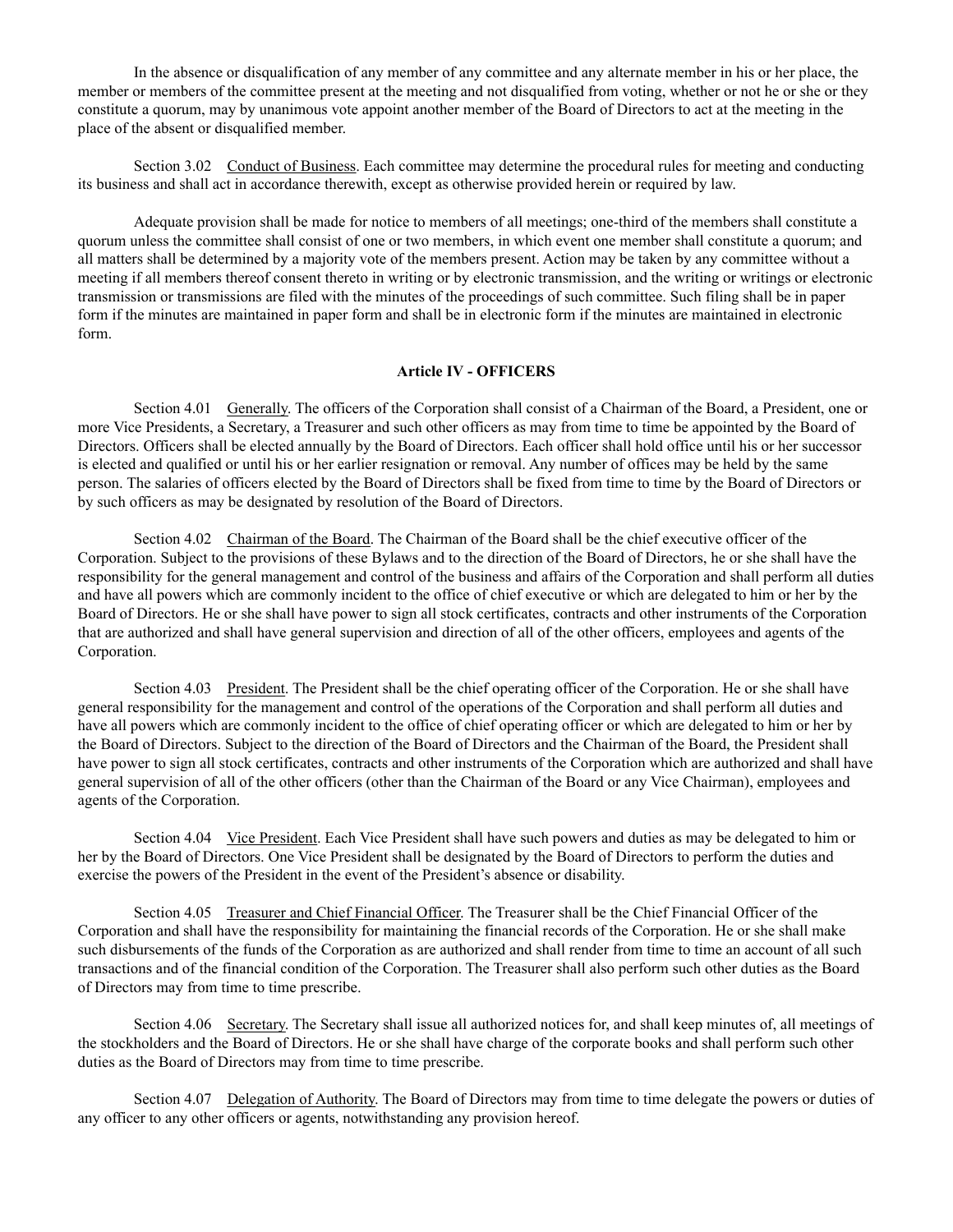In the absence or disqualification of any member of any committee and any alternate member in his or her place, the member or members of the committee present at the meeting and not disqualified from voting, whether or not he or she or they constitute a quorum, may by unanimous vote appoint another member of the Board of Directors to act at the meeting in the place of the absent or disqualified member.

Section 3.02 Conduct of Business. Each committee may determine the procedural rules for meeting and conducting its business and shall act in accordance therewith, except as otherwise provided herein or required by law.

Adequate provision shall be made for notice to members of all meetings; one-third of the members shall constitute a quorum unless the committee shall consist of one or two members, in which event one member shall constitute a quorum; and all matters shall be determined by a majority vote of the members present. Action may be taken by any committee without a meeting if all members thereof consent thereto in writing or by electronic transmission, and the writing or writings or electronic transmission or transmissions are filed with the minutes of the proceedings of such committee. Such filing shall be in paper form if the minutes are maintained in paper form and shall be in electronic form if the minutes are maintained in electronic form.

#### **Article IV - OFFICERS**

Section 4.01 Generally. The officers of the Corporation shall consist of a Chairman of the Board, a President, one or more Vice Presidents, a Secretary, a Treasurer and such other officers as may from time to time be appointed by the Board of Directors. Officers shall be elected annually by the Board of Directors. Each officer shall hold office until his or her successor is elected and qualified or until his or her earlier resignation or removal. Any number of offices may be held by the same person. The salaries of officers elected by the Board of Directors shall be fixed from time to time by the Board of Directors or by such officers as may be designated by resolution of the Board of Directors.

Section 4.02 Chairman of the Board. The Chairman of the Board shall be the chief executive officer of the Corporation. Subject to the provisions of these Bylaws and to the direction of the Board of Directors, he or she shall have the responsibility for the general management and control of the business and affairs of the Corporation and shall perform all duties and have all powers which are commonly incident to the office of chief executive or which are delegated to him or her by the Board of Directors. He or she shall have power to sign all stock certificates, contracts and other instruments of the Corporation that are authorized and shall have general supervision and direction of all of the other officers, employees and agents of the Corporation.

Section 4.03 President. The President shall be the chief operating officer of the Corporation. He or she shall have general responsibility for the management and control of the operations of the Corporation and shall perform all duties and have all powers which are commonly incident to the office of chief operating officer or which are delegated to him or her by the Board of Directors. Subject to the direction of the Board of Directors and the Chairman of the Board, the President shall have power to sign all stock certificates, contracts and other instruments of the Corporation which are authorized and shall have general supervision of all of the other officers (other than the Chairman of the Board or any Vice Chairman), employees and agents of the Corporation.

Section 4.04 Vice President. Each Vice President shall have such powers and duties as may be delegated to him or her by the Board of Directors. One Vice President shall be designated by the Board of Directors to perform the duties and exercise the powers of the President in the event of the President's absence or disability.

Section 4.05 Treasurer and Chief Financial Officer. The Treasurer shall be the Chief Financial Officer of the Corporation and shall have the responsibility for maintaining the financial records of the Corporation. He or she shall make such disbursements of the funds of the Corporation as are authorized and shall render from time to time an account of all such transactions and of the financial condition of the Corporation. The Treasurer shall also perform such other duties as the Board of Directors may from time to time prescribe.

Section 4.06 Secretary. The Secretary shall issue all authorized notices for, and shall keep minutes of, all meetings of the stockholders and the Board of Directors. He or she shall have charge of the corporate books and shall perform such other duties as the Board of Directors may from time to time prescribe.

Section 4.07 Delegation of Authority. The Board of Directors may from time to time delegate the powers or duties of any officer to any other officers or agents, notwithstanding any provision hereof.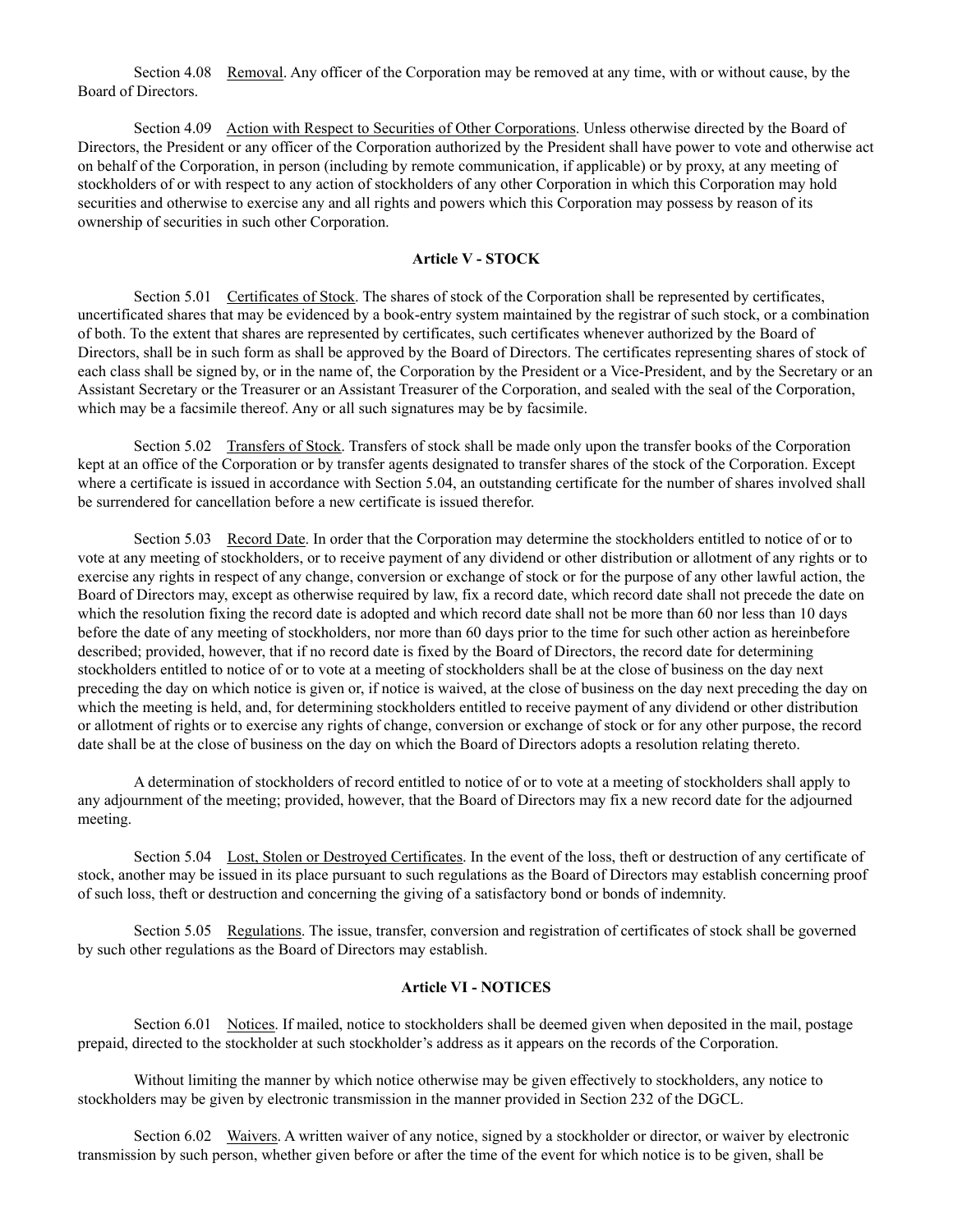Section 4.08 Removal. Any officer of the Corporation may be removed at any time, with or without cause, by the Board of Directors.

Section 4.09 Action with Respect to Securities of Other Corporations. Unless otherwise directed by the Board of Directors, the President or any officer of the Corporation authorized by the President shall have power to vote and otherwise act on behalf of the Corporation, in person (including by remote communication, if applicable) or by proxy, at any meeting of stockholders of or with respect to any action of stockholders of any other Corporation in which this Corporation may hold securities and otherwise to exercise any and all rights and powers which this Corporation may possess by reason of its ownership of securities in such other Corporation.

#### **Article V - STOCK**

Section 5.01 Certificates of Stock. The shares of stock of the Corporation shall be represented by certificates, uncertificated shares that may be evidenced by a book-entry system maintained by the registrar of such stock, or a combination of both. To the extent that shares are represented by certificates, such certificates whenever authorized by the Board of Directors, shall be in such form as shall be approved by the Board of Directors. The certificates representing shares of stock of each class shall be signed by, or in the name of, the Corporation by the President or a Vice-President, and by the Secretary or an Assistant Secretary or the Treasurer or an Assistant Treasurer of the Corporation, and sealed with the seal of the Corporation, which may be a facsimile thereof. Any or all such signatures may be by facsimile.

Section 5.02 Transfers of Stock. Transfers of stock shall be made only upon the transfer books of the Corporation kept at an office of the Corporation or by transfer agents designated to transfer shares of the stock of the Corporation. Except where a certificate is issued in accordance with Section 5.04, an outstanding certificate for the number of shares involved shall be surrendered for cancellation before a new certificate is issued therefor.

Section 5.03 Record Date. In order that the Corporation may determine the stockholders entitled to notice of or to vote at any meeting of stockholders, or to receive payment of any dividend or other distribution or allotment of any rights or to exercise any rights in respect of any change, conversion or exchange of stock or for the purpose of any other lawful action, the Board of Directors may, except as otherwise required by law, fix a record date, which record date shall not precede the date on which the resolution fixing the record date is adopted and which record date shall not be more than 60 nor less than 10 days before the date of any meeting of stockholders, nor more than 60 days prior to the time for such other action as hereinbefore described; provided, however, that if no record date is fixed by the Board of Directors, the record date for determining stockholders entitled to notice of or to vote at a meeting of stockholders shall be at the close of business on the day next preceding the day on which notice is given or, if notice is waived, at the close of business on the day next preceding the day on which the meeting is held, and, for determining stockholders entitled to receive payment of any dividend or other distribution or allotment of rights or to exercise any rights of change, conversion or exchange of stock or for any other purpose, the record date shall be at the close of business on the day on which the Board of Directors adopts a resolution relating thereto.

A determination of stockholders of record entitled to notice of or to vote at a meeting of stockholders shall apply to any adjournment of the meeting; provided, however, that the Board of Directors may fix a new record date for the adjourned meeting.

Section 5.04 Lost, Stolen or Destroyed Certificates. In the event of the loss, theft or destruction of any certificate of stock, another may be issued in its place pursuant to such regulations as the Board of Directors may establish concerning proof of such loss, theft or destruction and concerning the giving of a satisfactory bond or bonds of indemnity.

Section 5.05 Regulations. The issue, transfer, conversion and registration of certificates of stock shall be governed by such other regulations as the Board of Directors may establish.

#### **Article VI - NOTICES**

Section 6.01 Notices. If mailed, notice to stockholders shall be deemed given when deposited in the mail, postage prepaid, directed to the stockholder at such stockholder's address as it appears on the records of the Corporation.

Without limiting the manner by which notice otherwise may be given effectively to stockholders, any notice to stockholders may be given by electronic transmission in the manner provided in Section 232 of the DGCL.

Section 6.02 Waivers. A written waiver of any notice, signed by a stockholder or director, or waiver by electronic transmission by such person, whether given before or after the time of the event for which notice is to be given, shall be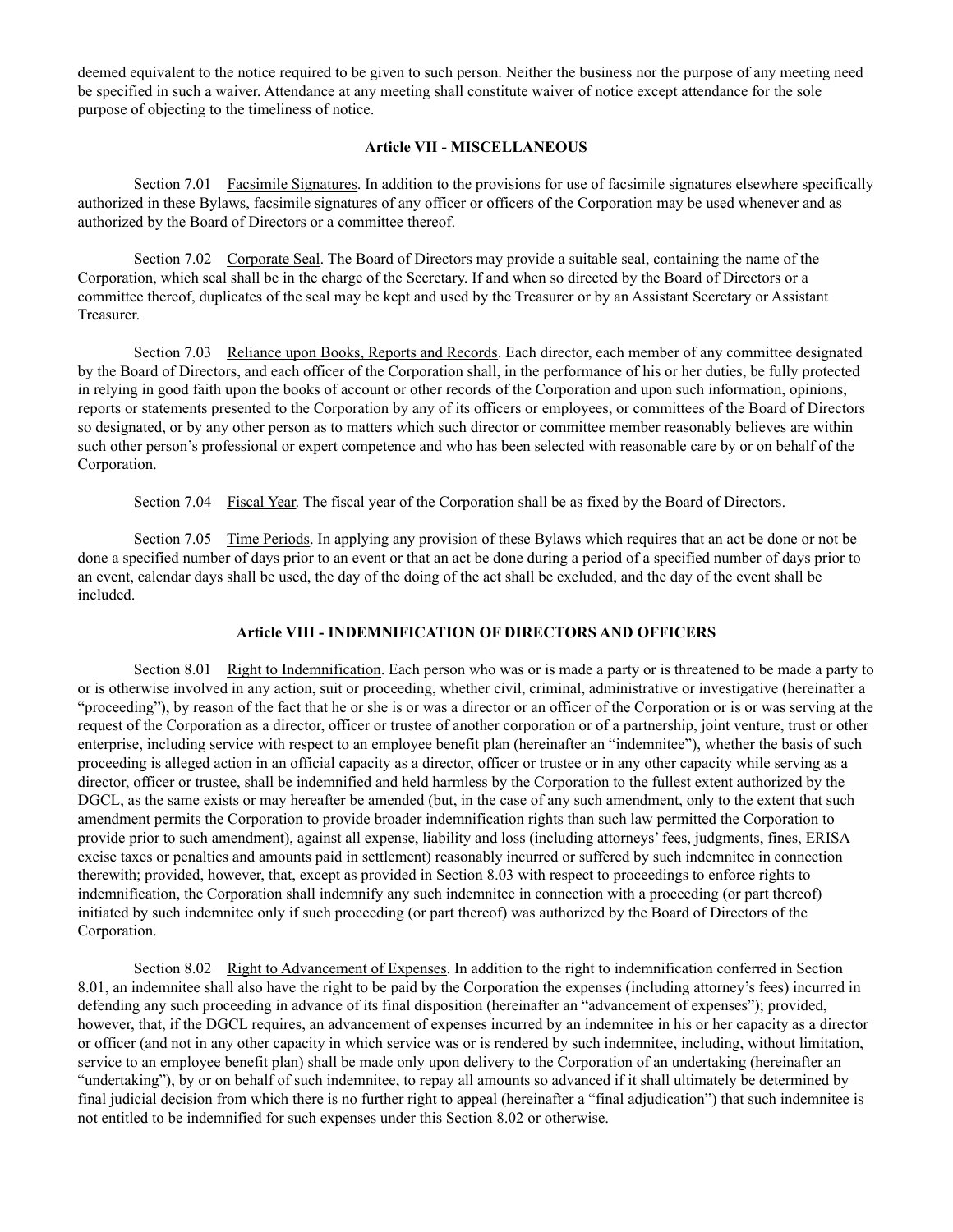deemed equivalent to the notice required to be given to such person. Neither the business nor the purpose of any meeting need be specified in such a waiver. Attendance at any meeting shall constitute waiver of notice except attendance for the sole purpose of objecting to the timeliness of notice.

#### **Article VII - MISCELLANEOUS**

Section 7.01 Facsimile Signatures. In addition to the provisions for use of facsimile signatures elsewhere specifically authorized in these Bylaws, facsimile signatures of any officer or officers of the Corporation may be used whenever and as authorized by the Board of Directors or a committee thereof.

Section 7.02 Corporate Seal. The Board of Directors may provide a suitable seal, containing the name of the Corporation, which seal shall be in the charge of the Secretary. If and when so directed by the Board of Directors or a committee thereof, duplicates of the seal may be kept and used by the Treasurer or by an Assistant Secretary or Assistant Treasurer.

Section 7.03 Reliance upon Books, Reports and Records. Each director, each member of any committee designated by the Board of Directors, and each officer of the Corporation shall, in the performance of his or her duties, be fully protected in relying in good faith upon the books of account or other records of the Corporation and upon such information, opinions, reports or statements presented to the Corporation by any of its officers or employees, or committees of the Board of Directors so designated, or by any other person as to matters which such director or committee member reasonably believes are within such other person's professional or expert competence and who has been selected with reasonable care by or on behalf of the Corporation.

Section 7.04 Fiscal Year. The fiscal year of the Corporation shall be as fixed by the Board of Directors.

Section 7.05 Time Periods. In applying any provision of these Bylaws which requires that an act be done or not be done a specified number of days prior to an event or that an act be done during a period of a specified number of days prior to an event, calendar days shall be used, the day of the doing of the act shall be excluded, and the day of the event shall be included.

#### **Article VIII - INDEMNIFICATION OF DIRECTORS AND OFFICERS**

Section 8.01 Right to Indemnification. Each person who was or is made a party or is threatened to be made a party to or is otherwise involved in any action, suit or proceeding, whether civil, criminal, administrative or investigative (hereinafter a "proceeding"), by reason of the fact that he or she is or was a director or an officer of the Corporation or is or was serving at the request of the Corporation as a director, officer or trustee of another corporation or of a partnership, joint venture, trust or other enterprise, including service with respect to an employee benefit plan (hereinafter an "indemnitee"), whether the basis of such proceeding is alleged action in an official capacity as a director, officer or trustee or in any other capacity while serving as a director, officer or trustee, shall be indemnified and held harmless by the Corporation to the fullest extent authorized by the DGCL, as the same exists or may hereafter be amended (but, in the case of any such amendment, only to the extent that such amendment permits the Corporation to provide broader indemnification rights than such law permitted the Corporation to provide prior to such amendment), against all expense, liability and loss (including attorneys' fees, judgments, fines, ERISA excise taxes or penalties and amounts paid in settlement) reasonably incurred or suffered by such indemnitee in connection therewith; provided, however, that, except as provided in Section 8.03 with respect to proceedings to enforce rights to indemnification, the Corporation shall indemnify any such indemnitee in connection with a proceeding (or part thereof) initiated by such indemnitee only if such proceeding (or part thereof) was authorized by the Board of Directors of the Corporation.

Section 8.02 Right to Advancement of Expenses. In addition to the right to indemnification conferred in Section 8.01, an indemnitee shall also have the right to be paid by the Corporation the expenses (including attorney's fees) incurred in defending any such proceeding in advance of its final disposition (hereinafter an "advancement of expenses"); provided, however, that, if the DGCL requires, an advancement of expenses incurred by an indemnitee in his or her capacity as a director or officer (and not in any other capacity in which service was or is rendered by such indemnitee, including, without limitation, service to an employee benefit plan) shall be made only upon delivery to the Corporation of an undertaking (hereinafter an "undertaking"), by or on behalf of such indemnitee, to repay all amounts so advanced if it shall ultimately be determined by final judicial decision from which there is no further right to appeal (hereinafter a "final adjudication") that such indemnitee is not entitled to be indemnified for such expenses under this Section 8.02 or otherwise.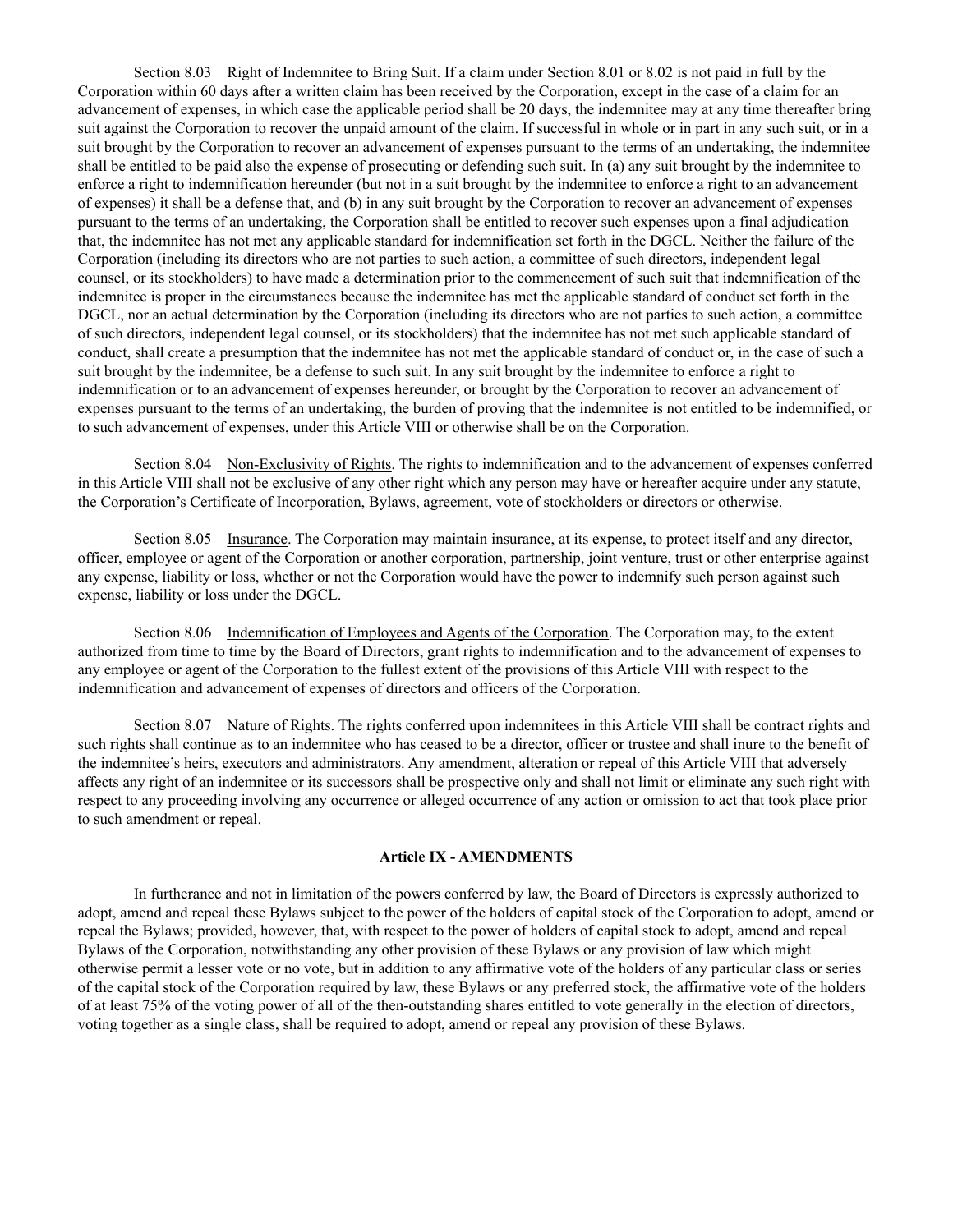Section 8.03 Right of Indemnitee to Bring Suit. If a claim under Section 8.01 or 8.02 is not paid in full by the Corporation within 60 days after a written claim has been received by the Corporation, except in the case of a claim for an advancement of expenses, in which case the applicable period shall be 20 days, the indemnitee may at any time thereafter bring suit against the Corporation to recover the unpaid amount of the claim. If successful in whole or in part in any such suit, or in a suit brought by the Corporation to recover an advancement of expenses pursuant to the terms of an undertaking, the indemnitee shall be entitled to be paid also the expense of prosecuting or defending such suit. In (a) any suit brought by the indemnitee to enforce a right to indemnification hereunder (but not in a suit brought by the indemnitee to enforce a right to an advancement of expenses) it shall be a defense that, and (b) in any suit brought by the Corporation to recover an advancement of expenses pursuant to the terms of an undertaking, the Corporation shall be entitled to recover such expenses upon a final adjudication that, the indemnitee has not met any applicable standard for indemnification set forth in the DGCL. Neither the failure of the Corporation (including its directors who are not parties to such action, a committee of such directors, independent legal counsel, or its stockholders) to have made a determination prior to the commencement of such suit that indemnification of the indemnitee is proper in the circumstances because the indemnitee has met the applicable standard of conduct set forth in the DGCL, nor an actual determination by the Corporation (including its directors who are not parties to such action, a committee of such directors, independent legal counsel, or its stockholders) that the indemnitee has not met such applicable standard of conduct, shall create a presumption that the indemnitee has not met the applicable standard of conduct or, in the case of such a suit brought by the indemnitee, be a defense to such suit. In any suit brought by the indemnitee to enforce a right to indemnification or to an advancement of expenses hereunder, or brought by the Corporation to recover an advancement of expenses pursuant to the terms of an undertaking, the burden of proving that the indemnitee is not entitled to be indemnified, or to such advancement of expenses, under this Article VIII or otherwise shall be on the Corporation.

Section 8.04 Non-Exclusivity of Rights. The rights to indemnification and to the advancement of expenses conferred in this Article VIII shall not be exclusive of any other right which any person may have or hereafter acquire under any statute, the Corporation's Certificate of Incorporation, Bylaws, agreement, vote of stockholders or directors or otherwise.

Section 8.05 Insurance. The Corporation may maintain insurance, at its expense, to protect itself and any director, officer, employee or agent of the Corporation or another corporation, partnership, joint venture, trust or other enterprise against any expense, liability or loss, whether or not the Corporation would have the power to indemnify such person against such expense, liability or loss under the DGCL.

Section 8.06 Indemnification of Employees and Agents of the Corporation. The Corporation may, to the extent authorized from time to time by the Board of Directors, grant rights to indemnification and to the advancement of expenses to any employee or agent of the Corporation to the fullest extent of the provisions of this Article VIII with respect to the indemnification and advancement of expenses of directors and officers of the Corporation.

Section 8.07 Nature of Rights. The rights conferred upon indemnitees in this Article VIII shall be contract rights and such rights shall continue as to an indemnitee who has ceased to be a director, officer or trustee and shall inure to the benefit of the indemnitee's heirs, executors and administrators. Any amendment, alteration or repeal of this Article VIII that adversely affects any right of an indemnitee or its successors shall be prospective only and shall not limit or eliminate any such right with respect to any proceeding involving any occurrence or alleged occurrence of any action or omission to act that took place prior to such amendment or repeal.

#### **Article IX - AMENDMENTS**

In furtherance and not in limitation of the powers conferred by law, the Board of Directors is expressly authorized to adopt, amend and repeal these Bylaws subject to the power of the holders of capital stock of the Corporation to adopt, amend or repeal the Bylaws; provided, however, that, with respect to the power of holders of capital stock to adopt, amend and repeal Bylaws of the Corporation, notwithstanding any other provision of these Bylaws or any provision of law which might otherwise permit a lesser vote or no vote, but in addition to any affirmative vote of the holders of any particular class or series of the capital stock of the Corporation required by law, these Bylaws or any preferred stock, the affirmative vote of the holders of at least 75% of the voting power of all of the then-outstanding shares entitled to vote generally in the election of directors, voting together as a single class, shall be required to adopt, amend or repeal any provision of these Bylaws.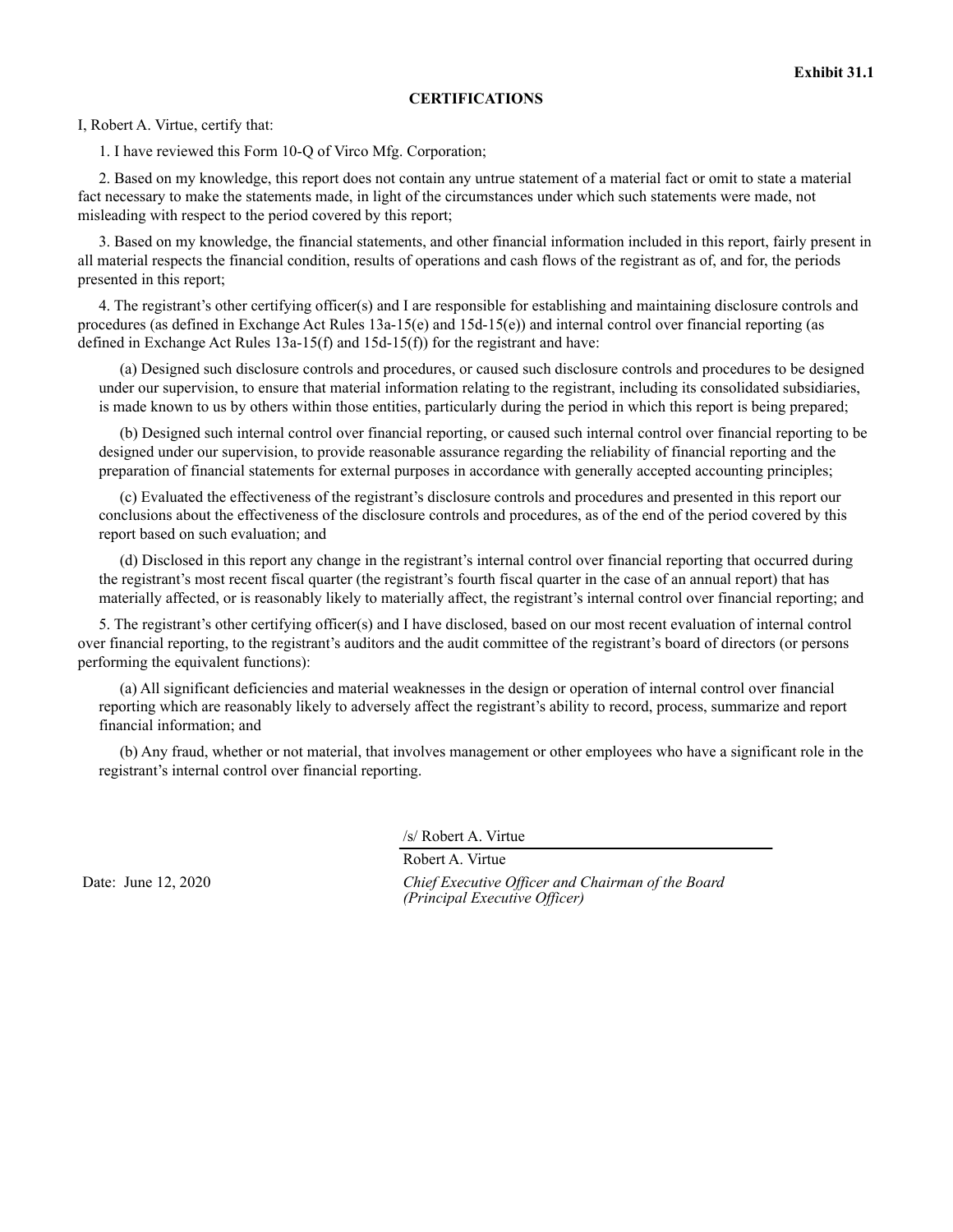#### **CERTIFICATIONS**

I, Robert A. Virtue, certify that:

1. I have reviewed this Form 10-Q of Virco Mfg. Corporation;

2. Based on my knowledge, this report does not contain any untrue statement of a material fact or omit to state a material fact necessary to make the statements made, in light of the circumstances under which such statements were made, not misleading with respect to the period covered by this report;

3. Based on my knowledge, the financial statements, and other financial information included in this report, fairly present in all material respects the financial condition, results of operations and cash flows of the registrant as of, and for, the periods presented in this report;

4. The registrant's other certifying officer(s) and I are responsible for establishing and maintaining disclosure controls and procedures (as defined in Exchange Act Rules 13a-15(e) and 15d-15(e)) and internal control over financial reporting (as defined in Exchange Act Rules 13a-15(f) and 15d-15(f)) for the registrant and have:

(a) Designed such disclosure controls and procedures, or caused such disclosure controls and procedures to be designed under our supervision, to ensure that material information relating to the registrant, including its consolidated subsidiaries, is made known to us by others within those entities, particularly during the period in which this report is being prepared;

(b) Designed such internal control over financial reporting, or caused such internal control over financial reporting to be designed under our supervision, to provide reasonable assurance regarding the reliability of financial reporting and the preparation of financial statements for external purposes in accordance with generally accepted accounting principles;

(c) Evaluated the effectiveness of the registrant's disclosure controls and procedures and presented in this report our conclusions about the effectiveness of the disclosure controls and procedures, as of the end of the period covered by this report based on such evaluation; and

(d) Disclosed in this report any change in the registrant's internal control over financial reporting that occurred during the registrant's most recent fiscal quarter (the registrant's fourth fiscal quarter in the case of an annual report) that has materially affected, or is reasonably likely to materially affect, the registrant's internal control over financial reporting; and

5. The registrant's other certifying officer(s) and I have disclosed, based on our most recent evaluation of internal control over financial reporting, to the registrant's auditors and the audit committee of the registrant's board of directors (or persons performing the equivalent functions):

(a) All significant deficiencies and material weaknesses in the design or operation of internal control over financial reporting which are reasonably likely to adversely affect the registrant's ability to record, process, summarize and report financial information; and

(b) Any fraud, whether or not material, that involves management or other employees who have a significant role in the registrant's internal control over financial reporting.

> /s/ Robert A. Virtue Robert A. Virtue

Date: June 12, 2020 *Chief Executive Officer and Chairman of the Board (Principal Executive Officer)*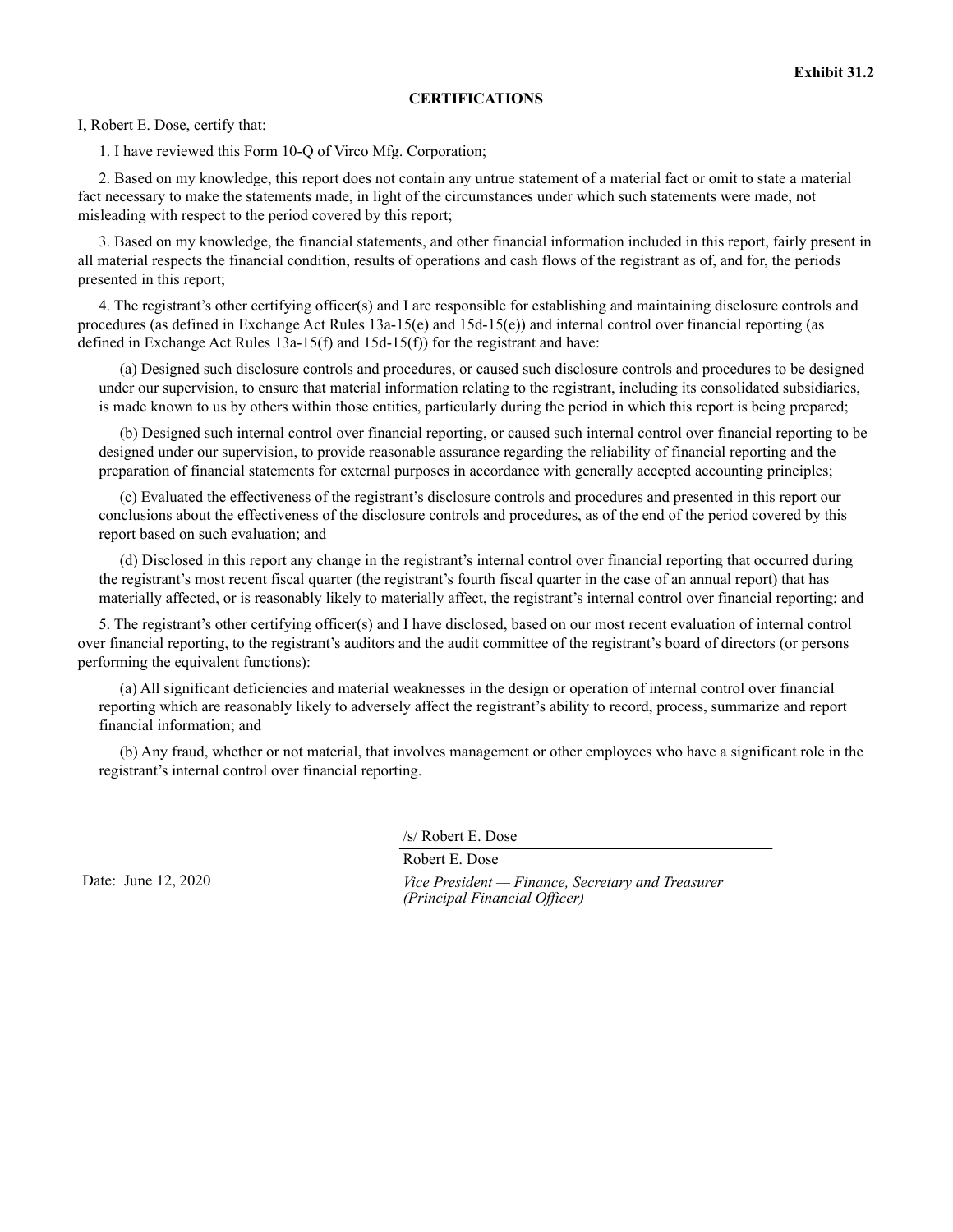#### **CERTIFICATIONS**

I, Robert E. Dose, certify that:

1. I have reviewed this Form 10-Q of Virco Mfg. Corporation;

2. Based on my knowledge, this report does not contain any untrue statement of a material fact or omit to state a material fact necessary to make the statements made, in light of the circumstances under which such statements were made, not misleading with respect to the period covered by this report;

3. Based on my knowledge, the financial statements, and other financial information included in this report, fairly present in all material respects the financial condition, results of operations and cash flows of the registrant as of, and for, the periods presented in this report;

4. The registrant's other certifying officer(s) and I are responsible for establishing and maintaining disclosure controls and procedures (as defined in Exchange Act Rules 13a-15(e) and 15d-15(e)) and internal control over financial reporting (as defined in Exchange Act Rules 13a-15(f) and 15d-15(f)) for the registrant and have:

(a) Designed such disclosure controls and procedures, or caused such disclosure controls and procedures to be designed under our supervision, to ensure that material information relating to the registrant, including its consolidated subsidiaries, is made known to us by others within those entities, particularly during the period in which this report is being prepared;

(b) Designed such internal control over financial reporting, or caused such internal control over financial reporting to be designed under our supervision, to provide reasonable assurance regarding the reliability of financial reporting and the preparation of financial statements for external purposes in accordance with generally accepted accounting principles;

(c) Evaluated the effectiveness of the registrant's disclosure controls and procedures and presented in this report our conclusions about the effectiveness of the disclosure controls and procedures, as of the end of the period covered by this report based on such evaluation; and

(d) Disclosed in this report any change in the registrant's internal control over financial reporting that occurred during the registrant's most recent fiscal quarter (the registrant's fourth fiscal quarter in the case of an annual report) that has materially affected, or is reasonably likely to materially affect, the registrant's internal control over financial reporting; and

5. The registrant's other certifying officer(s) and I have disclosed, based on our most recent evaluation of internal control over financial reporting, to the registrant's auditors and the audit committee of the registrant's board of directors (or persons performing the equivalent functions):

(a) All significant deficiencies and material weaknesses in the design or operation of internal control over financial reporting which are reasonably likely to adversely affect the registrant's ability to record, process, summarize and report financial information; and

(b) Any fraud, whether or not material, that involves management or other employees who have a significant role in the registrant's internal control over financial reporting.

> /s/ Robert E. Dose Robert E. Dose

Date: June 12, 2020 *Vice President — Finance, Secretary and Treasurer (Principal Financial Officer)*